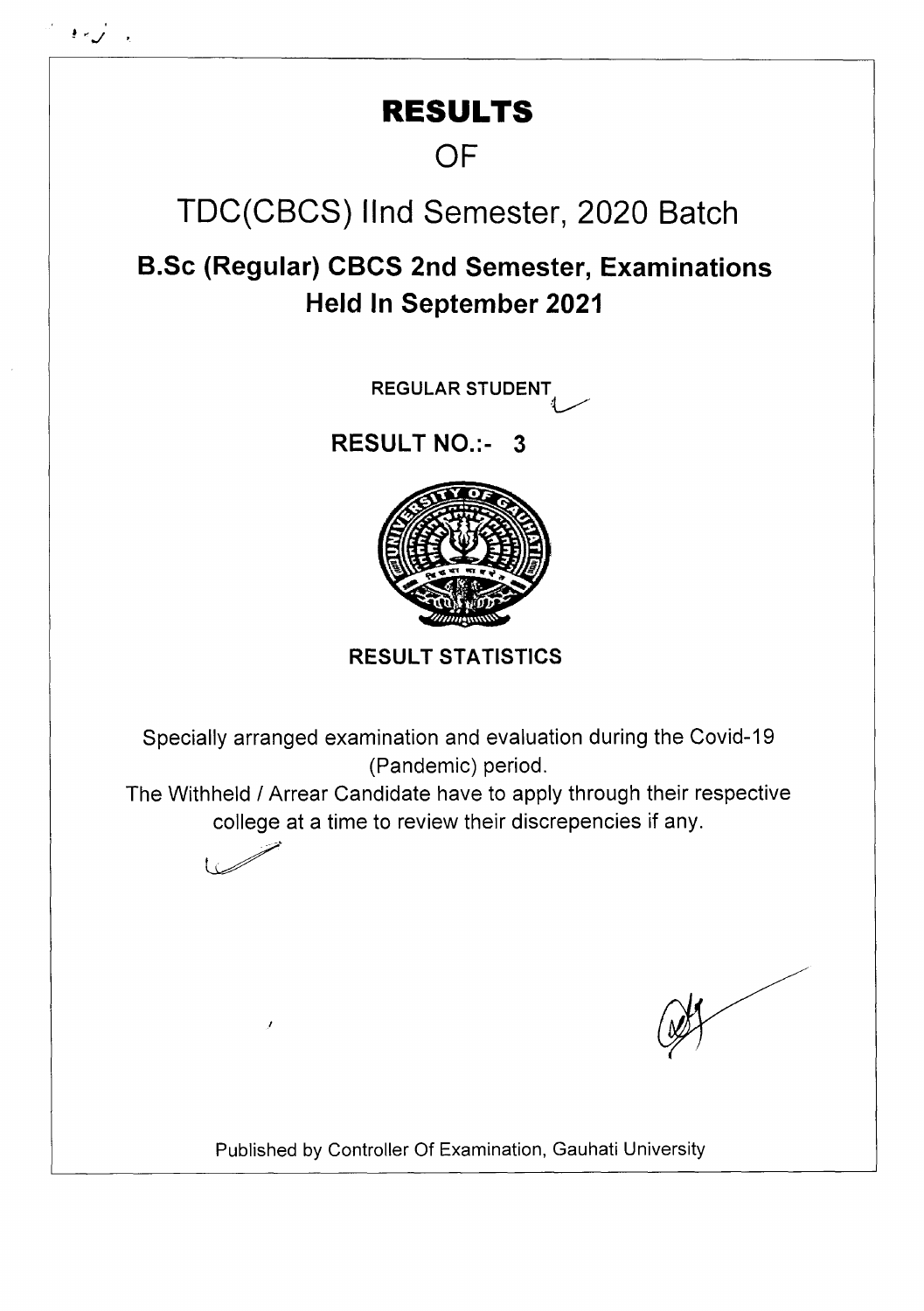# $\mathbf{F} = \mathbf{F} \mathbf{F} \mathbf{F}$ RESULTS **OF** TDC(CBCS) lind Semester, 2020 Batch **B.Sc (Regular) CBCS 2nd Semester, Examinations Held In September 2021 REGULAR STUDENT**  RESULT NO.:- 3 RESULT STATISTICS Specially arranged examination and evaluation during the Covid-19 (Pandemic) period. The Withheld I Arrear Candidate have to apply through their respective college at a time to review their discrepencies if any.

Published by Controller Of Examination, Gauhati University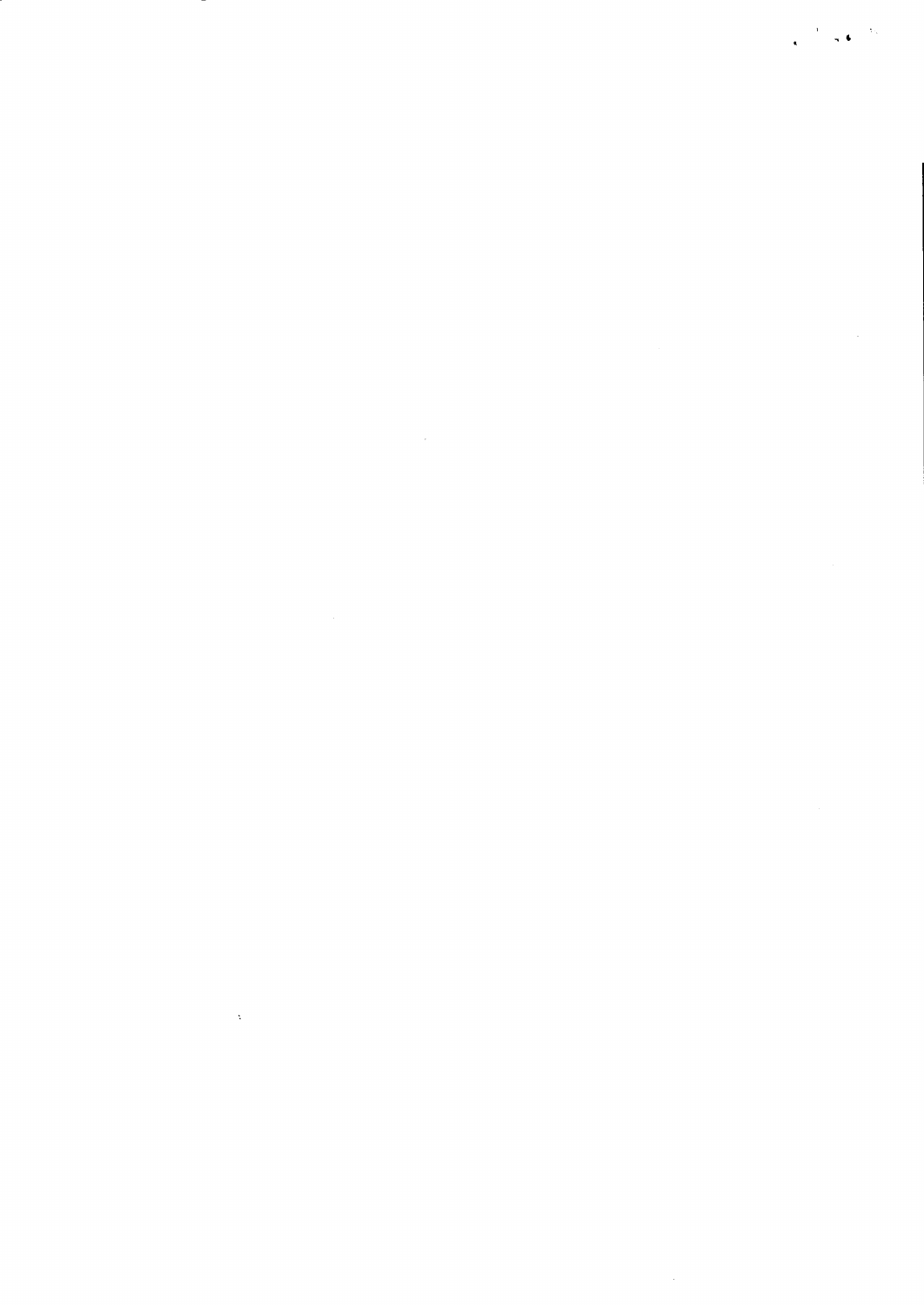$\label{eq:2.1} \frac{1}{\sqrt{2}}\int_{0}^{\infty}\frac{1}{\sqrt{2\pi}}\left(\frac{1}{\sqrt{2\pi}}\right)^{2\alpha} \frac{1}{\sqrt{2\pi}}\int_{0}^{\infty}\frac{1}{\sqrt{2\pi}}\left(\frac{1}{\sqrt{2\pi}}\right)^{\alpha} \frac{1}{\sqrt{2\pi}}\int_{0}^{\infty}\frac{1}{\sqrt{2\pi}}\frac{1}{\sqrt{2\pi}}\frac{1}{\sqrt{2\pi}}\frac{1}{\sqrt{2\pi}}\frac{1}{\sqrt{2\pi}}\frac{1}{\sqrt{2\pi}}\frac{1}{\sqrt{2\pi}}$ 

 $\label{eq:2.1} \mathcal{L}(\mathcal{L}^{\mathcal{L}}_{\mathcal{L}}(\mathcal{L}^{\mathcal{L}}_{\mathcal{L}})) \leq \mathcal{L}(\mathcal{L}^{\mathcal{L}}_{\mathcal{L}}(\mathcal{L}^{\mathcal{L}}_{\mathcal{L}})) \leq \mathcal{L}(\mathcal{L}^{\mathcal{L}}_{\mathcal{L}}(\mathcal{L}^{\mathcal{L}}_{\mathcal{L}}))$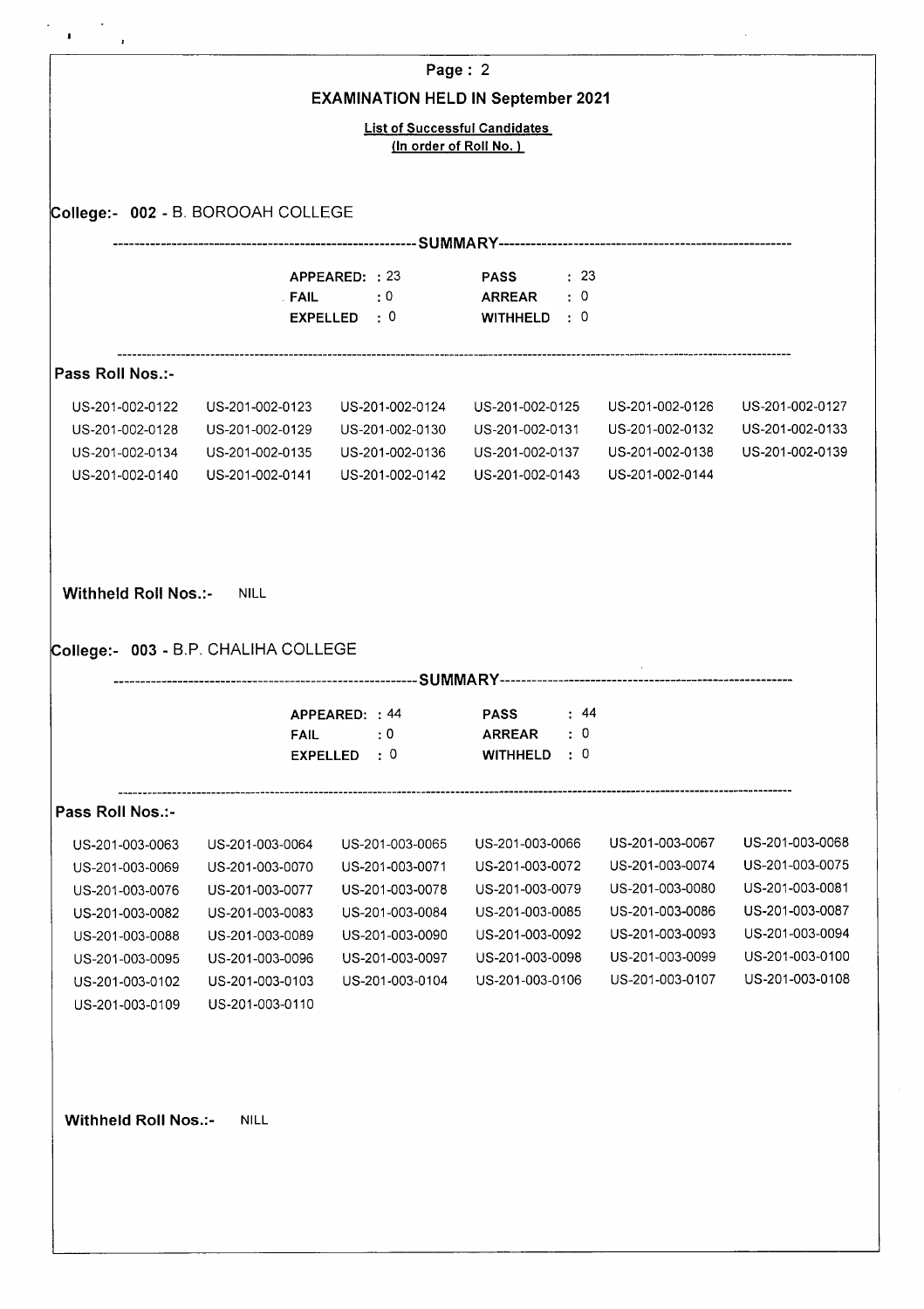|                                                                                                                                                      |                                                                                                                                                      | Page: 2                                                                                                                           |                                                                                                                                   |                                                                                                                                   |                                                                                                                                   |
|------------------------------------------------------------------------------------------------------------------------------------------------------|------------------------------------------------------------------------------------------------------------------------------------------------------|-----------------------------------------------------------------------------------------------------------------------------------|-----------------------------------------------------------------------------------------------------------------------------------|-----------------------------------------------------------------------------------------------------------------------------------|-----------------------------------------------------------------------------------------------------------------------------------|
|                                                                                                                                                      |                                                                                                                                                      |                                                                                                                                   | <b>EXAMINATION HELD IN September 2021</b>                                                                                         |                                                                                                                                   |                                                                                                                                   |
|                                                                                                                                                      |                                                                                                                                                      | <b>List of Successful Candidates</b><br>(In order of Roll No.)                                                                    |                                                                                                                                   |                                                                                                                                   |                                                                                                                                   |
|                                                                                                                                                      | College:- 002 - B. BOROOAH COLLEGE                                                                                                                   |                                                                                                                                   |                                                                                                                                   |                                                                                                                                   |                                                                                                                                   |
|                                                                                                                                                      |                                                                                                                                                      |                                                                                                                                   |                                                                                                                                   |                                                                                                                                   |                                                                                                                                   |
|                                                                                                                                                      | . FAIL                                                                                                                                               | APPEARED: : 23<br>$\cdot$ $:0$<br>EXPELLED : 0                                                                                    | <b>PASS</b> : 23<br>ARREAR : 0<br>WITHHELD : 0                                                                                    |                                                                                                                                   |                                                                                                                                   |
| Pass Roll Nos.:-                                                                                                                                     |                                                                                                                                                      |                                                                                                                                   |                                                                                                                                   |                                                                                                                                   |                                                                                                                                   |
| US-201-002-0122<br>US-201-002-0128<br>US-201-002-0134<br>US-201-002-0140                                                                             | US-201-002-0123<br>US-201-002-0129<br>US-201-002-0135<br>US-201-002-0141                                                                             | US-201-002-0124<br>US-201-002-0130<br>US-201-002-0136<br>US-201-002-0142                                                          | US-201-002-0125<br>US-201-002-0131<br>US-201-002-0137<br>US-201-002-0143                                                          | US-201-002-0126<br>US-201-002-0132<br>US-201-002-0138<br>US-201-002-0144                                                          | US-201-002-0127<br>US-201-002-0133<br>US-201-002-0139                                                                             |
|                                                                                                                                                      |                                                                                                                                                      |                                                                                                                                   |                                                                                                                                   |                                                                                                                                   |                                                                                                                                   |
| <b>Withheld Roll Nos.:-</b>                                                                                                                          | NILL                                                                                                                                                 |                                                                                                                                   |                                                                                                                                   |                                                                                                                                   |                                                                                                                                   |
|                                                                                                                                                      | College:- 003 - B.P. CHALIHA COLLEGE                                                                                                                 |                                                                                                                                   |                                                                                                                                   |                                                                                                                                   |                                                                                                                                   |
|                                                                                                                                                      |                                                                                                                                                      |                                                                                                                                   |                                                                                                                                   |                                                                                                                                   |                                                                                                                                   |
|                                                                                                                                                      | <b>FAIL</b>                                                                                                                                          | APPEARED: : 44<br>$\cdot$ $\cdot$ 0<br>EXPELLED : 0                                                                               | <b>PASS</b><br>: 44<br><b>ARREAR</b><br>: 0<br>WITHHELD : 0                                                                       |                                                                                                                                   |                                                                                                                                   |
| <b>Pass Roll Nos.:-</b>                                                                                                                              |                                                                                                                                                      |                                                                                                                                   |                                                                                                                                   |                                                                                                                                   |                                                                                                                                   |
| US-201-003-0063<br>US-201-003-0069<br>US-201-003-0076<br>US-201-003-0082<br>US-201-003-0088<br>US-201-003-0095<br>US-201-003-0102<br>US-201-003-0109 | US-201-003-0064<br>US-201-003-0070<br>US-201-003-0077<br>US-201-003-0083<br>US-201-003-0089<br>US-201-003-0096<br>US-201-003-0103<br>US-201-003-0110 | US-201-003-0065<br>US-201-003-0071<br>US-201-003-0078<br>US-201-003-0084<br>US-201-003-0090<br>US-201-003-0097<br>US-201-003-0104 | US-201-003-0066<br>US-201-003-0072<br>US-201-003-0079<br>US-201-003-0085<br>US-201-003-0092<br>US-201-003-0098<br>US-201-003-0106 | US-201-003-0067<br>US-201-003-0074<br>US-201-003-0080<br>US-201-003-0086<br>US-201-003-0093<br>US-201-003-0099<br>US-201-003-0107 | US-201-003-0068<br>US-201-003-0075<br>US-201-003-0081<br>US-201-003-0087<br>US-201-003-0094<br>US-201-003-0100<br>US-201-003-0108 |
| <b>Withheld Roll Nos.:-</b>                                                                                                                          | <b>NILL</b>                                                                                                                                          |                                                                                                                                   |                                                                                                                                   |                                                                                                                                   |                                                                                                                                   |

 $\label{eq:2} \frac{1}{\sqrt{2}}\int_{\mathbb{R}^3}\frac{1}{\sqrt{2}}\left(\frac{1}{\sqrt{2}}\right)^2\frac{1}{\sqrt{2}}\,d\mu$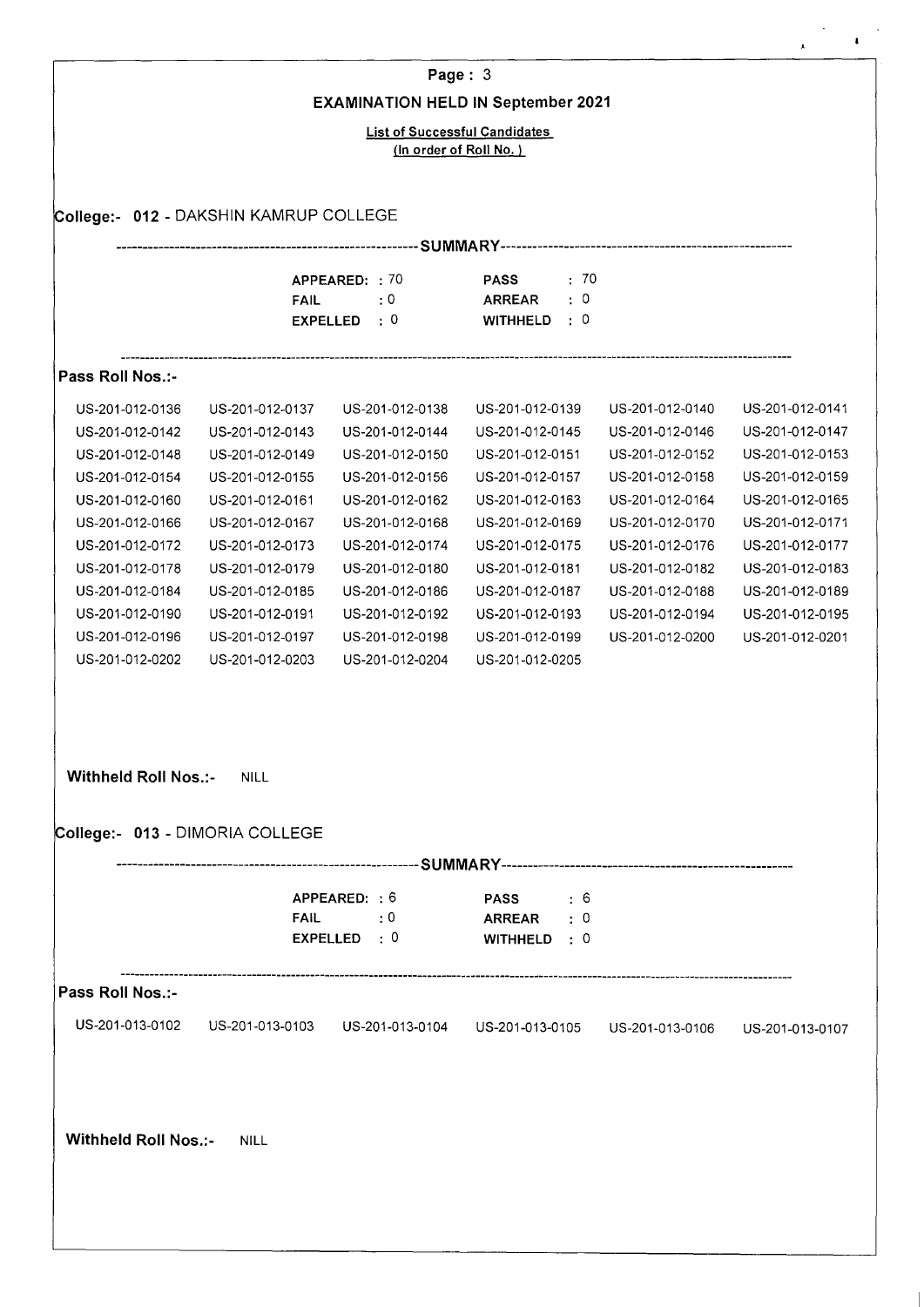|                                        |                                | Page: 3                                                        |                                                                                                 |                 |                 |
|----------------------------------------|--------------------------------|----------------------------------------------------------------|-------------------------------------------------------------------------------------------------|-----------------|-----------------|
|                                        |                                |                                                                | <b>EXAMINATION HELD IN September 2021</b>                                                       |                 |                 |
|                                        |                                | <b>List of Successful Candidates</b><br>(In order of Roll No.) |                                                                                                 |                 |                 |
|                                        |                                |                                                                |                                                                                                 |                 |                 |
| College:- 012 - DAKSHIN KAMRUP COLLEGE |                                |                                                                |                                                                                                 |                 |                 |
|                                        |                                |                                                                |                                                                                                 |                 |                 |
|                                        |                                | APPEARED: : 70                                                 | : 70<br><b>PASS</b><br>$\cdot$ 0                                                                |                 |                 |
|                                        | <b>FAIL</b><br><b>EXPELLED</b> | : 0<br>$\cdot : 0$                                             | <b>ARREAR</b><br>WITHHELD : 0                                                                   |                 |                 |
| Pass Roll Nos.:-                       |                                |                                                                |                                                                                                 |                 |                 |
| US-201-012-0136                        | US-201-012-0137                | US-201-012-0138                                                | US-201-012-0139                                                                                 | US-201-012-0140 | US-201-012-0141 |
| US-201-012-0142                        | US-201-012-0143                | US-201-012-0144                                                | US-201-012-0145                                                                                 | US-201-012-0146 | US-201-012-0147 |
| US-201-012-0148                        | US-201-012-0149                | US-201-012-0150                                                | US-201-012-0151                                                                                 | US-201-012-0152 | US-201-012-0153 |
| US-201-012-0154                        | US-201-012-0155                | US-201-012-0156                                                | US-201-012-0157                                                                                 | US-201-012-0158 | US-201-012-0159 |
| US-201-012-0160                        | US-201-012-0161                | US-201-012-0162                                                | US-201-012-0163                                                                                 | US-201-012-0164 | US-201-012-0165 |
| US-201-012-0166                        | US-201-012-0167                | US-201-012-0168                                                | US-201-012-0169                                                                                 | US-201-012-0170 | US-201-012-0171 |
| US-201-012-0172                        | US-201-012-0173                | US-201-012-0174                                                | US-201-012-0175                                                                                 | US-201-012-0176 | US-201-012-0177 |
| US-201-012-0178                        | US-201-012-0179                | US-201-012-0180                                                | US-201-012-0181                                                                                 | US-201-012-0182 | US-201-012-0183 |
| US-201-012-0184                        | US-201-012-0185                | US-201-012-0186                                                | US-201-012-0187                                                                                 | US-201-012-0188 | US-201-012-0189 |
| US-201-012-0190                        | US-201-012-0191                | US-201-012-0192                                                | US-201-012-0193                                                                                 | US-201-012-0194 | US-201-012-0195 |
| US-201-012-0196                        | US-201-012-0197                | US-201-012-0198                                                | US-201-012-0199                                                                                 | US-201-012-0200 | US-201-012-0201 |
| US-201-012-0202                        | US-201-012-0203                | US-201-012-0204                                                | US-201-012-0205                                                                                 |                 |                 |
| <b>Withheld Roll Nos.:-</b>            | <b>NILL</b>                    |                                                                |                                                                                                 |                 |                 |
| College:- 013 - DIMORIA COLLEGE        |                                |                                                                |                                                                                                 |                 |                 |
|                                        |                                | APPEARED: 6                                                    | <b>PASS</b> : 6                                                                                 |                 |                 |
|                                        | <b>FAIL</b>                    | $\cdot$ $\cdot$ $\cdot$ 0<br>$EXPELLED$ : 0                    | ARREAR : 0<br>WITHHELD : 0                                                                      |                 |                 |
| Pass Roll Nos.:-                       |                                |                                                                |                                                                                                 |                 |                 |
|                                        |                                |                                                                | US-201-013-0102 US-201-013-0103 US-201-013-0104 US-201-013-0105 US-201-013-0106 US-201-013-0107 |                 |                 |
| <b>Withheld Roll Nos.:-</b>            | <b>NILL</b>                    |                                                                |                                                                                                 |                 |                 |
|                                        |                                |                                                                |                                                                                                 |                 |                 |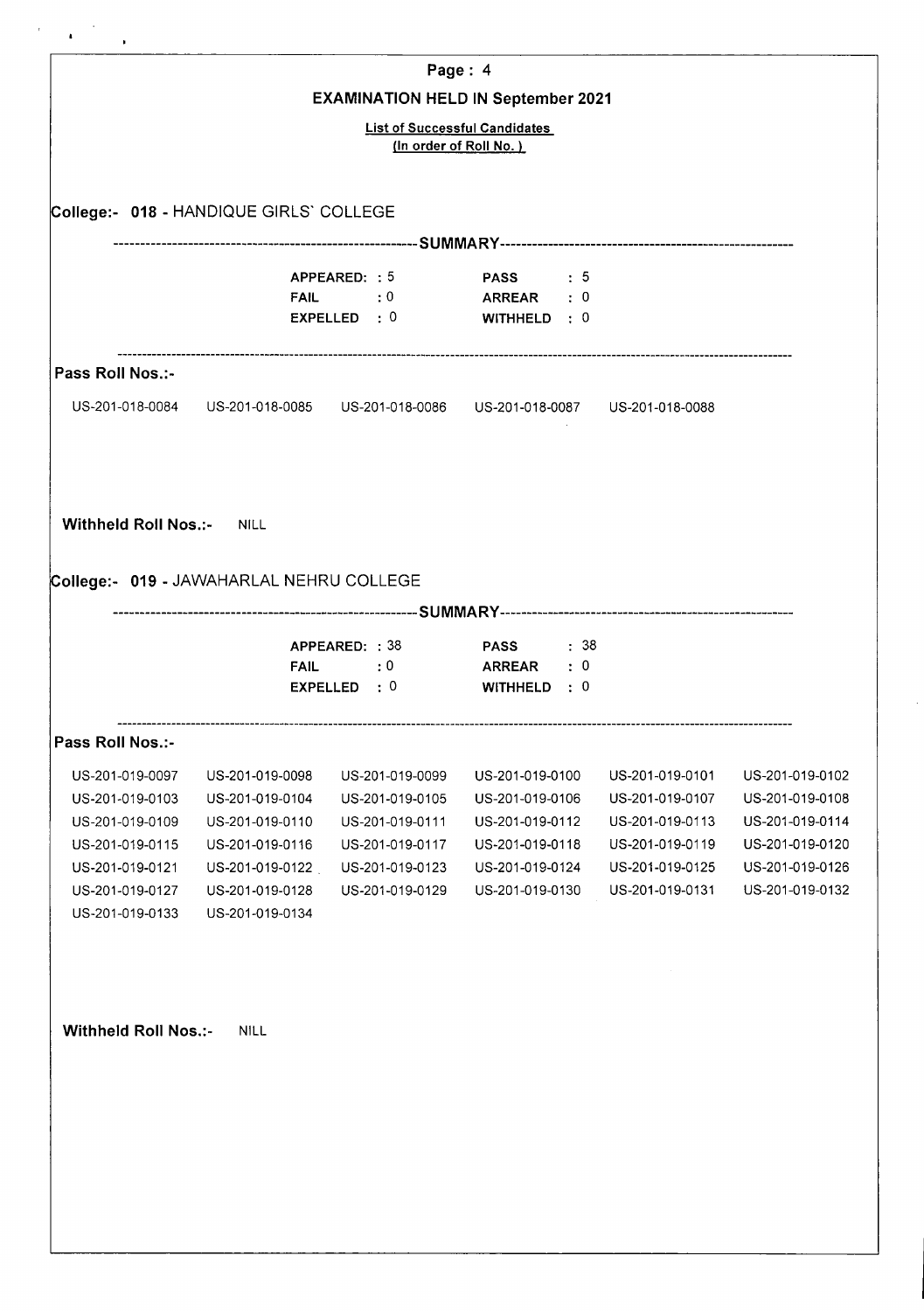|                                          |                                                                                             |                                           | Page: 4         |                 |                 |
|------------------------------------------|---------------------------------------------------------------------------------------------|-------------------------------------------|-----------------|-----------------|-----------------|
|                                          |                                                                                             | <b>EXAMINATION HELD IN September 2021</b> |                 |                 |                 |
|                                          |                                                                                             | <b>List of Successful Candidates</b>      |                 |                 |                 |
|                                          |                                                                                             | (In order of Roll No.)                    |                 |                 |                 |
|                                          |                                                                                             |                                           |                 |                 |                 |
| College:- 018 - HANDIQUE GIRLS' COLLEGE  |                                                                                             |                                           |                 |                 |                 |
|                                          |                                                                                             |                                           |                 |                 |                 |
|                                          |                                                                                             | APPEARED: : 5 PASS : 5                    |                 |                 |                 |
|                                          |                                                                                             | FAIL : 0                                  | ARREAR : 0      |                 |                 |
|                                          |                                                                                             | EXPELLED : 0 WITHHELD : 0                 |                 |                 |                 |
| Pass Roll Nos.:-                         |                                                                                             |                                           |                 |                 |                 |
|                                          | US-201-018-0084    US-201-018-0085    US-201-018-0086    US-201-018-0087    US-201-018-0088 |                                           |                 |                 |                 |
|                                          |                                                                                             |                                           |                 |                 |                 |
|                                          |                                                                                             |                                           |                 |                 |                 |
|                                          |                                                                                             |                                           |                 |                 |                 |
|                                          |                                                                                             |                                           |                 |                 |                 |
| Withheld Roll Nos.:- NILL                |                                                                                             |                                           |                 |                 |                 |
|                                          |                                                                                             |                                           |                 |                 |                 |
| College:- 019 - JAWAHARLAL NEHRU COLLEGE |                                                                                             |                                           |                 |                 |                 |
|                                          |                                                                                             |                                           |                 |                 |                 |
|                                          |                                                                                             |                                           |                 |                 |                 |
|                                          |                                                                                             | APPEARED: : 38 PASS : 38                  |                 |                 |                 |
|                                          |                                                                                             | FAIL : 0 ARREAR : 0                       |                 |                 |                 |
|                                          |                                                                                             | EXPELLED : 0                              | WITHHELD : 0    |                 |                 |
| Pass Roll Nos.:-                         |                                                                                             |                                           |                 |                 |                 |
| US-201-019-0097                          | US-201-019-0098                                                                             | US-201-019-0099                           | US-201-019-0100 | US-201-019-0101 | US-201-019-0102 |
| US-201-019-0103                          | US-201-019-0104                                                                             | US-201-019-0105                           | US-201-019-0106 | US-201-019-0107 | US-201-019-0108 |
| US-201-019-0109                          | US-201-019-0110                                                                             | US-201-019-0111                           | US-201-019-0112 | US-201-019-0113 | US-201-019-0114 |
| US-201-019-0115                          | US-201-019-0116                                                                             | US-201-019-0117                           | US-201-019-0118 | US-201-019-0119 | US-201-019-0120 |
| US-201-019-0121                          | US-201-019-0122                                                                             | US-201-019-0123                           | US-201-019-0124 | US-201-019-0125 | US-201-019-0126 |
| US-201-019-0127                          | US-201-019-0128                                                                             | US-201-019-0129                           | US-201-019-0130 | US-201-019-0131 | US-201-019-0132 |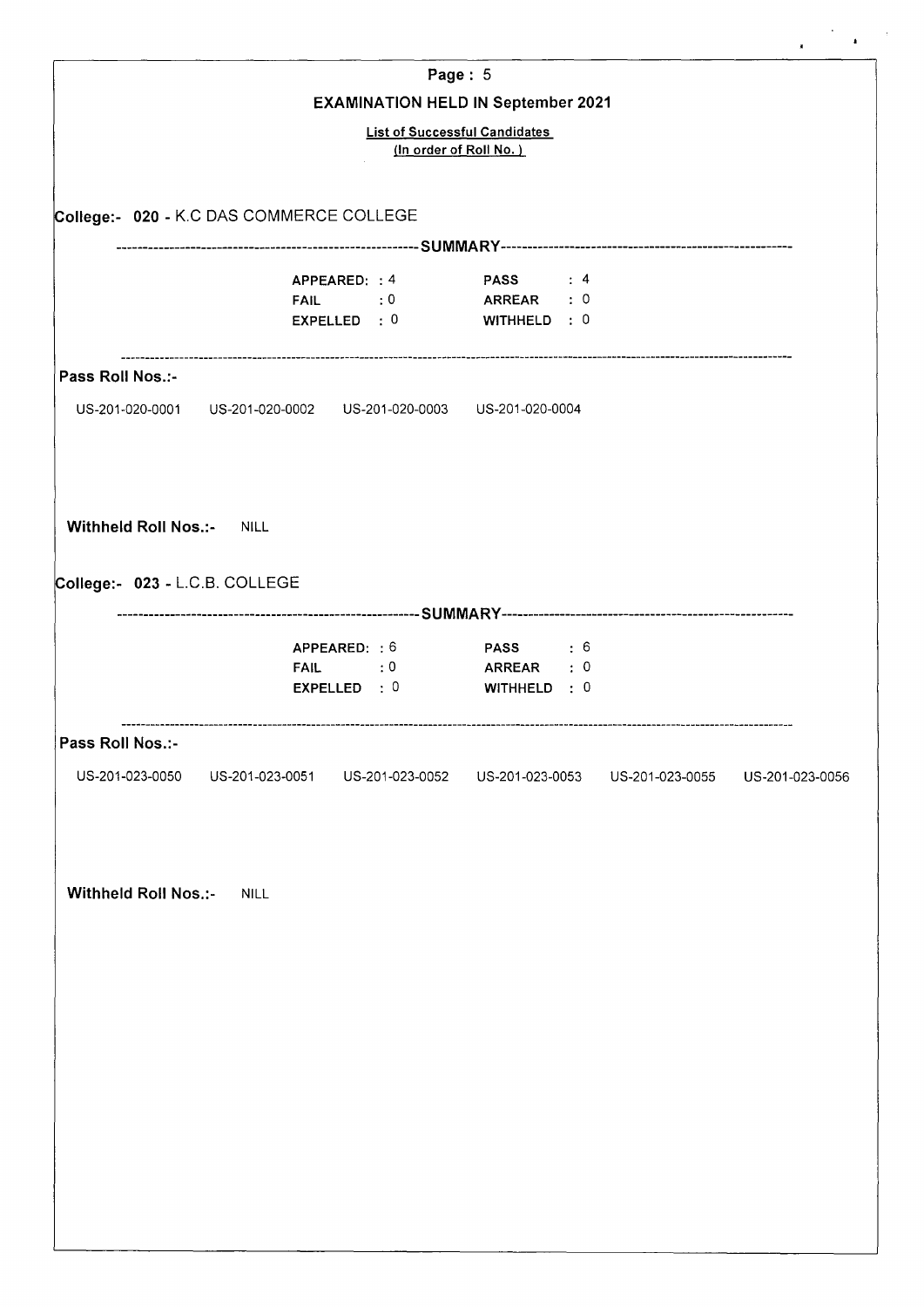|                                                               |                 | Page: 5                                                        |                                              |                 | $\pmb{\cdot}$   |
|---------------------------------------------------------------|-----------------|----------------------------------------------------------------|----------------------------------------------|-----------------|-----------------|
|                                                               |                 |                                                                | <b>EXAMINATION HELD IN September 2021</b>    |                 |                 |
|                                                               |                 | <b>List of Successful Candidates</b><br>(In order of Roll No.) |                                              |                 |                 |
| College:- 020 - K.C DAS COMMERCE COLLEGE                      |                 |                                                                |                                              |                 |                 |
|                                                               |                 |                                                                |                                              |                 |                 |
|                                                               |                 | APPEARED: : 4<br>FAIL : 0<br>$EXPELLED$ : $0$                  | PASS : 4<br>ARREAR : 0<br>WITHHELD : 0       |                 |                 |
| Pass Roll Nos.:-                                              |                 |                                                                |                                              |                 |                 |
|                                                               |                 |                                                                |                                              |                 |                 |
| <b>Withheld Roll Nos.:-</b><br>College:- 023 - L.C.B. COLLEGE | <b>NILL</b>     |                                                                |                                              |                 |                 |
|                                                               |                 |                                                                |                                              |                 |                 |
|                                                               |                 | APPEARED: : 6<br>FAIL : 0<br>EXPELLED : 0                      | PASS : 6<br>ARREAR : 0<br><b>WITHHELD: 0</b> |                 |                 |
| Pass Roll Nos.:-                                              |                 |                                                                |                                              |                 |                 |
| US-201-023-0050                                               | US-201-023-0051 | US-201-023-0052                                                | US-201-023-0053                              | US-201-023-0055 | US-201-023-0056 |
| <b>Withheld Roll Nos.:-</b>                                   | <b>NILL</b>     |                                                                |                                              |                 |                 |
|                                                               |                 |                                                                |                                              |                 |                 |
|                                                               |                 |                                                                |                                              |                 |                 |
|                                                               |                 |                                                                |                                              |                 |                 |
|                                                               |                 |                                                                |                                              |                 |                 |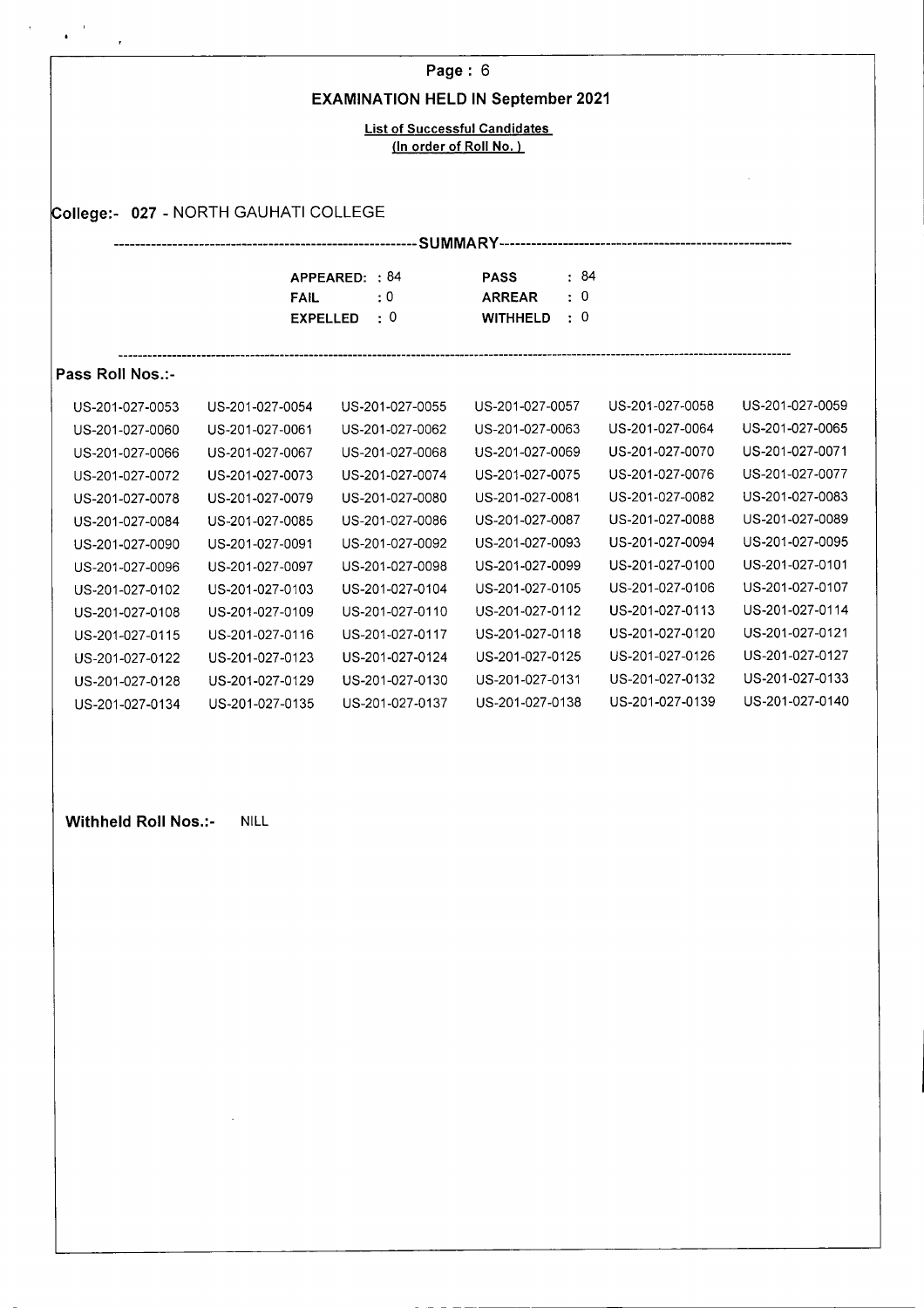# **EXAMINATION HELD IN September 2021**

**List of Successful Candidates (In order of Roll No.)** 

# **College:- 027** - NORTH GAUHATI COLLEGE

| APPEARED: : 84 |  | <b>PASS</b>  |  | . 84 |  |  |  |
|----------------|--|--------------|--|------|--|--|--|
| FAIL : 0       |  | ARREAR : 0   |  |      |  |  |  |
| EXPELLED : 0   |  | WITHHELD : 0 |  |      |  |  |  |
|                |  |              |  |      |  |  |  |

#### **Pass Roll Nos.:**-

 $\label{eq:2.1} \begin{array}{l} \mathcal{A}_{\mathcal{A}}(x) = \frac{1}{\sqrt{2\pi}} \mathcal{A}_{\mathcal{A}}(x) \, , \\ \mathcal{A}_{\mathcal{A}}(x) = \frac{1}{\sqrt{2\pi}} \mathcal{A}_{\mathcal{A}}(x) \, , \end{array}$ 

| US-201-027-0053 | US-201-027-0054 | US-201-027-0055 | US-201-027-0057 | US-201-027-0058 | US-201-027-0059 |
|-----------------|-----------------|-----------------|-----------------|-----------------|-----------------|
| US-201-027-0060 | US-201-027-0061 | US-201-027-0062 | US-201-027-0063 | US-201-027-0064 | US-201-027-0065 |
| US-201-027-0066 | US-201-027-0067 | US-201-027-0068 | US-201-027-0069 | US-201-027-0070 | US-201-027-0071 |
| US-201-027-0072 | US-201-027-0073 | US-201-027-0074 | US-201-027-0075 | US-201-027-0076 | US-201-027-0077 |
| US-201-027-0078 | US-201-027-0079 | US-201-027-0080 | US-201-027-0081 | US-201-027-0082 | US-201-027-0083 |
| US-201-027-0084 | US-201-027-0085 | US-201-027-0086 | US-201-027-0087 | US-201-027-0088 | US-201-027-0089 |
| US-201-027-0090 | US-201-027-0091 | US-201-027-0092 | US-201-027-0093 | US-201-027-0094 | US-201-027-0095 |
| US-201-027-0096 | US-201-027-0097 | US-201-027-0098 | US-201-027-0099 | US-201-027-0100 | US-201-027-0101 |
| US-201-027-0102 | US-201-027-0103 | US-201-027-0104 | US-201-027-0105 | US-201-027-0106 | US-201-027-0107 |
| US-201-027-0108 | US-201-027-0109 | US-201-027-0110 | US-201-027-0112 | US-201-027-0113 | US-201-027-0114 |
| US-201-027-0115 | US-201-027-0116 | US-201-027-0117 | US-201-027-0118 | US-201-027-0120 | US-201-027-0121 |
| US-201-027-0122 | US-201-027-0123 | US-201-027-0124 | US-201-027-0125 | US-201-027-0126 | US-201-027-0127 |
| US-201-027-0128 | US-201-027-0129 | US-201-027-0130 | US-201-027-0131 | US-201-027-0132 | US-201-027-0133 |
| US-201-027-0134 | US-201-027-0135 | US-201-027-0137 | US-201-027-0138 | US-201-027-0139 | US-201-027-0140 |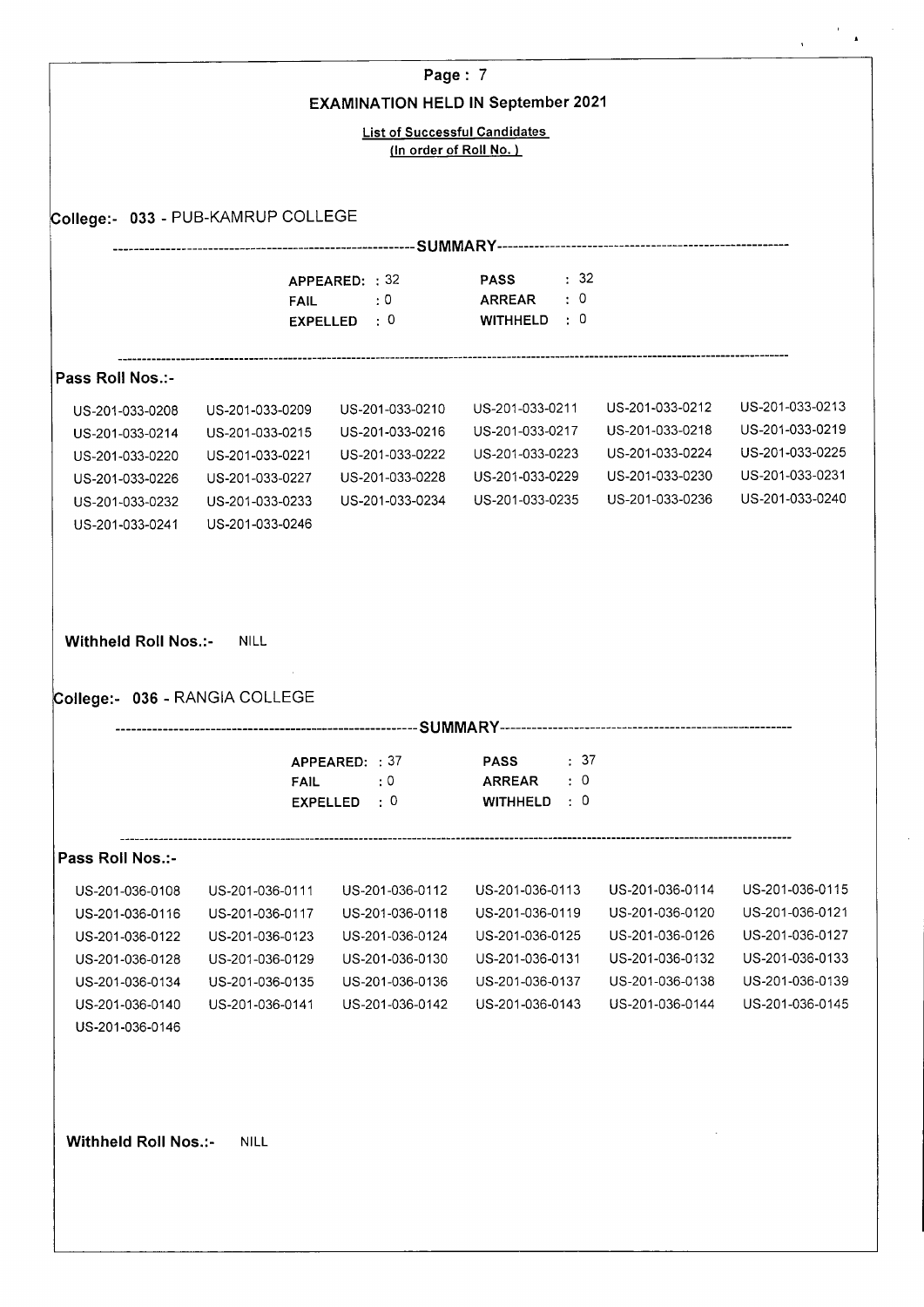|                                                                |                                | Page: 7                                   |                                                                |                 |                                                                                             |  |  |  |
|----------------------------------------------------------------|--------------------------------|-------------------------------------------|----------------------------------------------------------------|-----------------|---------------------------------------------------------------------------------------------|--|--|--|
|                                                                |                                |                                           | <b>EXAMINATION HELD IN September 2021</b>                      |                 |                                                                                             |  |  |  |
| <b>List of Successful Candidates</b><br>(In order of Roll No.) |                                |                                           |                                                                |                 |                                                                                             |  |  |  |
| College:- 033 - PUB-KAMRUP COLLEGE                             |                                |                                           |                                                                |                 |                                                                                             |  |  |  |
|                                                                |                                |                                           |                                                                |                 |                                                                                             |  |  |  |
|                                                                |                                | APPEARED: : 32                            | $\cdot$ 32<br><b>PASS</b>                                      |                 |                                                                                             |  |  |  |
|                                                                | <b>FAIL</b>                    | $\cdot$ $\cdot$ $\cdot$ 0<br>EXPELLED : 0 | ARREAR : 0<br>WITHHELD : 0                                     |                 |                                                                                             |  |  |  |
| Pass Roll Nos.:-                                               |                                |                                           |                                                                |                 |                                                                                             |  |  |  |
| US-201-033-0208                                                | US-201-033-0209                | US-201-033-0210                           | US-201-033-0211                                                | US-201-033-0212 | US-201-033-0213                                                                             |  |  |  |
| US-201-033-0214                                                | US-201-033-0215                | US-201-033-0216                           | US-201-033-0217                                                | US-201-033-0218 | US-201-033-0219                                                                             |  |  |  |
| US-201-033-0220                                                | US-201-033-0221                | US-201-033-0222                           | US-201-033-0223                                                | US-201-033-0224 | US-201-033-0225                                                                             |  |  |  |
| US-201-033-0226                                                | US-201-033-0227                | US-201-033-0228                           | US-201-033-0229                                                | US-201-033-0230 | US-201-033-0231                                                                             |  |  |  |
| US-201-033-0232                                                | US-201-033-0233                | US-201-033-0234                           | US-201-033-0235                                                | US-201-033-0236 | US-201-033-0240                                                                             |  |  |  |
| US-201-033-0241                                                | US-201-033-0246                |                                           |                                                                |                 |                                                                                             |  |  |  |
| College:- 036 - RANGIA COLLEGE                                 |                                |                                           |                                                                |                 |                                                                                             |  |  |  |
|                                                                |                                |                                           |                                                                |                 |                                                                                             |  |  |  |
|                                                                |                                |                                           |                                                                |                 |                                                                                             |  |  |  |
|                                                                | <b>FAIL</b><br><b>EXPELLED</b> | APPEARED: : 37<br>: 0<br>. 0              | : 37<br><b>PASS</b><br>: 0<br>ARREAR<br><b>WITHHELD</b><br>: 0 |                 |                                                                                             |  |  |  |
| Pass Roll Nos.:-                                               |                                |                                           |                                                                |                 |                                                                                             |  |  |  |
| US-201-036-0108                                                | US-201-036-0111                | US-201-036-0112                           | US-201-036-0113                                                | US-201-036-0114 | US-201-036-0115                                                                             |  |  |  |
| US-201-036-0116                                                | US-201-036-0117                | US-201-036-0118                           | US-201-036-0119                                                | US-201-036-0120 |                                                                                             |  |  |  |
| US-201-036-0122                                                | US-201-036-0123                | US-201-036-0124                           | US-201-036-0125                                                | US-201-036-0126 |                                                                                             |  |  |  |
| US-201-036-0128                                                | US-201-036-0129                | US-201-036-0130                           | US-201-036-0131                                                | US-201-036-0132 |                                                                                             |  |  |  |
| US-201-036-0134                                                | US-201-036-0135                | US-201-036-0136                           | US-201-036-0137                                                | US-201-036-0138 |                                                                                             |  |  |  |
| US-201-036-0140                                                | US-201-036-0141                | US-201-036-0142                           | US-201-036-0143                                                | US-201-036-0144 |                                                                                             |  |  |  |
| US-201-036-0146                                                |                                |                                           |                                                                |                 | US-201-036-0121<br>US-201-036-0127<br>US-201-036-0133<br>US-201-036-0139<br>US-201-036-0145 |  |  |  |

 $\overline{\phantom{a}}$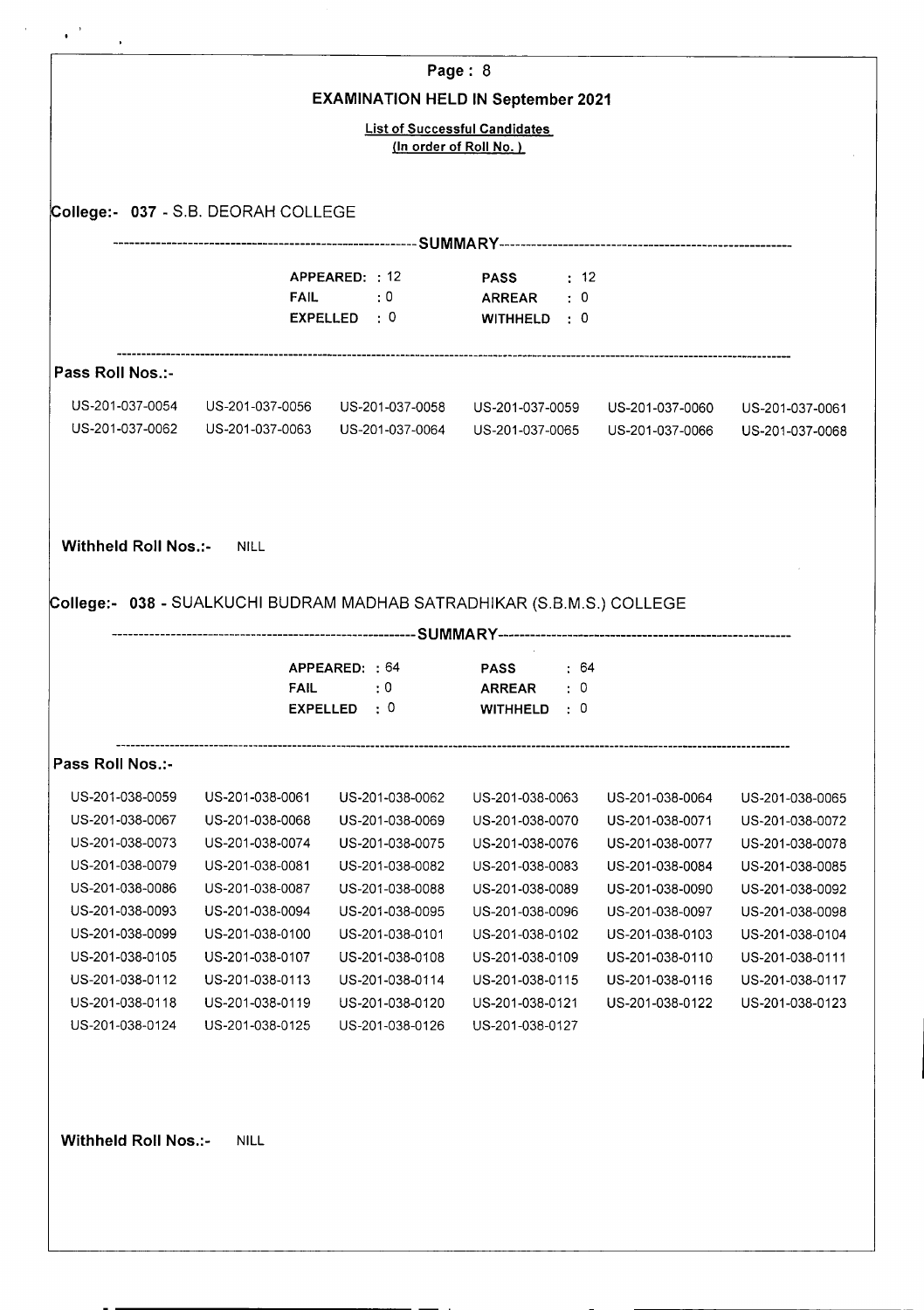|                                     |                                     |                                                   | Page: 8                                                                |                 |                                                                                                                                                                                            |
|-------------------------------------|-------------------------------------|---------------------------------------------------|------------------------------------------------------------------------|-----------------|--------------------------------------------------------------------------------------------------------------------------------------------------------------------------------------------|
|                                     |                                     |                                                   | <b>EXAMINATION HELD IN September 2021</b>                              |                 |                                                                                                                                                                                            |
|                                     |                                     |                                                   | <b>List of Successful Candidates</b>                                   |                 |                                                                                                                                                                                            |
|                                     |                                     |                                                   | (In order of Roll No.)                                                 |                 |                                                                                                                                                                                            |
|                                     |                                     |                                                   |                                                                        |                 |                                                                                                                                                                                            |
|                                     | College:- 037 - S.B. DEORAH COLLEGE |                                                   |                                                                        |                 |                                                                                                                                                                                            |
|                                     |                                     |                                                   |                                                                        |                 |                                                                                                                                                                                            |
|                                     |                                     | APPEARED: : 12                                    | <b>PASS</b> : 12                                                       |                 |                                                                                                                                                                                            |
|                                     | <b>FAIL</b>                         | $\cdot \cdot \cdot \cdot$ : 0 $\cdot \cdot \cdot$ | ARREAR : 0                                                             |                 |                                                                                                                                                                                            |
|                                     |                                     | EXPELLED : 0                                      | WITHHELD : 0                                                           |                 |                                                                                                                                                                                            |
| Pass Roll Nos.:-                    |                                     |                                                   |                                                                        |                 |                                                                                                                                                                                            |
| US-201-037-0054                     | US-201-037-0056                     | US-201-037-0058                                   | US-201-037-0059                                                        | US-201-037-0060 | US-201-037-0061                                                                                                                                                                            |
| US-201-037-0062                     | US-201-037-0063                     | US-201-037-0064                                   | US-201-037-0065                                                        | US-201-037-0066 | US-201-037-0068                                                                                                                                                                            |
|                                     |                                     |                                                   |                                                                        |                 |                                                                                                                                                                                            |
|                                     | <b>NILL</b>                         |                                                   |                                                                        |                 |                                                                                                                                                                                            |
| <b>Withheld Roll Nos.:-</b>         |                                     |                                                   |                                                                        |                 |                                                                                                                                                                                            |
|                                     |                                     |                                                   | College:- 038 - SUALKUCHI BUDRAM MADHAB SATRADHIKAR (S.B.M.S.) COLLEGE |                 |                                                                                                                                                                                            |
|                                     |                                     |                                                   |                                                                        |                 |                                                                                                                                                                                            |
|                                     |                                     | APPEARED: : 64                                    | <b>PASS</b><br>: 64                                                    |                 |                                                                                                                                                                                            |
|                                     | <b>FAIL</b>                         | $\mathbf{.0}$                                     | <b>ARREAR</b><br>: 0                                                   |                 |                                                                                                                                                                                            |
|                                     |                                     | EXPELLED : 0                                      | WITHHELD : 0                                                           |                 |                                                                                                                                                                                            |
|                                     |                                     |                                                   |                                                                        |                 |                                                                                                                                                                                            |
| US-201-038-0059                     | US-201-038-0061                     | US-201-038-0062                                   | US-201-038-0063                                                        | US-201-038-0064 |                                                                                                                                                                                            |
| US-201-038-0067                     | US-201-038-0068                     | US-201-038-0069                                   | US-201-038-0070                                                        | US-201-038-0071 |                                                                                                                                                                                            |
| US-201-038-0073                     | US-201-038-0074                     | US-201-038-0075                                   | US-201-038-0076                                                        | US-201-038-0077 |                                                                                                                                                                                            |
| US-201-038-0079                     | US-201-038-0081                     | US-201-038-0082                                   | US-201-038-0083                                                        | US-201-038-0084 |                                                                                                                                                                                            |
| US-201-038-0086                     | US-201-038-0087                     | US-201-038-0088                                   | US-201-038-0089                                                        | US-201-038-0090 |                                                                                                                                                                                            |
| Pass Roll Nos.:-<br>US-201-038-0093 | US-201-038-0094                     | US-201-038-0095                                   | US-201-038-0096                                                        | US-201-038-0097 |                                                                                                                                                                                            |
| US-201-038-0099                     | US-201-038-0100                     | US-201-038-0101                                   | US-201-038-0102                                                        | US-201-038-0103 |                                                                                                                                                                                            |
| US-201-038-0105                     | US-201-038-0107                     | US-201-038-0108                                   | US-201-038-0109                                                        | US-201-038-0110 |                                                                                                                                                                                            |
| US-201-038-0112                     | US-201-038-0113                     | US-201-038-0114                                   | US-201-038-0115                                                        | US-201-038-0116 |                                                                                                                                                                                            |
| US-201-038-0118                     | US-201-038-0119                     | US-201-038-0120                                   | US-201-038-0121                                                        | US-201-038-0122 | US-201-038-0065<br>US-201-038-0072<br>US-201-038-0078<br>US-201-038-0085<br>US-201-038-0092<br>US-201-038-0098<br>US-201-038-0104<br>US-201-038-0111<br>US-201-038-0117<br>US-201-038-0123 |
| US-201-038-0124                     | US-201-038-0125                     | US-201-038-0126                                   | US-201-038-0127                                                        |                 |                                                                                                                                                                                            |
|                                     |                                     |                                                   |                                                                        |                 |                                                                                                                                                                                            |
|                                     |                                     |                                                   |                                                                        |                 |                                                                                                                                                                                            |
|                                     |                                     |                                                   |                                                                        |                 |                                                                                                                                                                                            |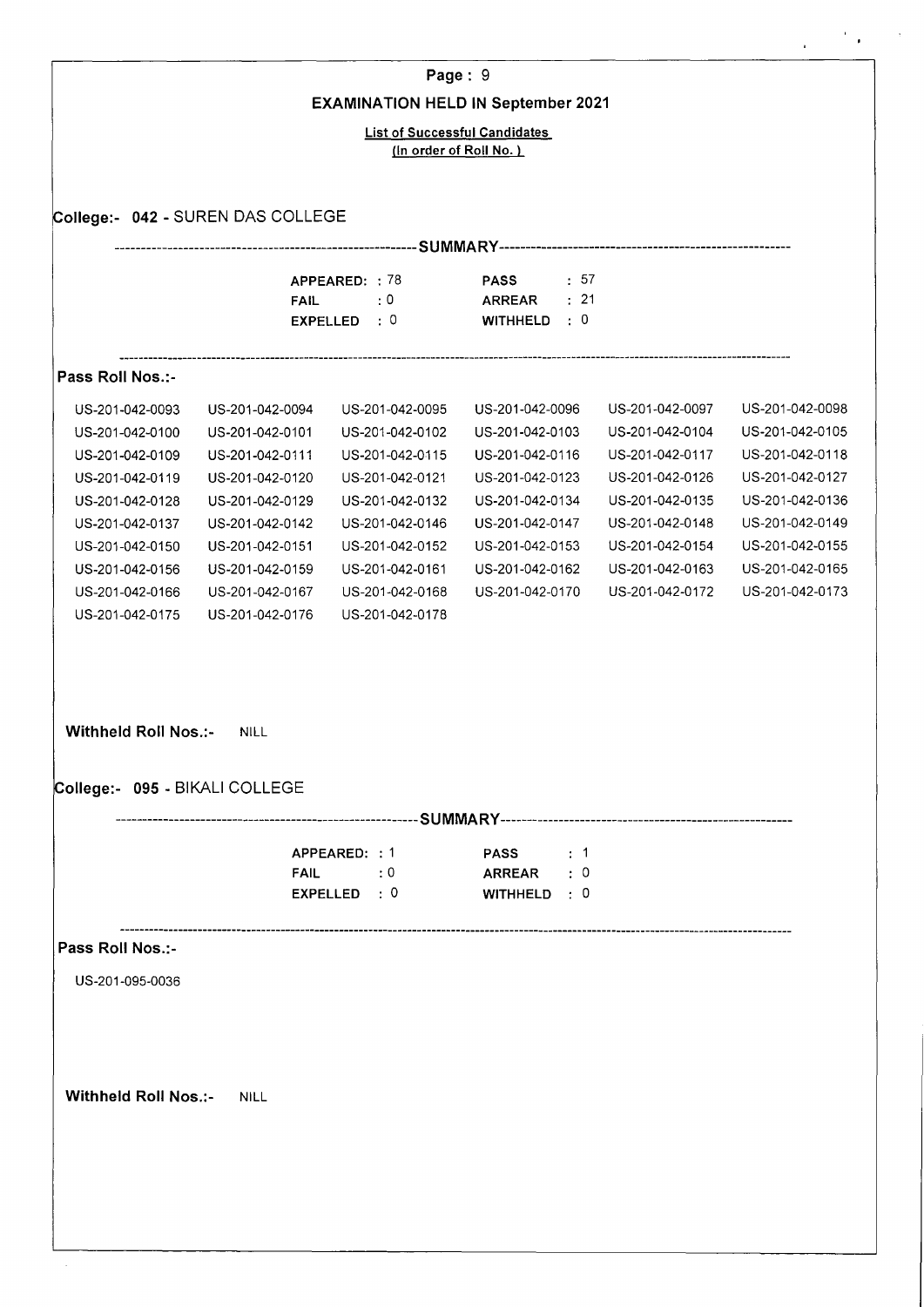|                                   |                 | Page: 9                                                        |                                                 |                 |                 |
|-----------------------------------|-----------------|----------------------------------------------------------------|-------------------------------------------------|-----------------|-----------------|
|                                   |                 |                                                                | <b>EXAMINATION HELD IN September 2021</b>       |                 |                 |
|                                   |                 | <b>List of Successful Candidates</b><br>(In order of Roll No.) |                                                 |                 |                 |
|                                   |                 |                                                                |                                                 |                 |                 |
|                                   |                 |                                                                |                                                 |                 |                 |
| College:- 042 - SUREN DAS COLLEGE |                 |                                                                |                                                 |                 |                 |
|                                   |                 |                                                                |                                                 |                 |                 |
|                                   | <b>FAIL</b>     | APPEARED: : 78<br>$\cdot$ : 0                                  | $\div$ 57<br><b>PASS</b><br>$\div$ 21<br>ARREAR |                 |                 |
|                                   |                 | EXPELLED : 0                                                   | WITHHELD : 0                                    |                 |                 |
|                                   |                 |                                                                |                                                 |                 |                 |
| Pass Roll Nos.:-                  |                 |                                                                |                                                 |                 |                 |
| US-201-042-0093                   | US-201-042-0094 | US-201-042-0095                                                | US-201-042-0096                                 | US-201-042-0097 | US-201-042-0098 |
| US-201-042-0100                   | US-201-042-0101 | US-201-042-0102                                                | US-201-042-0103                                 | US-201-042-0104 | US-201-042-0105 |
| US-201-042-0109                   | US-201-042-0111 | US-201-042-0115                                                | US-201-042-0116                                 | US-201-042-0117 | US-201-042-0118 |
| US-201-042-0119                   | US-201-042-0120 | US-201-042-0121                                                | US-201-042-0123                                 | US-201-042-0126 | US-201-042-0127 |
| US-201-042-0128                   | US-201-042-0129 | US-201-042-0132                                                | US-201-042-0134                                 | US-201-042-0135 | US-201-042-0136 |
| US-201-042-0137                   | US-201-042-0142 | US-201-042-0146                                                | US-201-042-0147                                 | US-201-042-0148 | US-201-042-0149 |
| US-201-042-0150                   | US-201-042-0151 | US-201-042-0152                                                | US-201-042-0153                                 | US-201-042-0154 | US-201-042-0155 |
| US-201-042-0156                   | US-201-042-0159 | US-201-042-0161                                                | US-201-042-0162                                 | US-201-042-0163 | US-201-042-0165 |
| US-201-042-0166                   | US-201-042-0167 | US-201-042-0168                                                | US-201-042-0170                                 | US-201-042-0172 | US-201-042-0173 |
| <b>Withheld Roll Nos.:-</b>       | <b>NILL</b>     |                                                                |                                                 |                 |                 |
| College:- 095 - BIKALI COLLEGE    |                 |                                                                |                                                 |                 |                 |
|                                   |                 |                                                                |                                                 |                 |                 |
|                                   |                 | APPEARED: : 1                                                  | PASS : 1                                        |                 |                 |
|                                   |                 | FAIL : 0                                                       | ARREAR : 0                                      |                 |                 |
|                                   |                 | $EXPELLED$ : 0                                                 | WITHHELD : 0                                    |                 |                 |
| Pass Roll Nos.:-                  |                 |                                                                |                                                 |                 |                 |
|                                   |                 |                                                                |                                                 |                 |                 |
| US-201-095-0036                   |                 |                                                                |                                                 |                 |                 |
|                                   |                 |                                                                |                                                 |                 |                 |
|                                   |                 |                                                                |                                                 |                 |                 |
| <b>Withheld Roll Nos.:-</b>       | <b>NILL</b>     |                                                                |                                                 |                 |                 |
|                                   |                 |                                                                |                                                 |                 |                 |
|                                   |                 |                                                                |                                                 |                 |                 |
|                                   |                 |                                                                |                                                 |                 |                 |
|                                   |                 |                                                                |                                                 |                 |                 |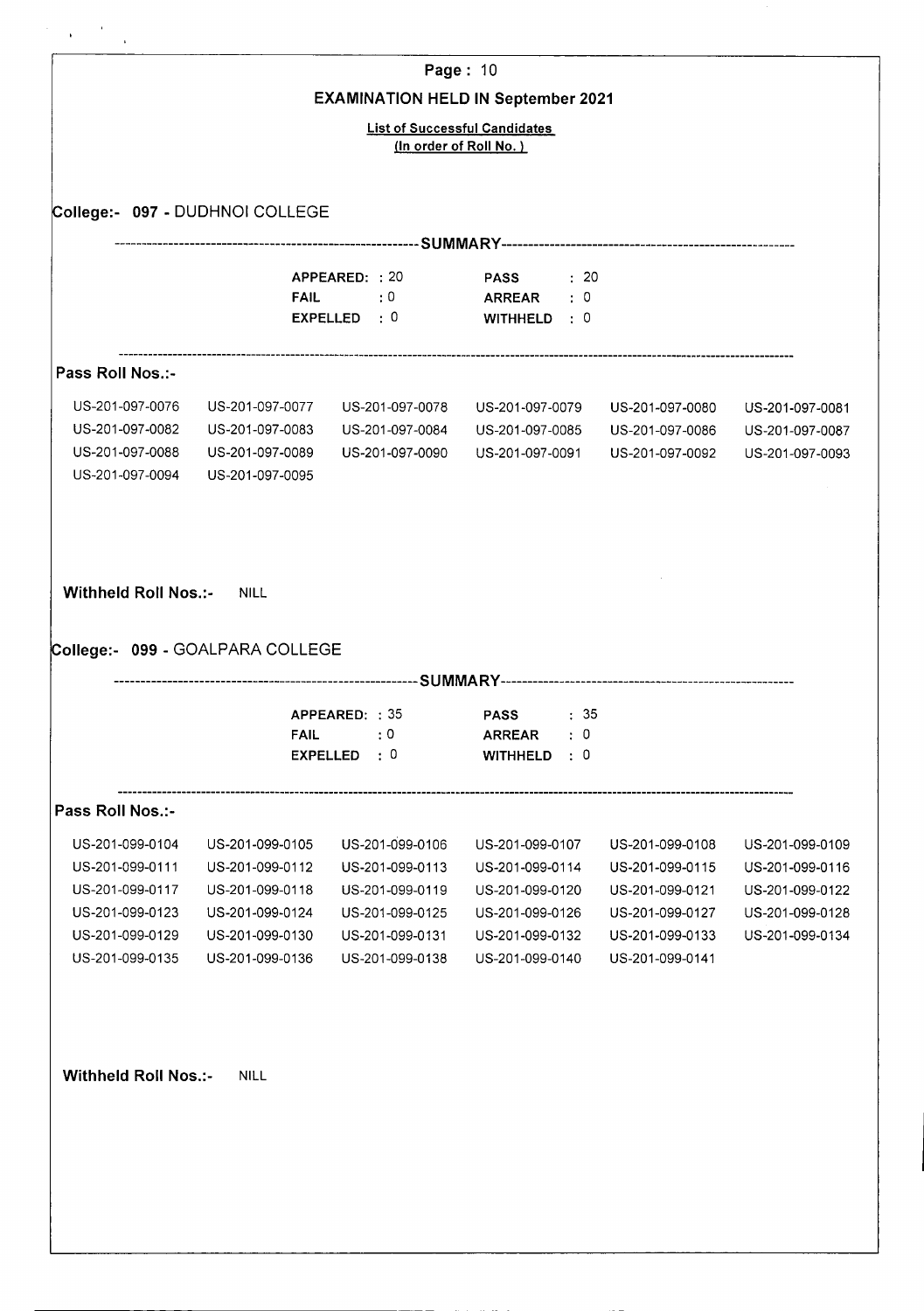|                                     |                                                 | Page: 10                                    |                                                                   |                 |                                                       |
|-------------------------------------|-------------------------------------------------|---------------------------------------------|-------------------------------------------------------------------|-----------------|-------------------------------------------------------|
|                                     |                                                 |                                             | <b>EXAMINATION HELD IN September 2021</b>                         |                 |                                                       |
|                                     |                                                 |                                             | <b>List of Successful Candidates</b><br>(In order of Roll No.)    |                 |                                                       |
|                                     |                                                 |                                             |                                                                   |                 |                                                       |
|                                     | College:- 097 - DUDHNOI COLLEGE                 |                                             |                                                                   |                 |                                                       |
|                                     |                                                 |                                             |                                                                   |                 |                                                       |
|                                     | <b>FAIL</b>                                     | APPEARED: : 20<br>$\cdot$ 0<br>EXPELLED : 0 | : 20<br><b>PASS</b><br>$\cdot$ 0<br><b>ARREAR</b><br>WITHHELD : 0 |                 |                                                       |
| Pass Roll Nos.:-                    |                                                 |                                             |                                                                   |                 |                                                       |
| US-201-097-0076                     | US-201-097-0077                                 | US-201-097-0078                             | US-201-097-0079                                                   | US-201-097-0080 | US-201-097-0081                                       |
| US-201-097-0082                     | US-201-097-0083                                 | US-201-097-0084                             | US-201-097-0085                                                   | US-201-097-0086 | US-201-097-0087                                       |
| US-201-097-0088                     | US-201-097-0089                                 | US-201-097-0090                             | US-201-097-0091                                                   | US-201-097-0092 | US-201-097-0093                                       |
| US-201-097-0094                     | US-201-097-0095                                 |                                             |                                                                   |                 |                                                       |
| <b>Withheld Roll Nos.:-</b>         | <b>NILL</b><br>College:- 099 - GOALPARA COLLEGE |                                             |                                                                   |                 |                                                       |
|                                     |                                                 |                                             |                                                                   |                 |                                                       |
|                                     |                                                 | APPEARED: : 35                              | <b>PASS</b><br>$\cdot$ 35                                         |                 |                                                       |
|                                     | <b>FAIL</b>                                     | : 0<br>EXPELLED : 0                         | $\cdot$ 0<br>ARREAR<br>WITHHELD : 0                               |                 |                                                       |
|                                     |                                                 |                                             |                                                                   |                 |                                                       |
| Pass Roll Nos.:-<br>US-201-099-0104 | US-201-099-0105                                 | US-201-099-0106                             | US-201-099-0107                                                   | US-201-099-0108 | US-201-099-0109                                       |
| US-201-099-0111                     | US-201-099-0112                                 | US-201-099-0113                             | US-201-099-0114                                                   | US-201-099-0115 | US-201-099-0116                                       |
| US-201-099-0117                     | US-201-099-0118                                 | US-201-099-0119                             | US-201-099-0120                                                   | US-201-099-0121 |                                                       |
| US-201-099-0123                     | US-201-099-0124                                 | US-201-099-0125                             | US-201-099-0126                                                   | US-201-099-0127 |                                                       |
| US-201-099-0129                     | US-201-099-0130                                 | US-201-099-0131                             | US-201-099-0132                                                   | US-201-099-0133 | US-201-099-0122<br>US-201-099-0128<br>US-201-099-0134 |
| US-201-099-0135                     | US-201-099-0136                                 | US-201-099-0138                             | US-201-099-0140                                                   | US-201-099-0141 |                                                       |
|                                     |                                                 |                                             |                                                                   |                 |                                                       |
| <b>Withheld Roll Nos.:-</b>         | <b>NILL</b>                                     |                                             |                                                                   |                 |                                                       |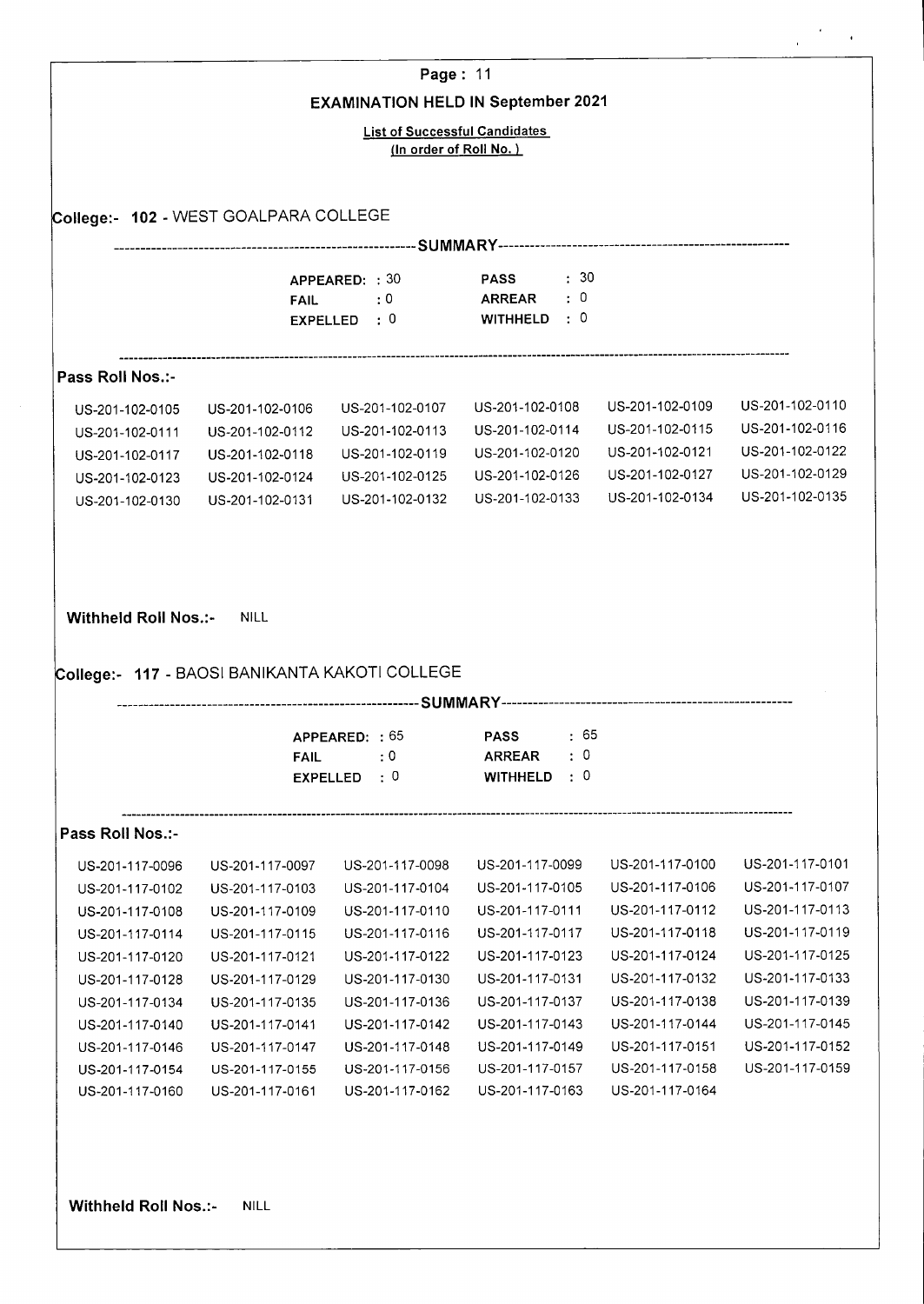|                                       |                 | Page: 11                                                       |                                                                                    |                 |                 |
|---------------------------------------|-----------------|----------------------------------------------------------------|------------------------------------------------------------------------------------|-----------------|-----------------|
|                                       |                 |                                                                | <b>EXAMINATION HELD IN September 2021</b>                                          |                 |                 |
|                                       |                 | <b>List of Successful Candidates</b><br>(In order of Roll No.) |                                                                                    |                 |                 |
| College:- 102 - WEST GOALPARA COLLEGE |                 |                                                                |                                                                                    |                 |                 |
|                                       |                 |                                                                |                                                                                    |                 |                 |
|                                       | <b>FAIL</b>     | APPEARED: : 30<br>$\cdot \cdot \cdot$ : 0<br>EXPELLED : 0      | <b>PASS</b> : 30<br>ARREAR : 0<br>WITHHELD : 0                                     |                 |                 |
| Pass Roll Nos.:-                      |                 |                                                                |                                                                                    |                 |                 |
| US-201-102-0105                       | US-201-102-0106 | US-201-102-0107                                                | US-201-102-0108                                                                    | US-201-102-0109 | US-201-102-0110 |
| US-201-102-0111                       | US-201-102-0112 | US-201-102-0113                                                | US-201-102-0114                                                                    | US-201-102-0115 | US-201-102-0116 |
| US-201-102-0117                       | US-201-102-0118 | US-201-102-0119                                                | US-201-102-0120                                                                    | US-201-102-0121 | US-201-102-0122 |
| US-201-102-0123                       | US-201-102-0124 | US-201-102-0125                                                | US-201-102-0126                                                                    | US-201-102-0127 | US-201-102-0129 |
| US-201-102-0130                       | US-201-102-0131 | US-201-102-0132                                                | US-201-102-0133                                                                    | US-201-102-0134 | US-201-102-0135 |
| <b>Withheld Roll Nos.:-</b>           | <b>NILL</b>     |                                                                |                                                                                    |                 |                 |
|                                       |                 | College:- 117 - BAOSI BANIKANTA KAKOTI COLLEGE                 |                                                                                    |                 |                 |
|                                       |                 |                                                                |                                                                                    |                 |                 |
|                                       | <b>FAIL</b>     | APPEARED: : 65<br>$\colon$ 0<br>: 0<br><b>EXPELLED</b>         | : 65<br><b>PASS</b><br>$\colon 0$<br><b>ARREAR</b><br>$\cdot$ 0<br><b>WITHHELD</b> |                 |                 |
| Pass Roll Nos.:-                      |                 |                                                                |                                                                                    |                 |                 |
| US-201-117-0096                       | US-201-117-0097 | US-201-117-0098                                                | US-201-117-0099                                                                    | US-201-117-0100 | US-201-117-0101 |
| US-201-117-0102                       | US-201-117-0103 | US-201-117-0104                                                | US-201-117-0105                                                                    | US-201-117-0106 | US-201-117-0107 |
| US-201-117-0108                       | US-201-117-0109 | US-201-117-0110                                                | US-201-117-0111                                                                    | US-201-117-0112 | US-201-117-0113 |

US-201-117-0114 US-201-117-0115 US-201-117-0116 US-201-117-0117 US-201-117-0118 US-201-117-0119 US-201-117-0120 US-201-117-0121 US-201-117-0122 US-201-117-0123 US-201-117-0124 US-201-117-0125 US-201-117-0128 US-201-117-0129 US-201-117-0130 US-201-117-0131 US-201-117-0132 US-201-117-0133 US-201-117-0134 US-201-117-0135 US-201-117-0136 US-201-117-0137 US-201-117-0138 US-201-117-0139 US-201-117-0140 US-201-117-0141 US-201-117-0142 US-201-117-0143 US-201-117-0144 US-201-117-0145 US-201-117-0146 US-201-117-0147 US-201-117-0148 US-201-117-0149 US-201-117-0151 US-201-117-0152 US-201-117-0154 US-201-117-0155 US-201-117-0156 US-201-117-0157 US-201-117-0158 US-201-117-0159

US-201-117-0160 US-201-117-0161 US-201-117-0162 US-201-117-0163 US-201-117-0164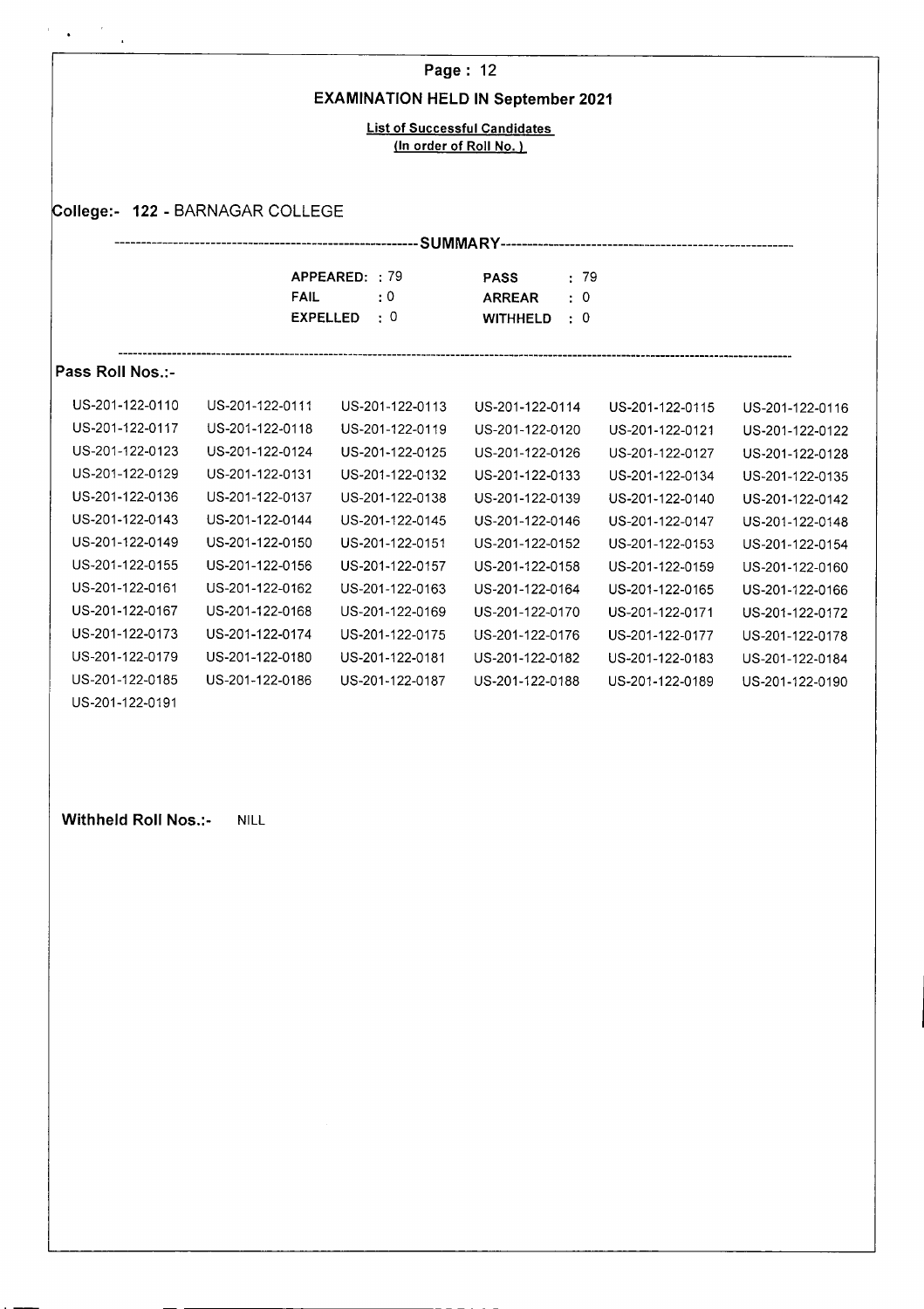# **EXAMINATION HELD IN September 2021**

**List of Successful Candidates (In order of Roll No.)** 

**College:- 122** - BARNAGAR COLLEGE

 $\label{eq:2.1} \frac{1}{2}\left(\frac{1}{2}\right)^{2} \left(\frac{1}{2}\right)^{2} \left(\frac{1}{2}\right)^{2} \left(\frac{1}{2}\right)^{2}$ 

|                  | -SUMMARY--                     |                                    |                                                                             |                 |                 |  |  |  |
|------------------|--------------------------------|------------------------------------|-----------------------------------------------------------------------------|-----------------|-----------------|--|--|--|
|                  | <b>FAIL</b><br><b>EXPELLED</b> | APPEARED: : 79<br>: 0<br>$\cdot$ 0 | . 79<br><b>PASS</b><br><b>ARREAR</b><br>: 0<br>$\cdot$ 0<br><b>WITHHELD</b> |                 |                 |  |  |  |
| Pass Roll Nos.:- |                                |                                    |                                                                             |                 |                 |  |  |  |
| US-201-122-0110  | US-201-122-0111                | US-201-122-0113                    | US-201-122-0114                                                             | US-201-122-0115 | US-201-122-0116 |  |  |  |
| US-201-122-0117  | US-201-122-0118                | US-201-122-0119                    | US-201-122-0120                                                             | US-201-122-0121 | US-201-122-0122 |  |  |  |
| US-201-122-0123  | US-201-122-0124                | US-201-122-0125                    | US-201-122-0126                                                             | US-201-122-0127 | US-201-122-0128 |  |  |  |
| US-201-122-0129  | US-201-122-0131                | US-201-122-0132                    | US-201-122-0133                                                             | US-201-122-0134 | US-201-122-0135 |  |  |  |
| US-201-122-0136  | US-201-122-0137                | US-201-122-0138                    | US-201-122-0139                                                             | US-201-122-0140 | US-201-122-0142 |  |  |  |
| US-201-122-0143  | US-201-122-0144                | US-201-122-0145                    | US-201-122-0146                                                             | US-201-122-0147 | US-201-122-0148 |  |  |  |
| US-201-122-0149  | US-201-122-0150                | US-201-122-0151                    | US-201-122-0152                                                             | US-201-122-0153 | US-201-122-0154 |  |  |  |
| US-201-122-0155  | US-201-122-0156                | US-201-122-0157                    | US-201-122-0158                                                             | US-201-122-0159 | US-201-122-0160 |  |  |  |
| US-201-122-0161  | US-201-122-0162                | US-201-122-0163                    | US-201-122-0164                                                             | US-201-122-0165 | US-201-122-0166 |  |  |  |
| US-201-122-0167  | US-201-122-0168                | US-201-122-0169                    | US-201-122-0170                                                             | US-201-122-0171 | US-201-122-0172 |  |  |  |
| US-201-122-0173  | US-201-122-0174                | US-201-122-0175                    | US-201-122-0176                                                             | US-201-122-0177 | US-201-122-0178 |  |  |  |
| US-201-122-0179  | US-201-122-0180                | US-201-122-0181                    | US-201-122-0182                                                             | US-201-122-0183 | US-201-122-0184 |  |  |  |
| US-201-122-0185  | US-201-122-0186                | US-201-122-0187                    | US-201-122-0188                                                             | US-201-122-0189 | US-201-122-0190 |  |  |  |

US-201 -122-0191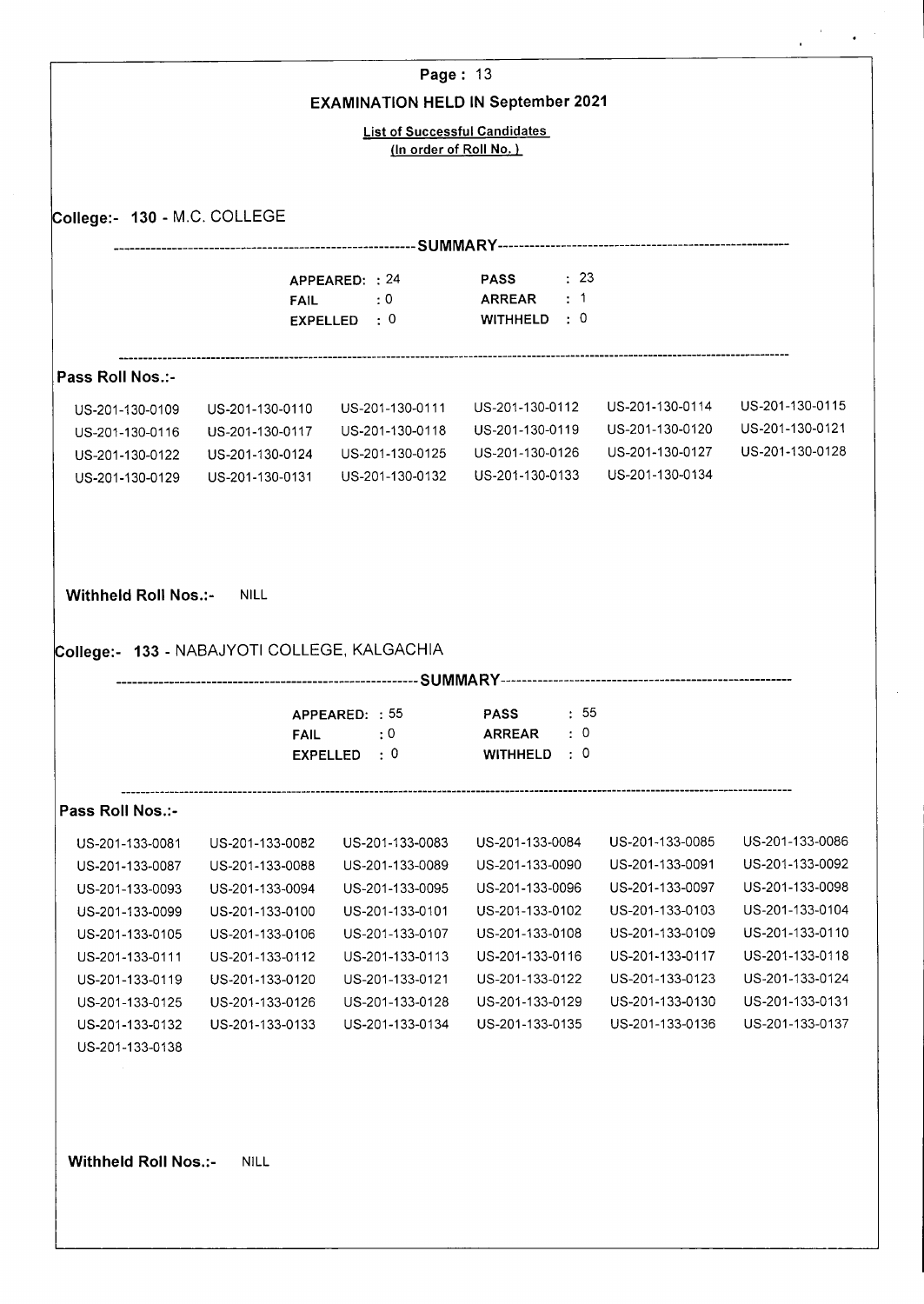|                                                                |                                              | <b>EXAMINATION HELD IN September 2021</b> |                          |                                    |                                                                                                                                   |  |  |  |
|----------------------------------------------------------------|----------------------------------------------|-------------------------------------------|--------------------------|------------------------------------|-----------------------------------------------------------------------------------------------------------------------------------|--|--|--|
| <b>List of Successful Candidates</b><br>(In order of Roll No.) |                                              |                                           |                          |                                    |                                                                                                                                   |  |  |  |
|                                                                |                                              |                                           |                          |                                    |                                                                                                                                   |  |  |  |
| College:- 130 - M.C. COLLEGE                                   |                                              |                                           |                          |                                    |                                                                                                                                   |  |  |  |
|                                                                |                                              |                                           |                          |                                    |                                                                                                                                   |  |  |  |
|                                                                |                                              |                                           | APPEARED: : 24 PASS : 23 |                                    |                                                                                                                                   |  |  |  |
|                                                                | <b>FAIL</b>                                  | EXPELLED : 0 WITHHELD : 0                 |                          |                                    |                                                                                                                                   |  |  |  |
| <b>Pass Roll Nos.:-</b>                                        |                                              |                                           |                          |                                    |                                                                                                                                   |  |  |  |
| US-201-130-0109                                                | US-201-130-0110                              | US-201-130-0111                           | US-201-130-0112          |                                    |                                                                                                                                   |  |  |  |
| US-201-130-0116                                                | US-201-130-0117                              | US-201-130-0118                           | US-201-130-0119          | US-201-130-0120 US-201-130-0121    |                                                                                                                                   |  |  |  |
| US-201-130-0122                                                | US-201-130-0124                              | US-201-130-0125                           | US-201-130-0126          | US-201-130-0127    US-201-130-0128 |                                                                                                                                   |  |  |  |
| US-201-130-0129                                                | US-201-130-0131                              | US-201-130-0132                           |                          |                                    |                                                                                                                                   |  |  |  |
|                                                                |                                              |                                           |                          |                                    |                                                                                                                                   |  |  |  |
|                                                                | College:- 133 - NABAJYOTI COLLEGE, KALGACHIA |                                           |                          |                                    |                                                                                                                                   |  |  |  |
|                                                                |                                              |                                           |                          |                                    |                                                                                                                                   |  |  |  |
|                                                                |                                              | APPEARED: : 55                            | <b>PASS</b> : 55         |                                    |                                                                                                                                   |  |  |  |
|                                                                | <b>FAIL</b>                                  | $\cdot$ $\cdot$ $\cdot$ 0                 | ARREAR : 0               |                                    |                                                                                                                                   |  |  |  |
|                                                                |                                              | EXPELLED : 0                              | WITHHELD : 0             |                                    |                                                                                                                                   |  |  |  |
|                                                                |                                              |                                           |                          |                                    |                                                                                                                                   |  |  |  |
| US-201-133-0081                                                | US-201-133-0082                              | US-201-133-0083                           | US-201-133-0084          | US-201-133-0085                    | US-201-133-0086                                                                                                                   |  |  |  |
| US-201-133-0087                                                | US-201-133-0088                              | US-201-133-0089                           | US-201-133-0090          | US-201-133-0091                    | US-201-133-0092                                                                                                                   |  |  |  |
| US-201-133-0093                                                | US-201-133-0094                              | US-201-133-0095                           | US-201-133-0096          | US-201-133-0097                    |                                                                                                                                   |  |  |  |
| US-201-133-0099                                                | US-201-133-0100                              | US-201-133-0101                           | US-201-133-0102          | US-201-133-0103                    |                                                                                                                                   |  |  |  |
| US-201-133-0105                                                | US-201-133-0106                              | US-201-133-0107                           | US-201-133-0108          | US-201-133-0109                    |                                                                                                                                   |  |  |  |
| US-201-133-0111                                                | US-201-133-0112                              | US-201-133-0113                           | US-201-133-0116          | US-201-133-0117                    |                                                                                                                                   |  |  |  |
| US-201-133-0119                                                | US-201-133-0120                              | US-201-133-0121                           | US-201-133-0122          | US-201-133-0123                    |                                                                                                                                   |  |  |  |
| US-201-133-0125                                                | US-201-133-0126                              | US-201-133-0128                           | US-201-133-0129          | US-201-133-0130                    |                                                                                                                                   |  |  |  |
| US-201-133-0132                                                | US-201-133-0133                              | US-201-133-0134                           | US-201-133-0135          | US-201-133-0136                    | US-201-133-0098<br>US-201-133-0104<br>US-201-133-0110<br>US-201-133-0118<br>US-201-133-0124<br>US-201-133-0131<br>US-201-133-0137 |  |  |  |
| US-201-133-0138                                                |                                              |                                           |                          |                                    |                                                                                                                                   |  |  |  |
| <b>Withheld Roll Nos.:- NILL</b><br>Pass Roll Nos.:-           |                                              |                                           |                          |                                    |                                                                                                                                   |  |  |  |

 $\frac{1}{2} \frac{1}{2} \frac{1}{2} \frac{1}{2} \frac{1}{2} \frac{1}{2} \frac{1}{2} \frac{1}{2} \frac{1}{2}$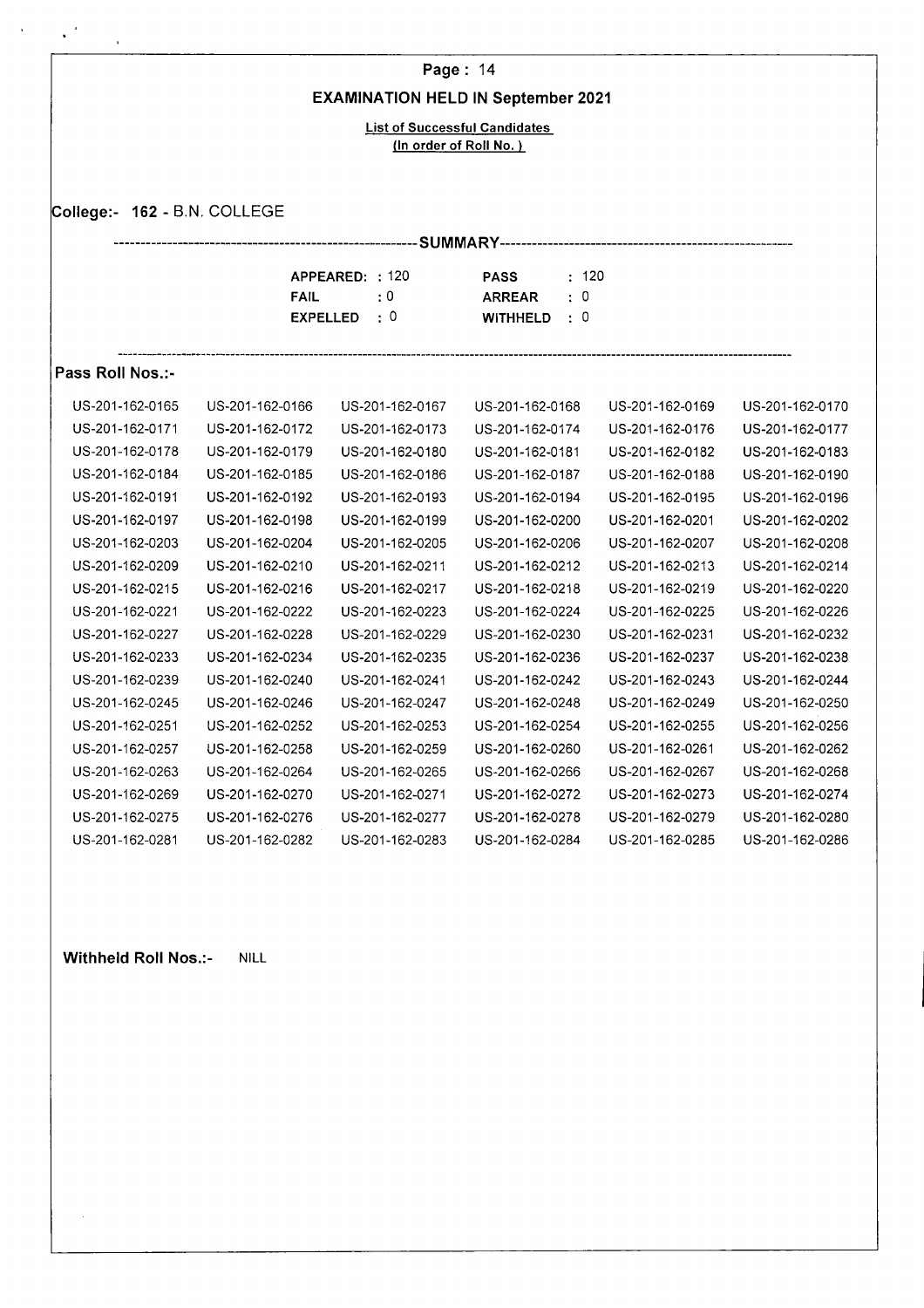#### **EXAMINATION HELD IN September 2021**

**List of Successful Candidates (In order of Roll No.)** 

#### **College:- 162 - B.N.** COLLEGE

 $\bar{1}$ 

| -SUMMARY--        |                                |                               |                                                                              |                 |                 |  |  |
|-------------------|--------------------------------|-------------------------------|------------------------------------------------------------------------------|-----------------|-----------------|--|--|
|                   | <b>FAIL</b><br><b>EXPELLED</b> | APPEARED: : 120<br>: 0<br>: 0 | : 120<br><b>PASS</b><br>: 0<br><b>ARREAR</b><br>$\cdot$ 0<br><b>WITHHELD</b> |                 |                 |  |  |
| ∣Pass Roll Nos.:- |                                |                               |                                                                              |                 |                 |  |  |
| US-201-162-0165   | US-201-162-0166                | US-201-162-0167               | US-201-162-0168                                                              | US-201-162-0169 | US-201-162-0170 |  |  |
| US-201-162-0171   | US-201-162-0172                | US-201-162-0173               | US-201-162-0174                                                              | US-201-162-0176 | US-201-162-0177 |  |  |
| US-201-162-0178   | US-201-162-0179                | US-201-162-0180               | US-201-162-0181                                                              | US-201-162-0182 | US-201-162-0183 |  |  |
| US-201-162-0184   | US-201-162-0185                | US-201-162-0186               | US-201-162-0187                                                              | US-201-162-0188 | US-201-162-0190 |  |  |
| US-201-162-0191   | US-201-162-0192                | US-201-162-0193               | US-201-162-0194                                                              | US-201-162-0195 | US-201-162-0196 |  |  |
| US-201-162-0197   | US-201-162-0198                | US-201-162-0199               | US-201-162-0200                                                              | US-201-162-0201 | US-201-162-0202 |  |  |
| US-201-162-0203   | US-201-162-0204                | US-201-162-0205               | US-201-162-0206                                                              | US-201-162-0207 | US-201-162-0208 |  |  |
| US-201-162-0209   | US-201-162-0210                | US-201-162-0211               | US-201-162-0212                                                              | US-201-162-0213 | US-201-162-0214 |  |  |
| US-201-162-0215   | US-201-162-0216                | US-201-162-0217               | US-201-162-0218                                                              | US-201-162-0219 | US-201-162-0220 |  |  |
| US-201-162-0221   | US-201-162-0222                | US-201-162-0223               | US-201-162-0224                                                              | US-201-162-0225 | US-201-162-0226 |  |  |

US-201 -162-0227 US-201 -162-0228 US-201 -162-0229 US-201 -162-0230 US-201 -162-0231 US-201-162-0232 US-201 -162-0233 US-201 -162-0234 US-201 -162-0235 US-201 -162-0236 US-201 -162-0237 US-201 -162-0238 US-201 -162-0239 US-201 -162-0240 US-201 -162-0241 US-201 -162-0242 US-201 -162-0243 US-201 -162-0244 US-201 -162-0245 US-201 -162-0246 US-201 -162-0247 US-201 -162-0248 US-201 -162-0249 US-201 -162-0250 US-201 -162-0251 US-201 -162-0252 US-201 -162-0253 US-201 -162-0254 US-201 -162-0255 US-201 -162-0256 US-201 -162-0257 US-201-162-0258 US-201 -162-0259 US-201 -162-0260 US-201 -162-0261 US-201 -162-0262 US-201 -162-0263 US-201 -162-0264 US-201 -162-0265 US-201 -162-0266 US-201-162-0267 US-201-162-0268 US-201 -162-0269 US-201 -162-0270 US-201 -162-0271 US-201 -162-0272 US-201-162-0273 US-201 -162-0274 US-201 -162-0275 US-201 -162-0276 US-201 -162-0277 US-201 -162-0278 US-201-162-0279 US-201 -162-0280 US-201 -162-0281 US-201 -162-0282 US-201 -162-0283 US-201 -162-0284 US-201 -162-0285 US-201 -162-0286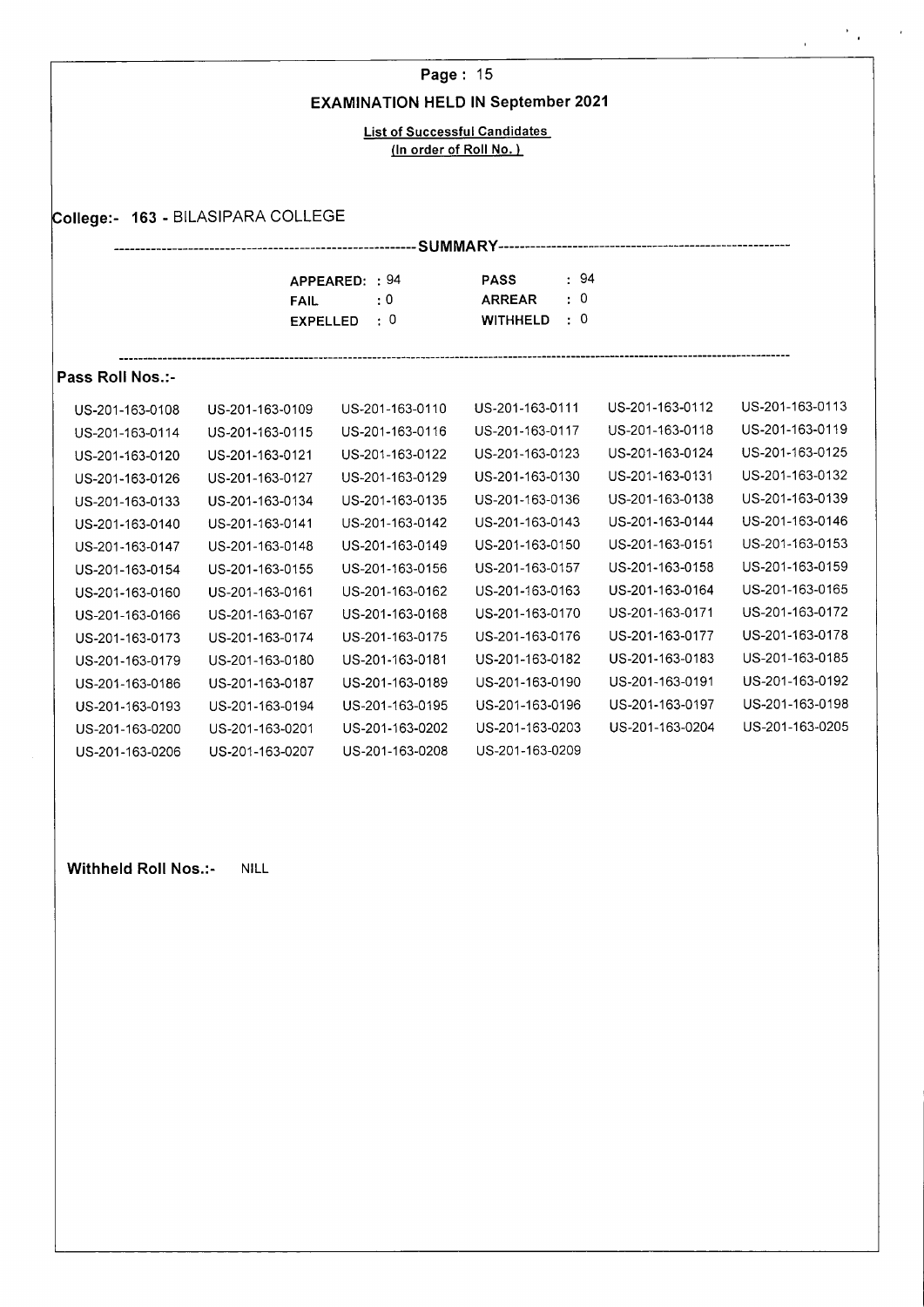$\mathcal{O}(\mathcal{A})$ 

 $\mathbf{q}$ 

 $\sim$   $\alpha$ 

# **EXAMINATION HELD IN September 2021**

**List of Successful Candidates (In** order of **Roll No.)** 

# **College:- 163** - BILASIPARA COLLEGE

|                  | APPEARED: : 94                   |  | <b>PASS</b>  | .94 |  |
|------------------|----------------------------------|--|--------------|-----|--|
|                  | $\cdot$ $\cdot$ 0<br><b>FAIL</b> |  | ARREAR : 0   |     |  |
|                  | EXPELLED : 0                     |  | WITHHELD : 0 |     |  |
| Pass Roll Nos.:- |                                  |  |              |     |  |

| US-201-163-0108 | US-201-163-0109 | US-201-163-0110 | US-201-163-0111 | US-201-163-0112 | US-201-163-0113 |
|-----------------|-----------------|-----------------|-----------------|-----------------|-----------------|
| US-201-163-0114 | US-201-163-0115 | US-201-163-0116 | US-201-163-0117 | US-201-163-0118 | US-201-163-0119 |
| US-201-163-0120 | US-201-163-0121 | US-201-163-0122 | US-201-163-0123 | US-201-163-0124 | US-201-163-0125 |
| US-201-163-0126 | US-201-163-0127 | US-201-163-0129 | US-201-163-0130 | US-201-163-0131 | US-201-163-0132 |
| US-201-163-0133 | US-201-163-0134 | US-201-163-0135 | US-201-163-0136 | US-201-163-0138 | US-201-163-0139 |
| US-201-163-0140 | US-201-163-0141 | US-201-163-0142 | US-201-163-0143 | US-201-163-0144 | US-201-163-0146 |
| US-201-163-0147 | US-201-163-0148 | US-201-163-0149 | US-201-163-0150 | US-201-163-0151 | US-201-163-0153 |
| US-201-163-0154 | US-201-163-0155 | US-201-163-0156 | US-201-163-0157 | US-201-163-0158 | US-201-163-0159 |
| US-201-163-0160 | US-201-163-0161 | US-201-163-0162 | US-201-163-0163 | US-201-163-0164 | US-201-163-0165 |
| US-201-163-0166 | US-201-163-0167 | US-201-163-0168 | US-201-163-0170 | US-201-163-0171 | US-201-163-0172 |
| US-201-163-0173 | US-201-163-0174 | US-201-163-0175 | US-201-163-0176 | US-201-163-0177 | US-201-163-0178 |
| US-201-163-0179 | US-201-163-0180 | US-201-163-0181 | US-201-163-0182 | US-201-163-0183 | US-201-163-0185 |
| US-201-163-0186 | US-201-163-0187 | US-201-163-0189 | US-201-163-0190 | US-201-163-0191 | US-201-163-0192 |
| US-201-163-0193 | US-201-163-0194 | US-201-163-0195 | US-201-163-0196 | US-201-163-0197 | US-201-163-0198 |
| US-201-163-0200 | US-201-163-0201 | US-201-163-0202 | US-201-163-0203 | US-201-163-0204 | US-201-163-0205 |
| US-201-163-0206 | US-201-163-0207 | US-201-163-0208 | US-201-163-0209 |                 |                 |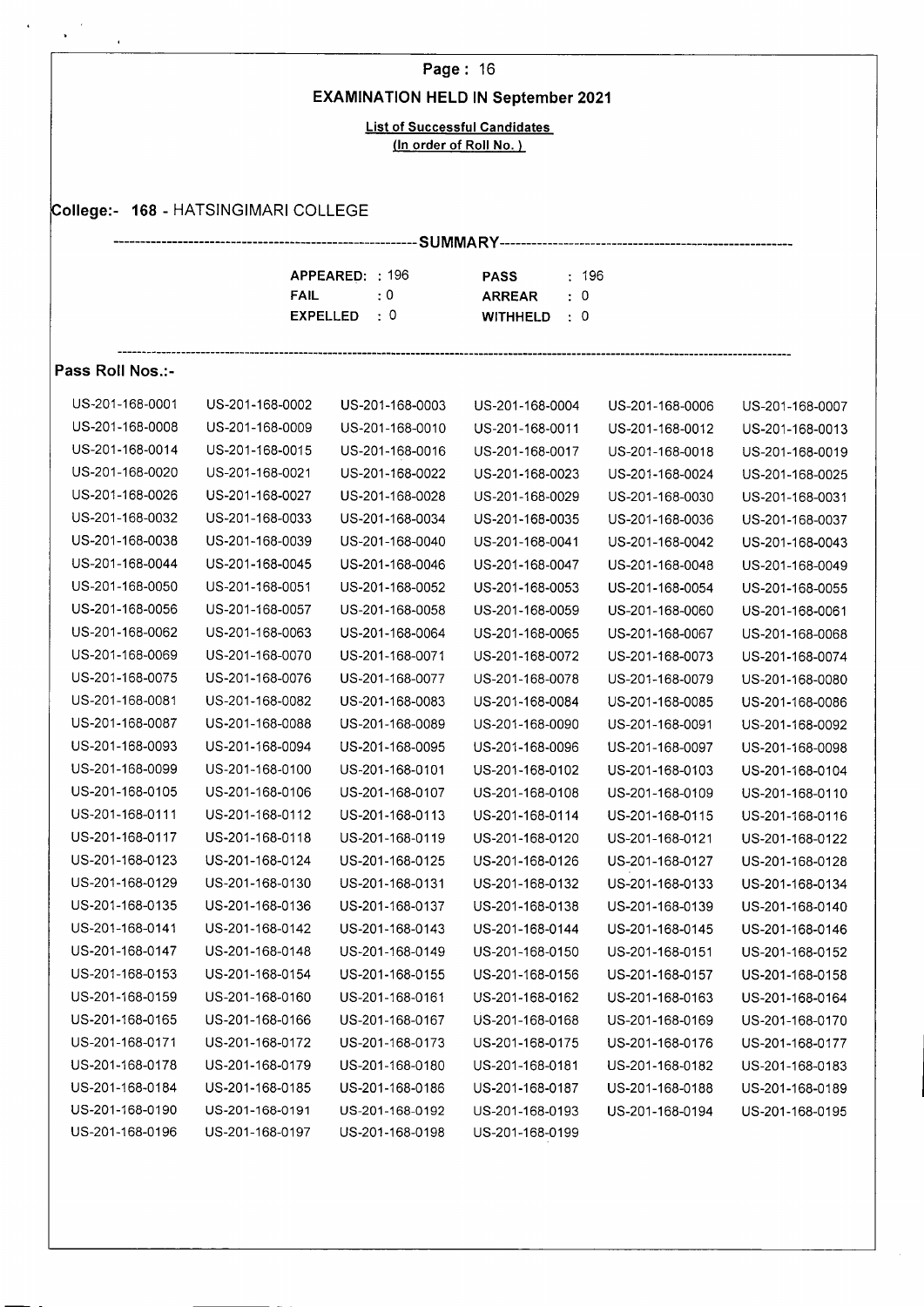# **EXAMINATION HELD IN September 2021**

**List of Successful Candidates (In order of Roll No.)** 

# **College:- 168** - HATSINGIMARI COLLEGE

| APPEARED: : 196<br>FAIL : 0<br>EXPELLED : 0 |  | <b>PASS</b> : 196<br>ARREAR : 0<br>WITHHELD : 0 |  |  |  |
|---------------------------------------------|--|-------------------------------------------------|--|--|--|
|                                             |  |                                                 |  |  |  |

#### **Pass Roll Nos.:**-

 $\ddot{\phantom{1}}$ 

 $\bar{\phantom{a}}$  $\mathbf{v}$ 

 $\ddot{\phantom{a}}$ 

| US-201-168-0001 | US-201-168-0002 | US-201-168-0003 | US-201-168-0004 | US-201-168-0006 | US-201-168-0007 |
|-----------------|-----------------|-----------------|-----------------|-----------------|-----------------|
| US-201-168-0008 | US-201-168-0009 | US-201-168-0010 | US-201-168-0011 | US-201-168-0012 | US-201-168-0013 |
| US-201-168-0014 | US-201-168-0015 | US-201-168-0016 | US-201-168-0017 | US-201-168-0018 | US-201-168-0019 |
| US-201-168-0020 | US-201-168-0021 | US-201-168-0022 | US-201-168-0023 | US-201-168-0024 | US-201-168-0025 |
| US-201-168-0026 | US-201-168-0027 | US-201-168-0028 | US-201-168-0029 | US-201-168-0030 | US-201-168-0031 |
| US-201-168-0032 | US-201-168-0033 | US-201-168-0034 | US-201-168-0035 | US-201-168-0036 | US-201-168-0037 |
| US-201-168-0038 | US-201-168-0039 | US-201-168-0040 | US-201-168-0041 | US-201-168-0042 | US-201-168-0043 |
| US-201-168-0044 | US-201-168-0045 | US-201-168-0046 | US-201-168-0047 | US-201-168-0048 | US-201-168-0049 |
| US-201-168-0050 | US-201-168-0051 | US-201-168-0052 | US-201-168-0053 | US-201-168-0054 | US-201-168-0055 |
| US-201-168-0056 | US-201-168-0057 | US-201-168-0058 | US-201-168-0059 | US-201-168-0060 | US-201-168-0061 |
| US-201-168-0062 | US-201-168-0063 | US-201-168-0064 | US-201-168-0065 | US-201-168-0067 | US-201-168-0068 |
| US-201-168-0069 | US-201-168-0070 | US-201-168-0071 | US-201-168-0072 | US-201-168-0073 | US-201-168-0074 |
| US-201-168-0075 | US-201-168-0076 | US-201-168-0077 | US-201-168-0078 | US-201-168-0079 | US-201-168-0080 |
| US-201-168-0081 | US-201-168-0082 | US-201-168-0083 | US-201-168-0084 | US-201-168-0085 | US-201-168-0086 |
| US-201-168-0087 | US-201-168-0088 | US-201-168-0089 | US-201-168-0090 | US-201-168-0091 | US-201-168-0092 |
| US-201-168-0093 | US-201-168-0094 | US-201-168-0095 | US-201-168-0096 | US-201-168-0097 | US-201-168-0098 |
| US-201-168-0099 | US-201-168-0100 | US-201-168-0101 | US-201-168-0102 | US-201-168-0103 | US-201-168-0104 |
| US-201-168-0105 | US-201-168-0106 | US-201-168-0107 | US-201-168-0108 | US-201-168-0109 | US-201-168-0110 |
| US-201-168-0111 | US-201-168-0112 | US-201-168-0113 | US-201-168-0114 | US-201-168-0115 | US-201-168-0116 |
| US-201-168-0117 | US-201-168-0118 | US-201-168-0119 | US-201-168-0120 | US-201-168-0121 | US-201-168-0122 |
| US-201-168-0123 | US-201-168-0124 | US-201-168-0125 | US-201-168-0126 | US-201-168-0127 | US-201-168-0128 |
| US-201-168-0129 | US-201-168-0130 | US-201-168-0131 | US-201-168-0132 | US-201-168-0133 | US-201-168-0134 |
| US-201-168-0135 | US-201-168-0136 | US-201-168-0137 | US-201-168-0138 | US-201-168-0139 | US-201-168-0140 |
| US-201-168-0141 | US-201-168-0142 | US-201-168-0143 | US-201-168-0144 | US-201-168-0145 | US-201-168-0146 |
| US-201-168-0147 | US-201-168-0148 | US-201-168-0149 | US-201-168-0150 | US-201-168-0151 | US-201-168-0152 |
| US-201-168-0153 | US-201-168-0154 | US-201-168-0155 | US-201-168-0156 | US-201-168-0157 | US-201-168-0158 |
| US-201-168-0159 | US-201-168-0160 | US-201-168-0161 | US-201-168-0162 | US-201-168-0163 | US-201-168-0164 |
| US-201-168-0165 | US-201-168-0166 | US-201-168-0167 | US-201-168-0168 | US-201-168-0169 | US-201-168-0170 |
| US-201-168-0171 | US-201-168-0172 | US-201-168-0173 | US-201-168-0175 | US-201-168-0176 | US-201-168-0177 |
| US-201-168-0178 | US-201-168-0179 | US-201-168-0180 | US-201-168-0181 | US-201-168-0182 | US-201-168-0183 |
| US-201-168-0184 | US-201-168-0185 | US-201-168-0186 | US-201-168-0187 | US-201-168-0188 | US-201-168-0189 |
| US-201-168-0190 | US-201-168-0191 | US-201-168-0192 | US-201-168-0193 | US-201-168-0194 | US-201-168-0195 |
| US-201-168-0196 | US-201-168-0197 | US-201-168-0198 | US-201-168-0199 |                 |                 |
|                 |                 |                 |                 |                 |                 |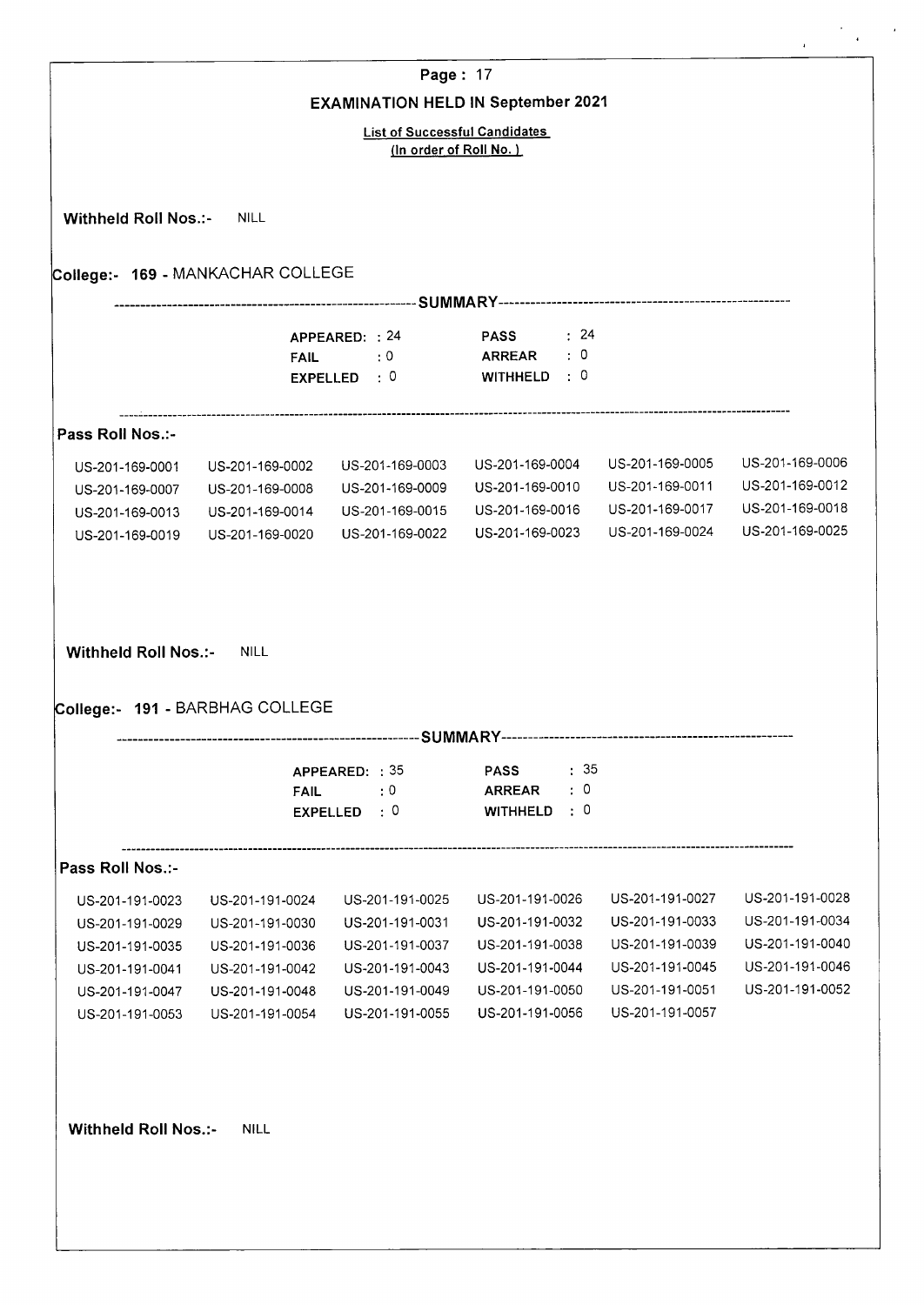| <b>NILL</b><br>College:- 169 - MANKACHAR COLLEGE<br><b>FAIL</b><br>US-201-169-0002<br>US-201-169-0008 | <b>List of Successful Candidates</b><br>(In order of Roll No.)<br>APPEARED: : 24<br>$\cdot$ 0<br>$\cdot$ 0<br><b>EXPELLED</b> | <b>EXAMINATION HELD IN September 2021</b><br>: 24<br><b>PASS</b><br>: 0<br><b>ARREAR</b><br>$\cdot$ 0<br><b>WITHHELD</b> |                           |                 |
|-------------------------------------------------------------------------------------------------------|-------------------------------------------------------------------------------------------------------------------------------|--------------------------------------------------------------------------------------------------------------------------|---------------------------|-----------------|
|                                                                                                       |                                                                                                                               |                                                                                                                          |                           |                 |
|                                                                                                       |                                                                                                                               |                                                                                                                          |                           |                 |
|                                                                                                       |                                                                                                                               |                                                                                                                          |                           |                 |
|                                                                                                       |                                                                                                                               |                                                                                                                          |                           |                 |
|                                                                                                       |                                                                                                                               |                                                                                                                          |                           |                 |
|                                                                                                       |                                                                                                                               |                                                                                                                          |                           |                 |
|                                                                                                       |                                                                                                                               |                                                                                                                          |                           |                 |
|                                                                                                       |                                                                                                                               |                                                                                                                          |                           |                 |
|                                                                                                       |                                                                                                                               |                                                                                                                          |                           |                 |
|                                                                                                       |                                                                                                                               |                                                                                                                          |                           |                 |
|                                                                                                       |                                                                                                                               |                                                                                                                          |                           |                 |
|                                                                                                       |                                                                                                                               |                                                                                                                          |                           |                 |
|                                                                                                       | US-201-169-0003                                                                                                               | US-201-169-0004                                                                                                          | US-201-169-0005           | US-201-169-0006 |
|                                                                                                       | US-201-169-0009                                                                                                               | US-201-169-0010                                                                                                          | US-201-169-0011           | US-201-169-0012 |
| US-201-169-0014                                                                                       | US-201-169-0015                                                                                                               | US-201-169-0016                                                                                                          | US-201-169-0017           | US-201-169-0018 |
| US-201-169-0020                                                                                       | US-201-169-0022                                                                                                               | US-201-169-0023                                                                                                          | US-201-169-0024           | US-201-169-0025 |
|                                                                                                       |                                                                                                                               |                                                                                                                          |                           |                 |
|                                                                                                       |                                                                                                                               |                                                                                                                          |                           |                 |
|                                                                                                       |                                                                                                                               | <b>PASS</b>                                                                                                              |                           |                 |
| <b>FAIL</b>                                                                                           | : 0                                                                                                                           | ARREAR                                                                                                                   |                           |                 |
|                                                                                                       |                                                                                                                               |                                                                                                                          |                           |                 |
|                                                                                                       |                                                                                                                               |                                                                                                                          |                           |                 |
| US-201-191-0024                                                                                       | US-201-191-0025                                                                                                               | US-201-191-0026                                                                                                          | US-201-191-0027           | US-201-191-0028 |
| US-201-191-0030                                                                                       | US-201-191-0031                                                                                                               | US-201-191-0032                                                                                                          | US-201-191-0033           | US-201-191-0034 |
| US-201-191-0036                                                                                       | US-201-191-0037                                                                                                               | US-201-191-0038                                                                                                          | US-201-191-0039           | US-201-191-0040 |
| US-201-191-0042                                                                                       | US-201-191-0043                                                                                                               | US-201-191-0044                                                                                                          | US-201-191-0045           | US-201-191-0046 |
| US-201-191-0048                                                                                       | US-201-191-0049                                                                                                               | US-201-191-0050                                                                                                          | US-201-191-0051           | US-201-191-0052 |
| US-201-191-0054                                                                                       | US-201-191-0055                                                                                                               | US-201-191-0056                                                                                                          | US-201-191-0057           |                 |
|                                                                                                       |                                                                                                                               |                                                                                                                          |                           |                 |
|                                                                                                       |                                                                                                                               |                                                                                                                          |                           |                 |
|                                                                                                       |                                                                                                                               |                                                                                                                          |                           |                 |
|                                                                                                       | <b>NILL</b>                                                                                                                   | College:- 191 - BARBHAG COLLEGE<br>APPEARED: : 35<br>$\cdot$ : 0<br><b>EXPELLED</b>                                      | $\cdot$ 0<br>WITHHELD : 0 | :35             |

 $\sim 20$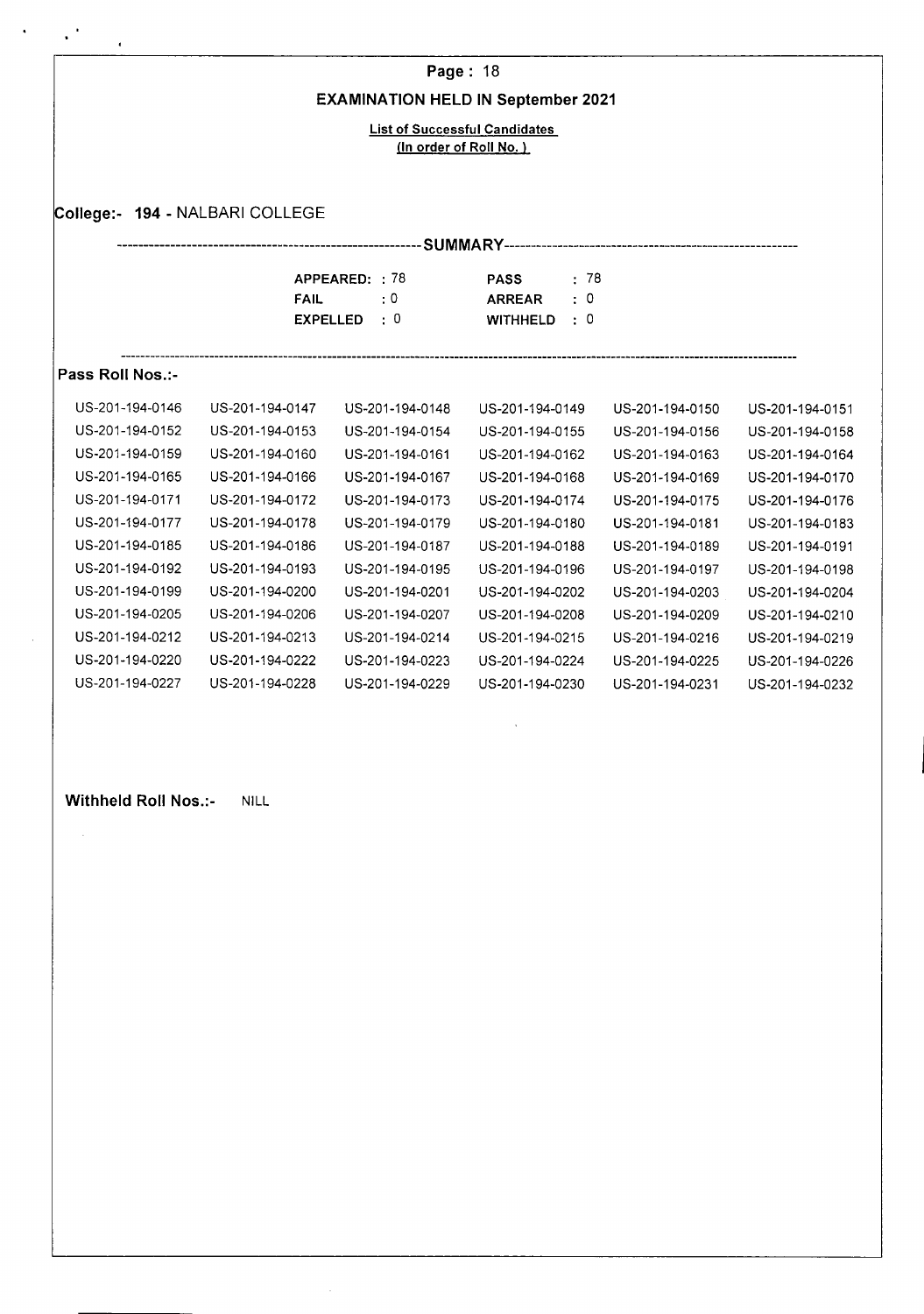# **EXAMINATION HELD IN September 2021**

**List of Successful Candidates (In order of Roll No.)** 

**College:- 194** - NALBARI COLLEGE

 $\mathbf{A}^{(1)}$  .

 $\frac{1}{2}$  ,  $\frac{1}{2}$ 

 $\sim$   $\alpha$ 

|                  | <b>FAIL</b><br><b>EXPELLED</b> | APPEARED: : 78<br>: 0<br>$\cdot$ 0 | : 78<br><b>PASS</b><br>: 0<br><b>ARREAR</b><br><b>WITHHELD</b><br>$\mathbf{.} \ \mathbf{0}$ |                 |                 |
|------------------|--------------------------------|------------------------------------|---------------------------------------------------------------------------------------------|-----------------|-----------------|
| Pass Roll Nos.:- |                                |                                    |                                                                                             |                 |                 |
| US-201-194-0146  | US-201-194-0147                | US-201-194-0148                    | US-201-194-0149                                                                             | US-201-194-0150 | US-201-194-0151 |
| US-201-194-0152  | US-201-194-0153                | US-201-194-0154                    | US-201-194-0155                                                                             | US-201-194-0156 | US-201-194-0158 |
| US-201-194-0159  | US-201-194-0160                | US-201-194-0161                    | US-201-194-0162                                                                             | US-201-194-0163 | US-201-194-0164 |
| US-201-194-0165  | US-201-194-0166                | US-201-194-0167                    | US-201-194-0168                                                                             | US-201-194-0169 | US-201-194-0170 |
| US-201-194-0171  | US-201-194-0172                | US-201-194-0173                    | US-201-194-0174                                                                             | US-201-194-0175 | US-201-194-0176 |
| US-201-194-0177  | US-201-194-0178                | US-201-194-0179                    | US-201-194-0180                                                                             | US-201-194-0181 | US-201-194-0183 |
| US-201-194-0185  | US-201-194-0186                | US-201-194-0187                    | US-201-194-0188                                                                             | US-201-194-0189 | US-201-194-0191 |
| US-201-194-0192  | US-201-194-0193                | US-201-194-0195                    | US-201-194-0196                                                                             | US-201-194-0197 | US-201-194-0198 |
| US-201-194-0199  | US-201-194-0200                | US-201-194-0201                    | US-201-194-0202                                                                             | US-201-194-0203 | US-201-194-0204 |
| US-201-194-0205  | US-201-194-0206                | US-201-194-0207                    | US-201-194-0208                                                                             | US-201-194-0209 | US-201-194-0210 |
| US-201-194-0212  | US-201-194-0213                | US-201-194-0214                    | US-201-194-0215                                                                             | US-201-194-0216 | US-201-194-0219 |
| US-201-194-0220  | US-201-194-0222                | US-201-194-0223                    | US-201-194-0224                                                                             | US-201-194-0225 | US-201-194-0226 |
| US-201-194-0227  | US-201-194-0228                | US-201-194-0229                    | US-201-194-0230                                                                             | US-201-194-0231 | US-201-194-0232 |

 $\bar{z}$ 

**Withheld Roll Nos.:- NILL** 

 $\hat{\mathcal{A}}$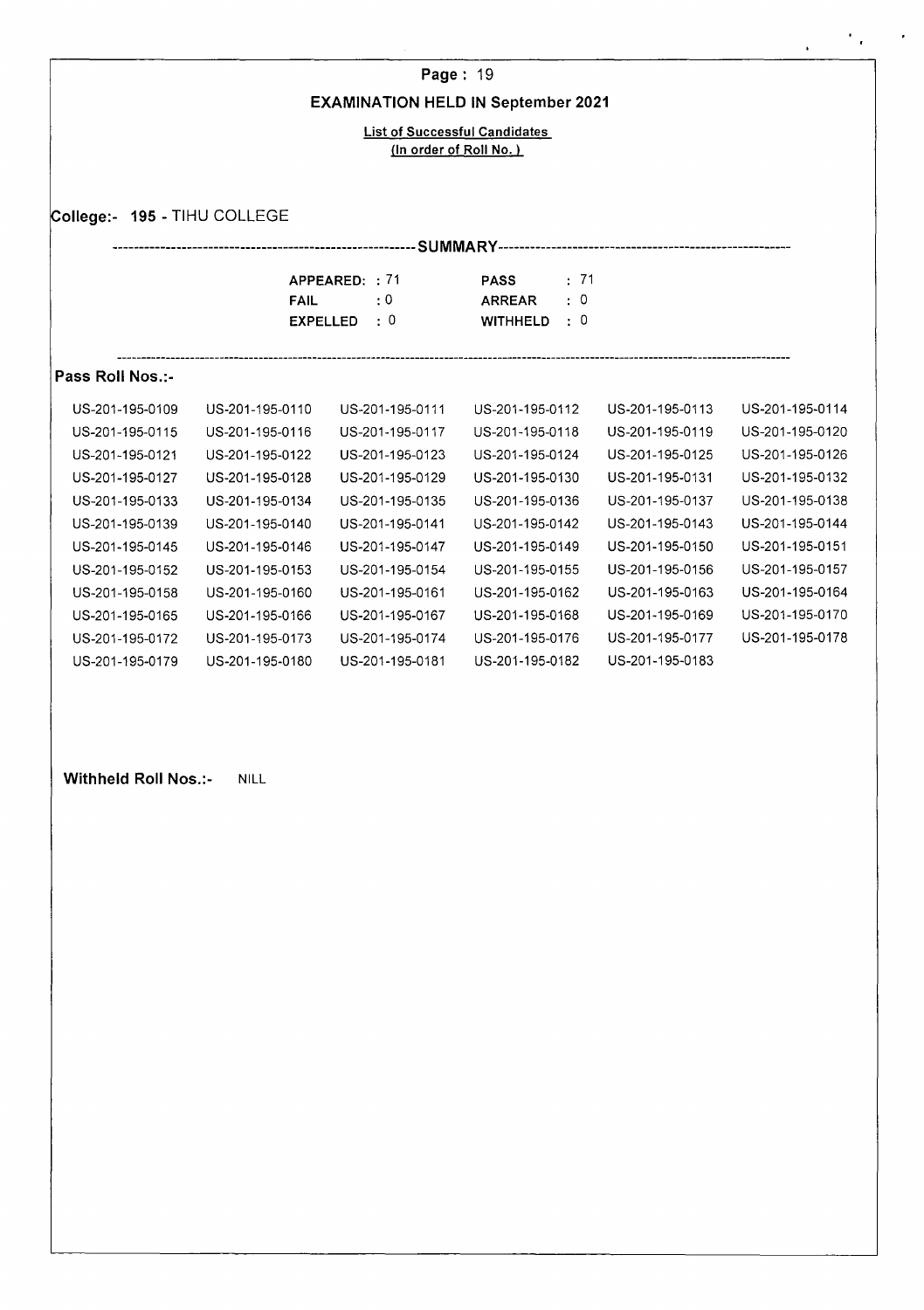$\mathcal{C}_{\mathbf{r}}$ 

 $\mathbf{r}$ 

# **EXAMINATION HELD IN September 2021**

**List of Successful Candidates (In order of Roll No.)** 

**College:- 195** - TIHU COLLEGE

|                  | <b>FAIL</b><br><b>EXPELLED</b> | APPEARED: : 71<br>: 0<br>: 0 | : 71<br><b>PASS</b><br>: 0<br><b>ARREAR</b><br>$\cdot$ 0<br><b>WITHHELD</b> |                 |                 |
|------------------|--------------------------------|------------------------------|-----------------------------------------------------------------------------|-----------------|-----------------|
| Pass Roll Nos.:- |                                |                              |                                                                             |                 |                 |
| US-201-195-0109  | US-201-195-0110                | US-201-195-0111              | US-201-195-0112                                                             | US-201-195-0113 | US-201-195-0114 |
| US-201-195-0115  | US-201-195-0116                | US-201-195-0117              | US-201-195-0118                                                             | US-201-195-0119 | US-201-195-0120 |
| US-201-195-0121  | US-201-195-0122                | US-201-195-0123              | US-201-195-0124                                                             | US-201-195-0125 | US-201-195-0126 |
| US-201-195-0127  | US-201-195-0128                | US-201-195-0129              | US-201-195-0130                                                             | US-201-195-0131 | US-201-195-0132 |
| US-201-195-0133  | US-201-195-0134                | US-201-195-0135              | US-201-195-0136                                                             | US-201-195-0137 | US-201-195-0138 |
| US-201-195-0139  | US-201-195-0140                | US-201-195-0141              | US-201-195-0142                                                             | US-201-195-0143 | US-201-195-0144 |
| US-201-195-0145  | US-201-195-0146                | US-201-195-0147              | US-201-195-0149                                                             | US-201-195-0150 | US-201-195-0151 |
| US-201-195-0152  | US-201-195-0153                | US-201-195-0154              | US-201-195-0155                                                             | US-201-195-0156 | US-201-195-0157 |
| US-201-195-0158  | US-201-195-0160                | US-201-195-0161              | US-201-195-0162                                                             | US-201-195-0163 | US-201-195-0164 |
| US-201-195-0165  | US-201-195-0166                | US-201-195-0167              | US-201-195-0168                                                             | US-201-195-0169 | US-201-195-0170 |
| US-201-195-0172  | US-201-195-0173                | US-201-195-0174              | US-201-195-0176                                                             | US-201-195-0177 | US-201-195-0178 |
| US-201-195-0179  | US-201-195-0180                | US-201-195-0181              | US-201-195-0182                                                             | US-201-195-0183 |                 |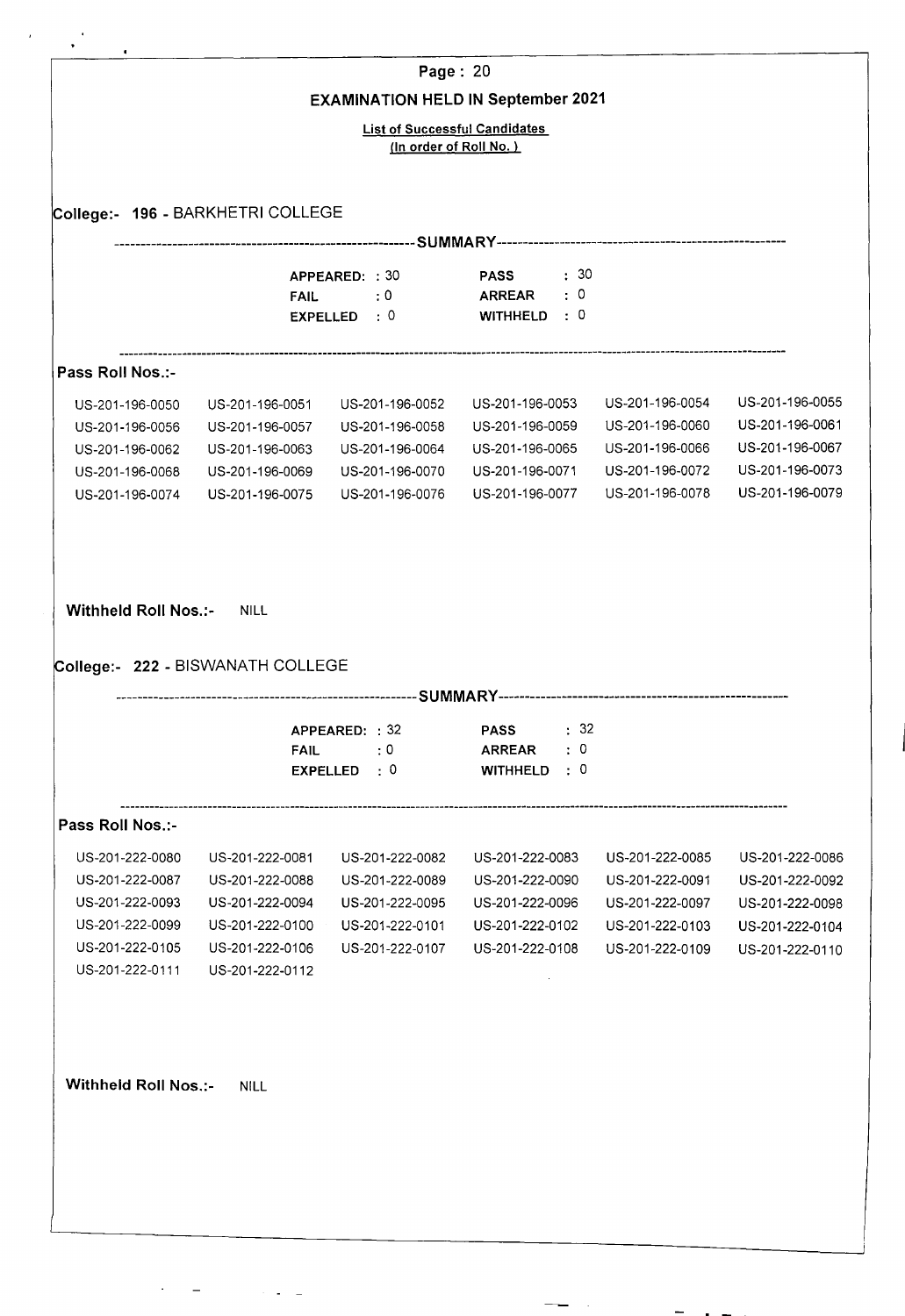# **EXAMINATION HELD IN September 2021**

**List of Successful Candidates (In order of Roll No.)** 

**College:- 196** - BARKHETRI COLLEGE

| APPEARED: : 30<br>FAIL : 0<br>EXPELLED : 0 | <b>PASS</b> : 30<br>ARREAR : 0<br>WITHHELD $: 0$ |  |
|--------------------------------------------|--------------------------------------------------|--|
|                                            |                                                  |  |

# **Pass Roll Nos.:**-

 $\epsilon$ 

 $\ddot{\phantom{1}}$ 

| US-201-196-0050 | US-201-196-0051 | US-201-196-0052 | LIS-201-196-0053 | US-201-196-0054  | US-201-196-0055 |
|-----------------|-----------------|-----------------|------------------|------------------|-----------------|
| US-201-196-0056 | US-201-196-0057 | US-201-196-0058 | 11S-201-196-0059 | 11S-201-196-0060 | US-201-196-0061 |
| US-201-196-0062 | US-201-196-0063 | US-201-196-0064 | US-201-196-0065  | LIS-201-196-0066 | US-201-196-0067 |
| US-201-196-0068 | US-201-196-0069 | US-201-196-0070 | US-201-196-0071  | US-201-196-0072  | US-201-196-0073 |
| US-201-196-0074 | US-201-196-0075 | US-201-196-0076 | US-201-196-0077  | LIS-201-196-0078 | US-201-196-0079 |
|                 |                 |                 |                  |                  |                 |

#### **Withheld Roll Nos.:- NILL**

# **College:- 222** - BISWANATH COLLEGE

|                         | APPEARED: 32 |  | <b>PASS</b> : 32 |  |  |  |
|-------------------------|--------------|--|------------------|--|--|--|
|                         | $FAIL \t 0$  |  | ARREAR : 0       |  |  |  |
|                         | EXPELLED : 0 |  | WITHHELD : 0     |  |  |  |
|                         |              |  |                  |  |  |  |
| <b>Pass Roll Nos.:-</b> |              |  |                  |  |  |  |

| US-201-222-0080 | US-201-222-0081 | US-201-222-0082 | US-201-222-0083 | US-201-222-0085 | US-201-222-0086 |
|-----------------|-----------------|-----------------|-----------------|-----------------|-----------------|
| US-201-222-0087 | US-201-222-0088 | US-201-222-0089 | US-201-222-0090 | US-201-222-0091 | US-201-222-0092 |
| US-201-222-0093 | US-201-222-0094 | US-201-222-0095 | US-201-222-0096 | US-201-222-0097 | US-201-222-0098 |
| US-201-222-0099 | US-201-222-0100 | US-201-222-0101 | US-201-222-0102 | US-201-222-0103 | US-201-222-0104 |
| US-201-222-0105 | US-201-222-0106 | US-201-222-0107 | US-201-222-0108 | US-201-222-0109 | US-201-222-0110 |
| US-201-222-0111 | US-201-222-0112 |                 |                 |                 |                 |

 $\sim$ 

**Withheld Roll Nos.:- NILL** 

 $\ddot{\phantom{a}}$ 

 $\overline{\phantom{a}}$  $\sim$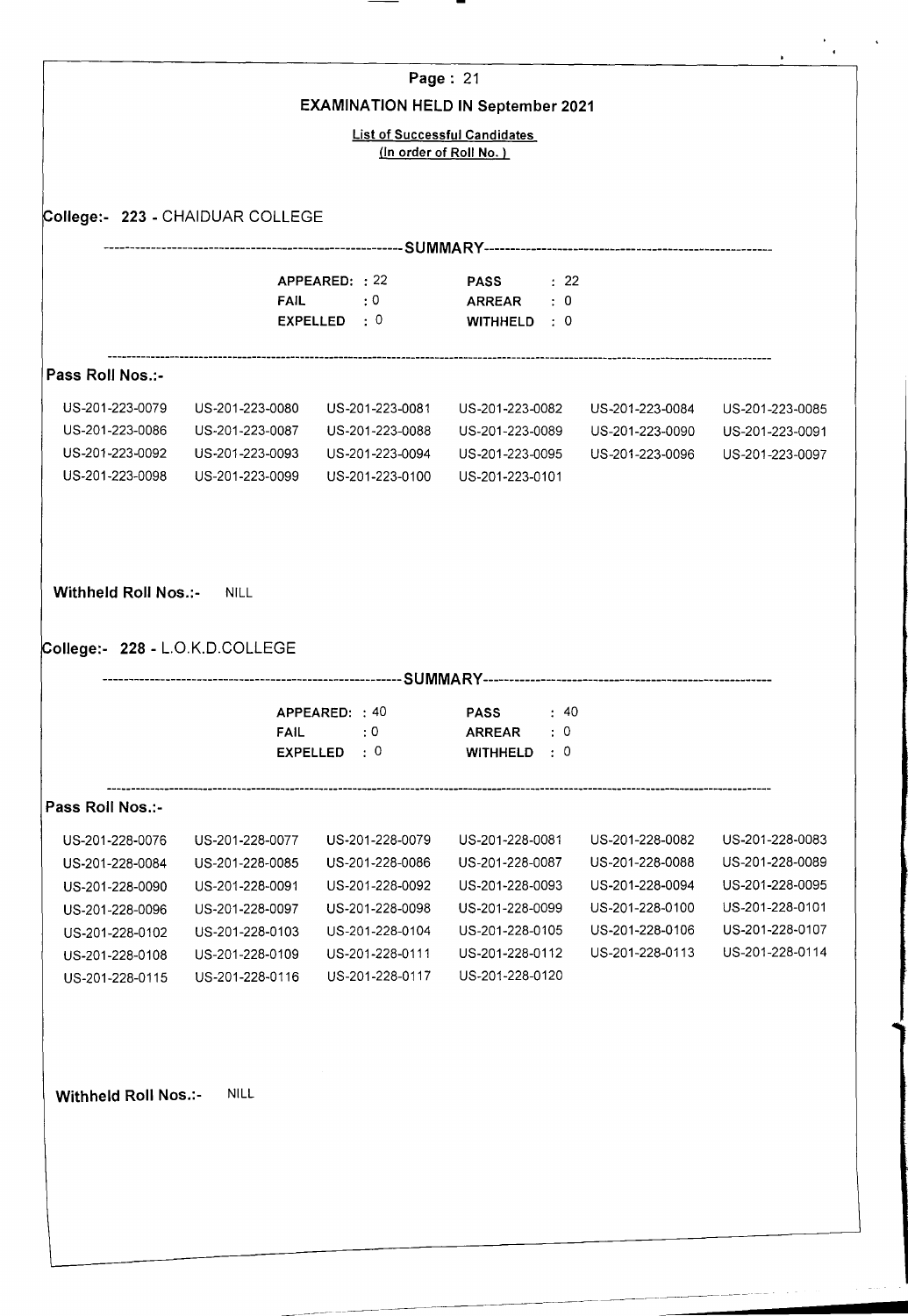|                                  |                 |                                                            | Page: 21                                                       |                 |                 |
|----------------------------------|-----------------|------------------------------------------------------------|----------------------------------------------------------------|-----------------|-----------------|
|                                  |                 |                                                            | <b>EXAMINATION HELD IN September 2021</b>                      |                 |                 |
|                                  |                 |                                                            | <b>List of Successful Candidates</b><br>(In order of Roll No.) |                 |                 |
|                                  |                 |                                                            |                                                                |                 |                 |
| College:- 223 - CHAIDUAR COLLEGE |                 |                                                            |                                                                |                 |                 |
|                                  |                 |                                                            |                                                                |                 |                 |
|                                  |                 | APPEARED: : 22                                             | <b>PASS</b> : 22                                               |                 |                 |
|                                  | <b>FAIL</b>     | $\cdot \cdot \cdot$ . O<br>EXPELLED: 0                     | ARREAR : 0<br>WITHHELD : 0                                     |                 |                 |
| Pass Roll Nos.:-                 |                 |                                                            |                                                                |                 |                 |
| US-201-223-0079                  | US-201-223-0080 | US-201-223-0081                                            | US-201-223-0082                                                | US-201-223-0084 | US-201-223-0085 |
| US-201-223-0086                  | US-201-223-0087 | US-201-223-0088                                            | US-201-223-0089                                                | US-201-223-0090 | US-201-223-0091 |
| US-201-223-0092                  | US-201-223-0093 | US-201-223-0094                                            | US-201-223-0095                                                | US-201-223-0096 | US-201-223-0097 |
| US-201-223-0098                  | US-201-223-0099 | US-201-223-0100                                            | US-201-223-0101                                                |                 |                 |
|                                  |                 |                                                            |                                                                |                 |                 |
| College:- 228 - L.O.K.D.COLLEGE  |                 |                                                            |                                                                |                 |                 |
|                                  |                 | APPEARED: : 40<br><b>FAIL</b><br>$\cdot$ 0<br>EXPELLED : 0 | <b>PASS</b><br>: 40<br>ARREAR<br>$\cdot$ 0<br>WITHHELD : 0     |                 |                 |
| Pass Roll Nos.:-                 |                 |                                                            |                                                                |                 |                 |
| US-201-228-0076                  | US-201-228-0077 | US-201-228-0079                                            | US-201-228-0081                                                | US-201-228-0082 | US-201-228-0083 |
| US-201-228-0084                  | US-201-228-0085 | US-201-228-0086                                            | US-201-228-0087                                                | US-201-228-0088 | US-201-228-0089 |
| US-201-228-0090                  | US-201-228-0091 | US-201-228-0092                                            | US-201-228-0093                                                | US-201-228-0094 | US-201-228-0095 |
| US-201-228-0096                  | US-201-228-0097 | US-201-228-0098                                            | US-201-228-0099                                                | US-201-228-0100 | US-201-228-0101 |
| US-201-228-0102                  | US-201-228-0103 | US-201-228-0104                                            | US-201-228-0105                                                | US-201-228-0106 | US-201-228-0107 |
| US-201-228-0108                  | US-201-228-0109 | US-201-228-0111                                            | US-201-228-0112                                                | US-201-228-0113 | US-201-228-0114 |
| US-201-228-0115                  | US-201-228-0116 | US-201-228-0117                                            | US-201-228-0120                                                |                 |                 |
|                                  |                 |                                                            |                                                                |                 |                 |
|                                  |                 |                                                            |                                                                |                 |                 |
|                                  |                 |                                                            |                                                                |                 |                 |
|                                  | <b>NILL</b>     |                                                            |                                                                |                 |                 |
| <b>Withheld Roll Nos.:-</b>      |                 |                                                            |                                                                |                 |                 |
|                                  |                 |                                                            |                                                                |                 |                 |
|                                  |                 |                                                            |                                                                |                 |                 |
|                                  |                 |                                                            |                                                                |                 |                 |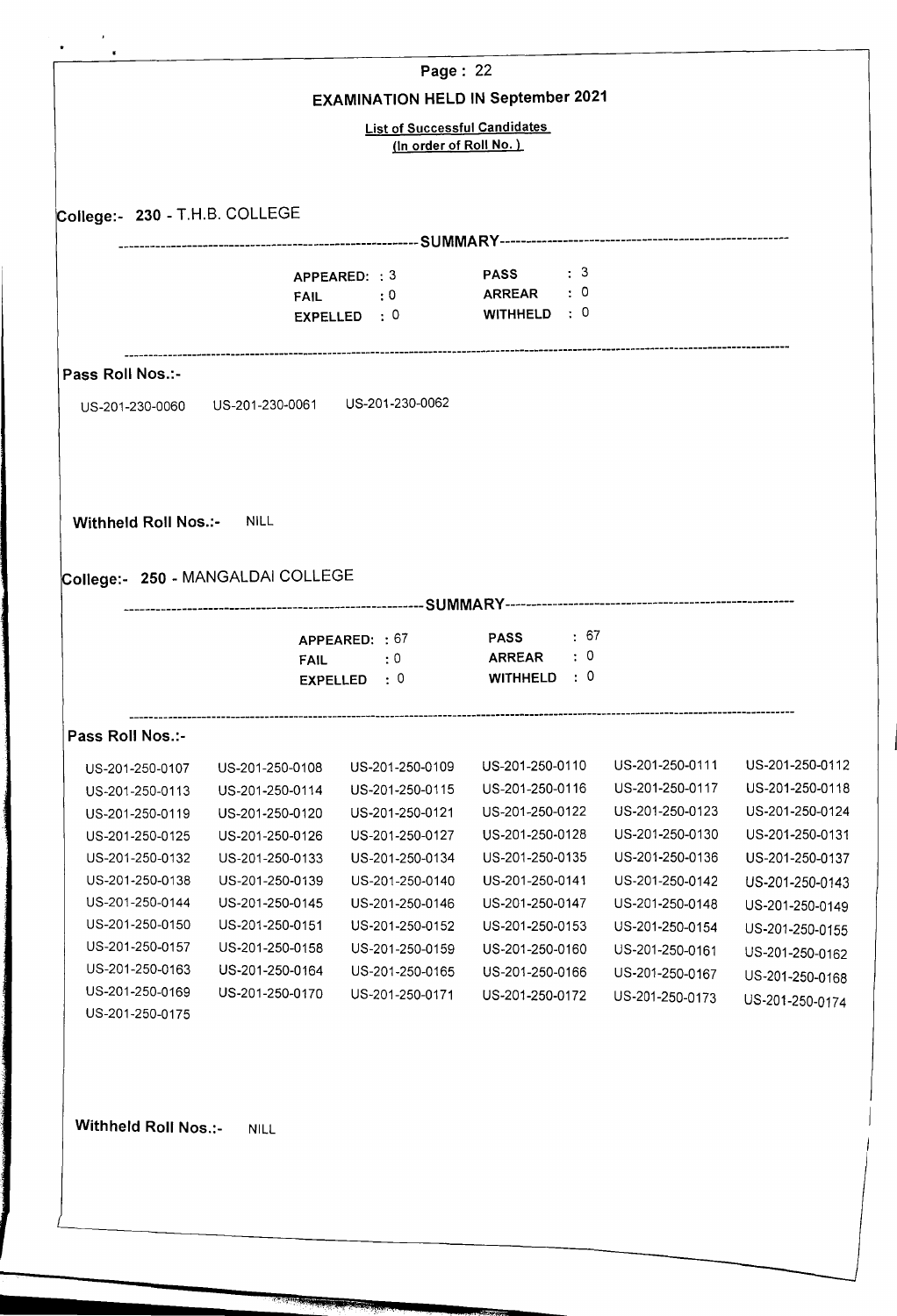|                                                                |                 | Page: 22        |                                           |                 |                                                                                                                                                      |  |  |  |
|----------------------------------------------------------------|-----------------|-----------------|-------------------------------------------|-----------------|------------------------------------------------------------------------------------------------------------------------------------------------------|--|--|--|
|                                                                |                 |                 | <b>EXAMINATION HELD IN September 2021</b> |                 |                                                                                                                                                      |  |  |  |
| <b>List of Successful Candidates</b><br>(In order of Roll No.) |                 |                 |                                           |                 |                                                                                                                                                      |  |  |  |
| College:- 230 - T.H.B. COLLEGE                                 |                 |                 |                                           |                 |                                                                                                                                                      |  |  |  |
|                                                                |                 |                 |                                           |                 |                                                                                                                                                      |  |  |  |
| PASS : 3<br>APPEARED: : 3                                      |                 |                 |                                           |                 |                                                                                                                                                      |  |  |  |
|                                                                |                 | FAIL : 0        | ARREAR : 0                                |                 |                                                                                                                                                      |  |  |  |
|                                                                |                 | EXPELLED : 0    | <b>WITHHELD</b> : 0                       |                 |                                                                                                                                                      |  |  |  |
| Pass Roll Nos.:-                                               |                 |                 |                                           |                 |                                                                                                                                                      |  |  |  |
|                                                                |                 |                 |                                           |                 |                                                                                                                                                      |  |  |  |
|                                                                |                 |                 |                                           |                 |                                                                                                                                                      |  |  |  |
|                                                                |                 |                 |                                           |                 |                                                                                                                                                      |  |  |  |
|                                                                |                 |                 |                                           |                 |                                                                                                                                                      |  |  |  |
|                                                                |                 |                 |                                           |                 |                                                                                                                                                      |  |  |  |
|                                                                |                 |                 |                                           |                 |                                                                                                                                                      |  |  |  |
|                                                                |                 |                 |                                           |                 |                                                                                                                                                      |  |  |  |
| Withheld Roll Nos.:- NILL                                      |                 |                 |                                           |                 |                                                                                                                                                      |  |  |  |
|                                                                |                 |                 |                                           |                 |                                                                                                                                                      |  |  |  |
|                                                                |                 |                 |                                           |                 |                                                                                                                                                      |  |  |  |
| College:- 250 - MANGALDAI COLLEGE                              |                 |                 |                                           |                 |                                                                                                                                                      |  |  |  |
|                                                                |                 |                 |                                           |                 |                                                                                                                                                      |  |  |  |
|                                                                |                 | APPEARED: : 67  | <b>PASS</b> : 67                          |                 |                                                                                                                                                      |  |  |  |
|                                                                |                 | FAIL : 0        | ARREAR : 0                                |                 |                                                                                                                                                      |  |  |  |
|                                                                |                 | EXPELLED : $0$  | WITHHELD : 0                              |                 |                                                                                                                                                      |  |  |  |
| Pass Roll Nos.:-                                               |                 |                 |                                           |                 |                                                                                                                                                      |  |  |  |
| US-201-250-0107                                                | US-201-250-0108 | US-201-250-0109 | US-201-250-0110                           | US-201-250-0111 |                                                                                                                                                      |  |  |  |
| US-201-250-0113                                                | US-201-250-0114 | US-201-250-0115 | US-201-250-0116                           | US-201-250-0117 |                                                                                                                                                      |  |  |  |
| US-201-250-0119                                                | US-201-250-0120 | US-201-250-0121 | US-201-250-0122                           | US-201-250-0123 |                                                                                                                                                      |  |  |  |
| US-201-250-0125                                                | US-201-250-0126 | US-201-250-0127 | US-201-250-0128                           | US-201-250-0130 |                                                                                                                                                      |  |  |  |
| US-201-250-0132                                                | US-201-250-0133 | US-201-250-0134 | US-201-250-0135                           | US-201-250-0136 |                                                                                                                                                      |  |  |  |
| US-201-250-0138                                                | US-201-250-0139 | US-201-250-0140 | US-201-250-0141                           | US-201-250-0142 |                                                                                                                                                      |  |  |  |
| US-201-250-0144                                                | US-201-250-0145 | US-201-250-0146 | US-201-250-0147                           | US-201-250-0148 |                                                                                                                                                      |  |  |  |
| US-201-250-0150                                                | US-201-250-0151 | US-201-250-0152 | US-201-250-0153                           | US-201-250-0154 |                                                                                                                                                      |  |  |  |
| US-201-250-0157                                                | US-201-250-0158 | US-201-250-0159 | US-201-250-0160                           | US-201-250-0161 | US-201-250-0112<br>US-201-250-0118<br>US-201-250-0124<br>US-201-250-0131<br>US-201-250-0137<br>US-201-250-0143<br>US-201-250-0149<br>US-201-250-0155 |  |  |  |
| US-201-250-0163                                                | US-201-250-0164 | US-201-250-0165 | US-201-250-0166                           | US-201-250-0167 |                                                                                                                                                      |  |  |  |
| US-201-250-0169                                                | US-201-250-0170 | US-201-250-0171 | US-201-250-0172                           | US-201-250-0173 | US-201-250-0162<br>US-201-250-0168<br>US-201-250-0174                                                                                                |  |  |  |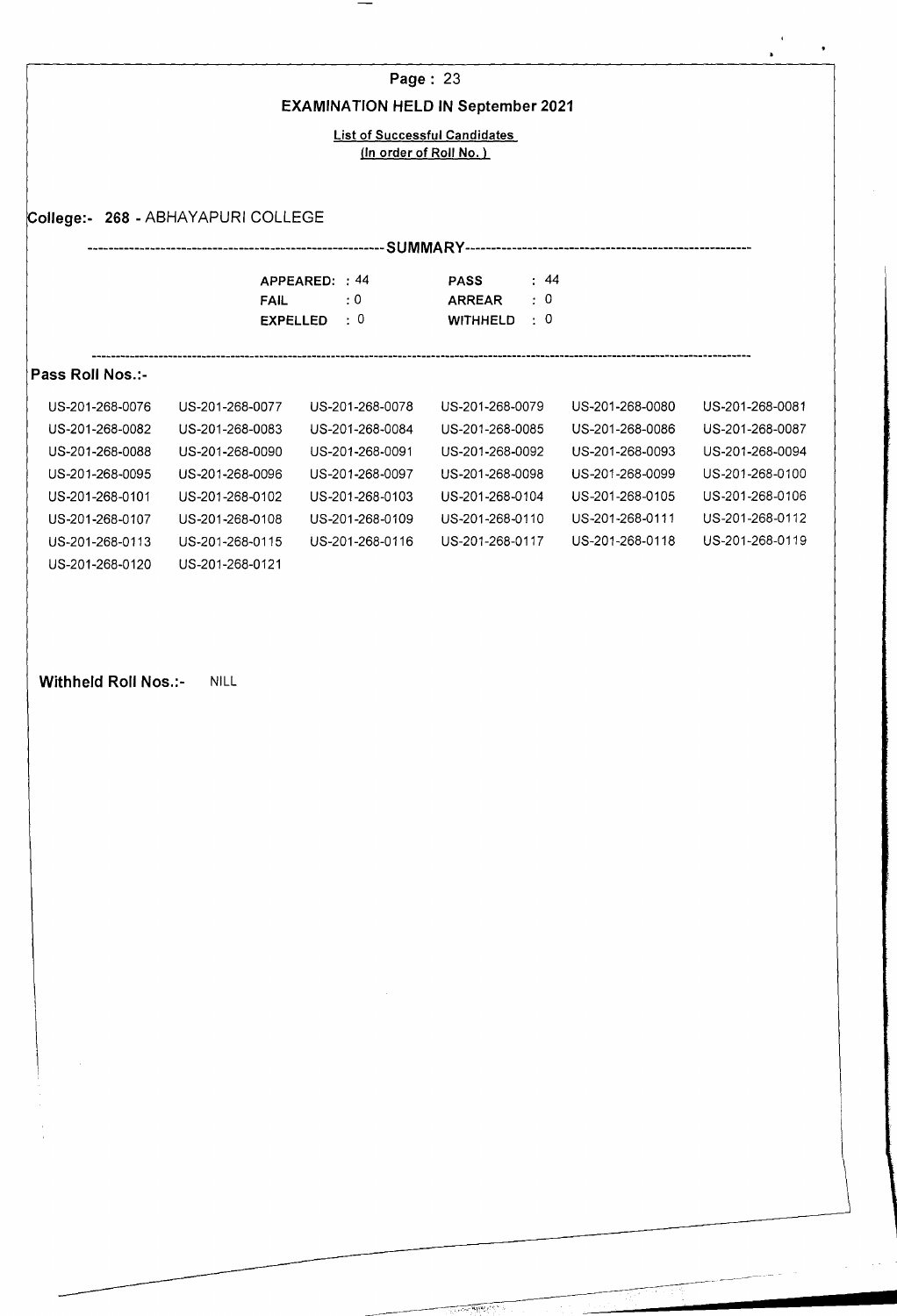|                  |                                                                                               | Page: 23        |                                           |                 |                 |
|------------------|-----------------------------------------------------------------------------------------------|-----------------|-------------------------------------------|-----------------|-----------------|
|                  |                                                                                               |                 | <b>EXAMINATION HELD IN September 2021</b> |                 |                 |
|                  |                                                                                               |                 |                                           |                 |                 |
|                  |                                                                                               |                 |                                           |                 |                 |
|                  |                                                                                               |                 |                                           |                 |                 |
|                  | List of Successful Candidates<br>(In order of Roll No.)<br>College:- 268 - ABHAYAPURI COLLEGE |                 |                                           |                 |                 |
|                  |                                                                                               |                 |                                           |                 |                 |
|                  |                                                                                               |                 |                                           |                 |                 |
|                  |                                                                                               | APPEARED: : 44  | : 44<br><b>PASS</b>                       |                 |                 |
|                  | <b>FAIL</b>                                                                                   | : 0             | : 0<br><b>ARREAR</b>                      |                 |                 |
|                  | <b>EXPELLED</b>                                                                               | : 0             | $\cdot$ 0<br><b>WITHHELD</b>              |                 |                 |
|                  |                                                                                               |                 |                                           |                 |                 |
| Pass Roll Nos.:- |                                                                                               |                 |                                           |                 |                 |
| US-201-268-0076  | US-201-268-0077                                                                               | US-201-268-0078 | US-201-268-0079                           | US-201-268-0080 | US-201-268-0081 |
| US-201-268-0082  | US-201-268-0083                                                                               | US-201-268-0084 | US-201-268-0085                           | US-201-268-0086 | US-201-268-0087 |
| US-201-268-0088  | US-201-268-0090                                                                               | US-201-268-0091 | US-201-268-0092                           | US-201-268-0093 | US-201-268-0094 |
| US-201-268-0095  | US-201-268-0096                                                                               | US-201-268-0097 | US-201-268-0098                           | US-201-268-0099 | US-201-268-0100 |
| US-201-268-0101  | US-201-268-0102                                                                               | US-201-268-0103 | US-201-268-0104                           | US-201-268-0105 | US-201-268-0106 |
| US-201-268-0107  | US-201-268-0108                                                                               | US-201-268-0109 | US-201-268-0110                           | US-201-268-0111 | US-201-268-0112 |
| US-201-268-0113  | US-201-268-0115                                                                               | US-201-268-0116 | US-201-268-0117                           | US-201-268-0118 | US-201-268-0119 |
| US-201-268-0120  | US-201-268-0121                                                                               |                 |                                           |                 |                 |

**CONSTRUCTION** 

 $\rightarrow$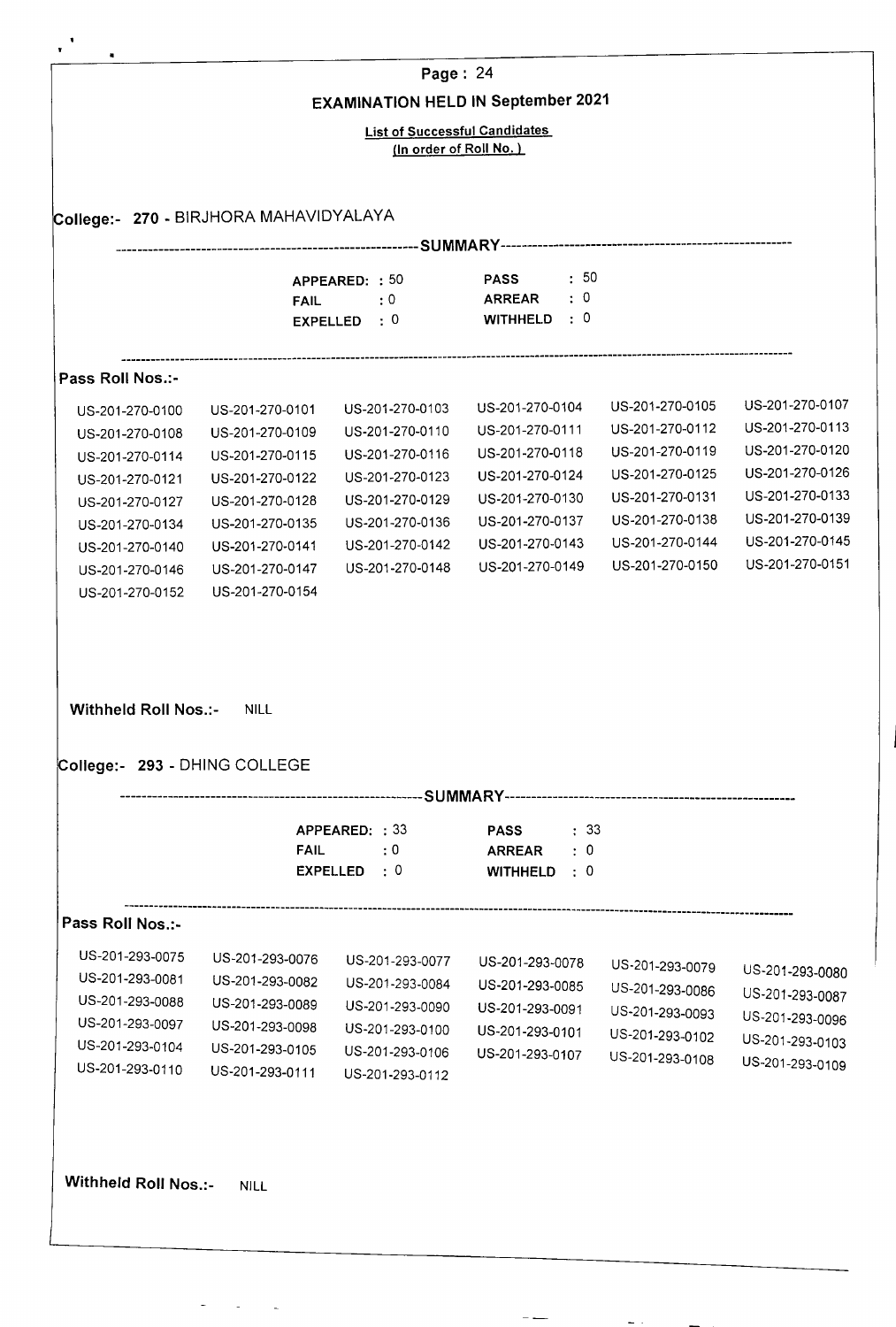|                                                              |                 | Page: 24                                                       |                                                                                   |                 |                 |  |  |  |
|--------------------------------------------------------------|-----------------|----------------------------------------------------------------|-----------------------------------------------------------------------------------|-----------------|-----------------|--|--|--|
|                                                              |                 |                                                                | <b>EXAMINATION HELD IN September 2021</b>                                         |                 |                 |  |  |  |
|                                                              |                 | <b>List of Successful Candidates</b><br>(In order of Roll No.) |                                                                                   |                 |                 |  |  |  |
| College:- 270 - BIRJHORA MAHAVIDYALAYA                       |                 |                                                                |                                                                                   |                 |                 |  |  |  |
|                                                              |                 |                                                                |                                                                                   |                 |                 |  |  |  |
|                                                              |                 | APPEARED: : 50                                                 | - 50<br><b>PASS</b>                                                               |                 |                 |  |  |  |
|                                                              | <b>FAIL</b>     | $\mathbf{.0}$<br>EXPELLED : 0                                  | : 0<br>ARREAR<br>: 0<br><b>WITHHELD</b>                                           |                 |                 |  |  |  |
| Pass Roll Nos.:-                                             |                 |                                                                |                                                                                   |                 |                 |  |  |  |
| US-201-270-0100                                              | US-201-270-0101 | US-201-270-0103                                                | US-201-270-0104                                                                   | US-201-270-0105 | US-201-270-0107 |  |  |  |
| US-201-270-0108                                              | US-201-270-0109 | US-201-270-0110                                                | US-201-270-0111                                                                   | US-201-270-0112 | US-201-270-0113 |  |  |  |
| US-201-270-0114                                              | US-201-270-0115 | US-201-270-0116                                                | US-201-270-0118                                                                   | US-201-270-0119 | US-201-270-0120 |  |  |  |
| US-201-270-0121                                              | US-201-270-0122 | US-201-270-0123                                                | US-201-270-0124                                                                   | US-201-270-0125 | US-201-270-0126 |  |  |  |
| US-201-270-0127                                              | US-201-270-0128 | US-201-270-0129                                                | US-201-270-0130                                                                   | US-201-270-0131 | US-201-270-0133 |  |  |  |
| US-201-270-0134                                              | US-201-270-0135 | US-201-270-0136                                                | US-201-270-0137                                                                   | US-201-270-0138 | US-201-270-0139 |  |  |  |
| US-201-270-0140                                              | US-201-270-0141 | US-201-270-0142                                                | US-201-270-0143                                                                   | US-201-270-0144 | US-201-270-0145 |  |  |  |
| US-201-270-0146                                              | US-201-270-0147 | US-201-270-0148                                                | US-201-270-0149                                                                   | US-201-270-0150 | US-201-270-0151 |  |  |  |
| US-201-270-0152                                              | US-201-270-0154 |                                                                |                                                                                   |                 |                 |  |  |  |
| <b>Withheld Roll Nos.:-</b><br>College:- 293 - DHING COLLEGE | <b>NILL</b>     |                                                                |                                                                                   |                 |                 |  |  |  |
|                                                              |                 |                                                                |                                                                                   |                 |                 |  |  |  |
|                                                              | <b>FAIL</b>     | APPEARED: : 33<br>: 0<br>$EXPELLED$ : 0                        | <b>PASS</b><br>: 33<br><b>ARREAR</b><br>$\mathbf{.} \ \mathbf{0}$<br>WITHHELD : 0 |                 |                 |  |  |  |
| Pass Roll Nos.:-                                             |                 |                                                                |                                                                                   |                 |                 |  |  |  |
| US-201-293-0075                                              | US-201-293-0076 | US-201-293-0077                                                | US-201-293-0078                                                                   |                 |                 |  |  |  |
| US-201-293-0081                                              | US-201-293-0082 | US-201-293-0084                                                | US-201-293-0085                                                                   | US-201-293-0079 | US-201-293-0080 |  |  |  |
| US-201-293-0088                                              | US-201-293-0089 | US-201-293-0090                                                | US-201-293-0091                                                                   | US-201-293-0086 | US-201-293-0087 |  |  |  |
| US-201-293-0097                                              | US-201-293-0098 | US-201-293-0100                                                | US-201-293-0101                                                                   | US-201-293-0093 | US-201-293-0096 |  |  |  |
| US-201-293-0104                                              | US-201-293-0105 | US-201-293-0106                                                | US-201-293-0107                                                                   | US-201-293-0102 | US-201-293-0103 |  |  |  |
| US-201-293-0110                                              | US-201-293-0111 | US-201-293-0112                                                |                                                                                   | US-201-293-0108 | US-201-293-0109 |  |  |  |
| Withheld Roll Nos.:-                                         | <b>NILL</b>     |                                                                |                                                                                   |                 |                 |  |  |  |

 $\sim$   $\sim$ 

 $\overline{a}$ 

÷,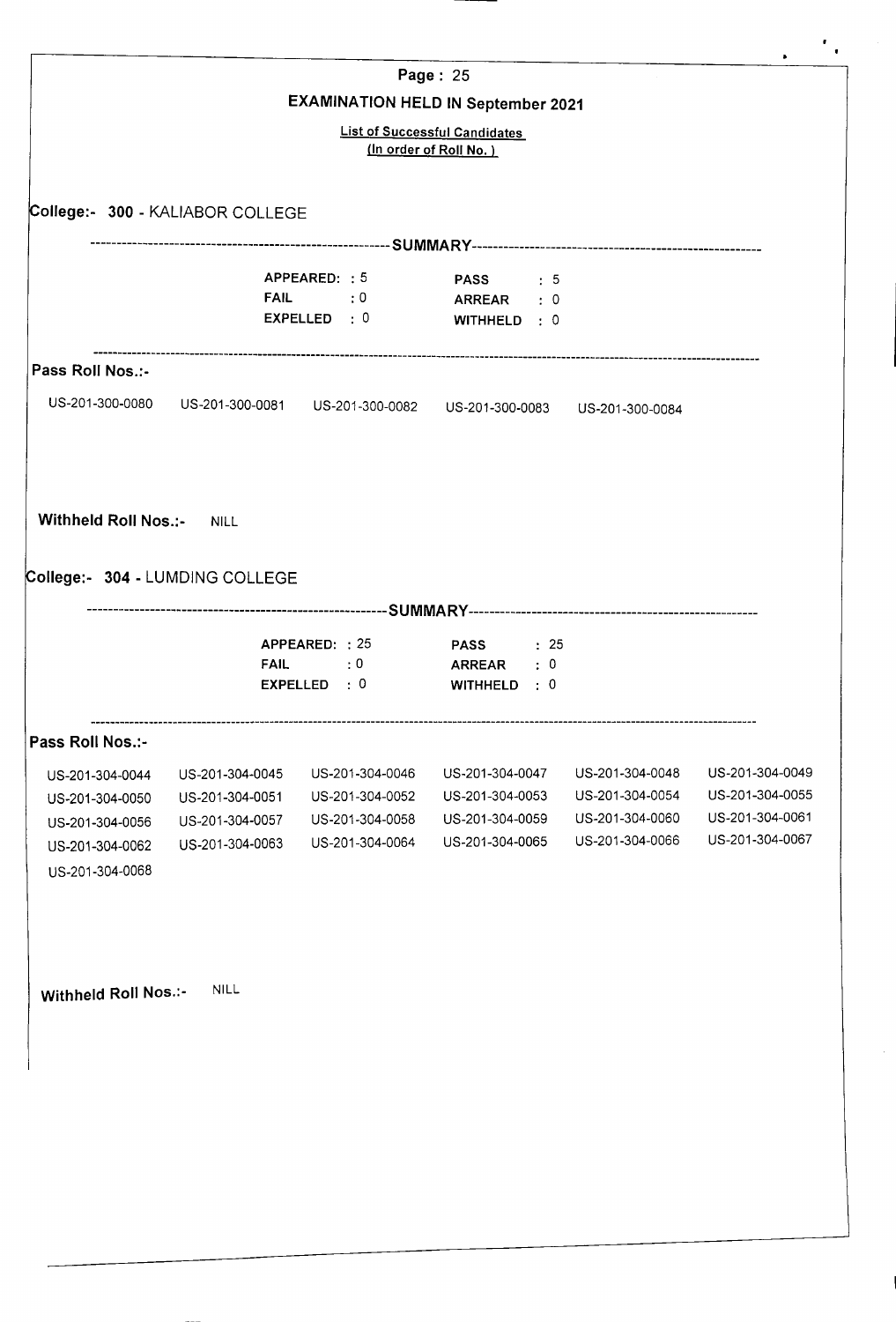|                                     |                         |                                                                                                                                                                                                                                                                                                                                                   | Page: 25                                                       |                                    |                                                       |  |  |  |  |
|-------------------------------------|-------------------------|---------------------------------------------------------------------------------------------------------------------------------------------------------------------------------------------------------------------------------------------------------------------------------------------------------------------------------------------------|----------------------------------------------------------------|------------------------------------|-------------------------------------------------------|--|--|--|--|
|                                     |                         |                                                                                                                                                                                                                                                                                                                                                   | <b>EXAMINATION HELD IN September 2021</b>                      |                                    |                                                       |  |  |  |  |
|                                     |                         |                                                                                                                                                                                                                                                                                                                                                   | <b>List of Successful Candidates</b><br>(In order of Roll No.) |                                    |                                                       |  |  |  |  |
| College:- 300 - KALIABOR COLLEGE    |                         |                                                                                                                                                                                                                                                                                                                                                   |                                                                |                                    |                                                       |  |  |  |  |
|                                     |                         |                                                                                                                                                                                                                                                                                                                                                   |                                                                |                                    |                                                       |  |  |  |  |
|                                     | APPEARED: 5<br>PASS : 5 |                                                                                                                                                                                                                                                                                                                                                   |                                                                |                                    |                                                       |  |  |  |  |
|                                     |                         | FAIL: 0<br>$EXPELLED$ : 0                                                                                                                                                                                                                                                                                                                         | ARREAR : 0<br>WITHHELD : 0                                     |                                    |                                                       |  |  |  |  |
| Pass Roll Nos.:-                    |                         |                                                                                                                                                                                                                                                                                                                                                   |                                                                |                                    |                                                       |  |  |  |  |
| US-201-300-0080                     |                         |                                                                                                                                                                                                                                                                                                                                                   |                                                                | US-201-300-0084                    |                                                       |  |  |  |  |
|                                     |                         |                                                                                                                                                                                                                                                                                                                                                   |                                                                |                                    |                                                       |  |  |  |  |
| Withheld Roll Nos.:- NILL           |                         |                                                                                                                                                                                                                                                                                                                                                   |                                                                |                                    |                                                       |  |  |  |  |
|                                     |                         |                                                                                                                                                                                                                                                                                                                                                   |                                                                |                                    |                                                       |  |  |  |  |
|                                     |                         |                                                                                                                                                                                                                                                                                                                                                   |                                                                |                                    |                                                       |  |  |  |  |
| College:- 304 - LUMDING COLLEGE     |                         |                                                                                                                                                                                                                                                                                                                                                   |                                                                |                                    |                                                       |  |  |  |  |
|                                     |                         |                                                                                                                                                                                                                                                                                                                                                   |                                                                |                                    |                                                       |  |  |  |  |
|                                     |                         | APPEARED: : 25                                                                                                                                                                                                                                                                                                                                    | <b>PASS</b> : 25                                               |                                    |                                                       |  |  |  |  |
|                                     | <b>FAIL</b>             | $\mathbf{C}$ $\mathbf{D}$ $\mathbf{D}$ $\mathbf{D}$ $\mathbf{D}$ $\mathbf{D}$ $\mathbf{D}$ $\mathbf{D}$ $\mathbf{D}$ $\mathbf{D}$ $\mathbf{D}$ $\mathbf{D}$ $\mathbf{D}$ $\mathbf{D}$ $\mathbf{D}$ $\mathbf{D}$ $\mathbf{D}$ $\mathbf{D}$ $\mathbf{D}$ $\mathbf{D}$ $\mathbf{D}$ $\mathbf{D}$ $\mathbf{D}$ $\mathbf{D}$ $\mathbf{$<br>EXPELED : 0 | <b>ARREAR</b><br>: 0<br>WITHHELD : 0                           |                                    |                                                       |  |  |  |  |
|                                     |                         |                                                                                                                                                                                                                                                                                                                                                   |                                                                |                                    |                                                       |  |  |  |  |
| US-201-304-0044                     | US-201-304-0045         | US-201-304-0046                                                                                                                                                                                                                                                                                                                                   | US-201-304-0047                                                | US-201-304-0048                    | US-201-304-0049                                       |  |  |  |  |
| US-201-304-0050                     | US-201-304-0051         | US-201-304-0052                                                                                                                                                                                                                                                                                                                                   | US-201-304-0053                                                | US-201-304-0054                    |                                                       |  |  |  |  |
| Pass Roll Nos.:-<br>US-201-304-0056 | US-201-304-0057         | US-201-304-0058                                                                                                                                                                                                                                                                                                                                   | US-201-304-0059<br>US-201-304-0065                             | US-201-304-0060<br>US-201-304-0066 |                                                       |  |  |  |  |
| US-201-304-0062                     | US-201-304-0063         | US-201-304-0064                                                                                                                                                                                                                                                                                                                                   |                                                                |                                    |                                                       |  |  |  |  |
| US-201-304-0068                     |                         |                                                                                                                                                                                                                                                                                                                                                   |                                                                |                                    |                                                       |  |  |  |  |
|                                     |                         |                                                                                                                                                                                                                                                                                                                                                   |                                                                |                                    |                                                       |  |  |  |  |
| Withheld Roll Nos.:-                | <b>NILL</b>             |                                                                                                                                                                                                                                                                                                                                                   |                                                                |                                    |                                                       |  |  |  |  |
|                                     |                         |                                                                                                                                                                                                                                                                                                                                                   |                                                                |                                    | US-201-304-0055<br>US-201-304-0061<br>US-201-304-0067 |  |  |  |  |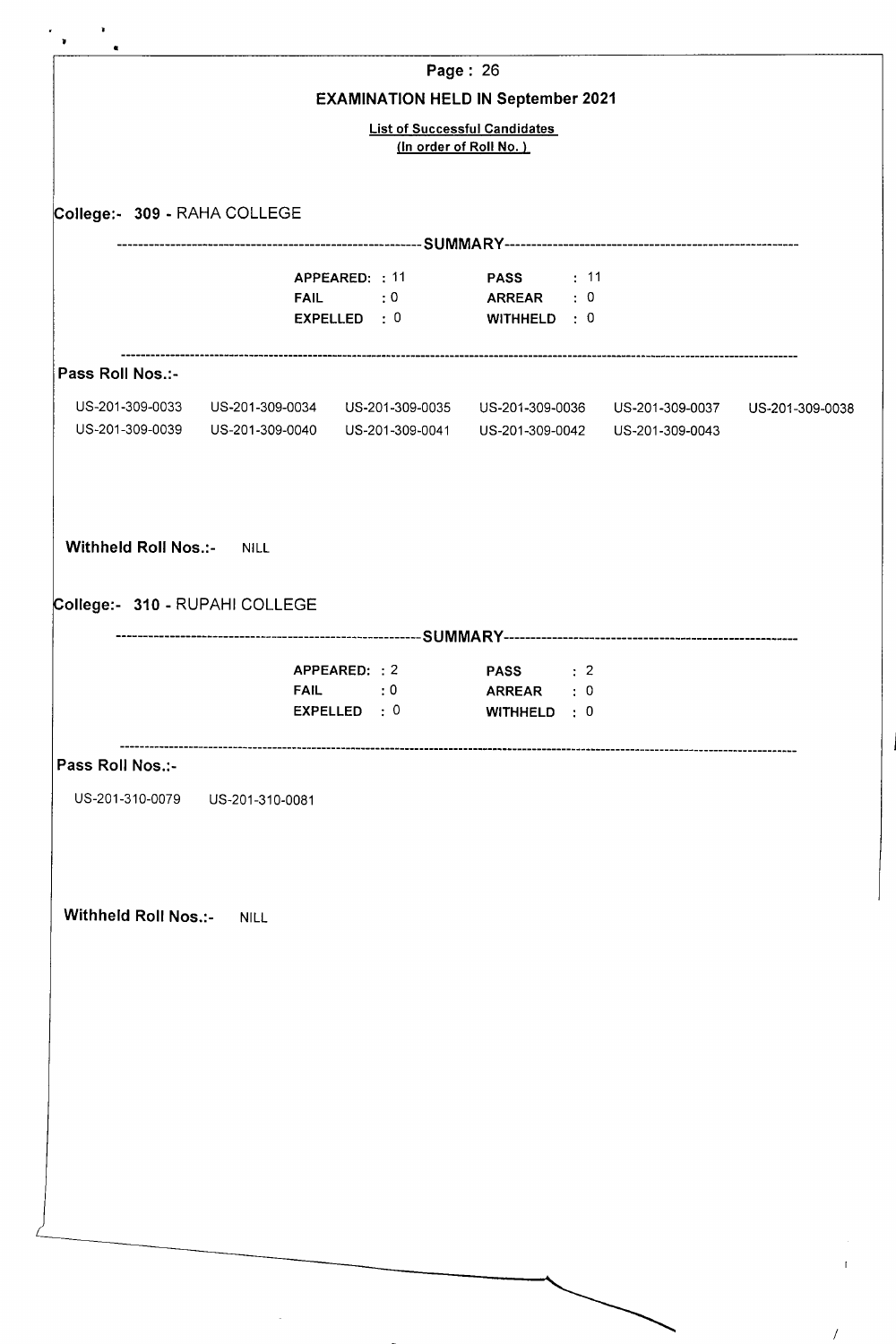|                                |                 | Page: 26                             |                                                                                                                                                                                    |  |  |  |  |  |
|--------------------------------|-----------------|--------------------------------------|------------------------------------------------------------------------------------------------------------------------------------------------------------------------------------|--|--|--|--|--|
|                                |                 |                                      | <b>EXAMINATION HELD IN September 2021</b>                                                                                                                                          |  |  |  |  |  |
|                                |                 | <b>List of Successful Candidates</b> | (In order of Roll No.)                                                                                                                                                             |  |  |  |  |  |
|                                |                 |                                      |                                                                                                                                                                                    |  |  |  |  |  |
| College:- 309 - RAHA COLLEGE   |                 |                                      |                                                                                                                                                                                    |  |  |  |  |  |
| APPEARED: : 11 PASS : 11       |                 |                                      |                                                                                                                                                                                    |  |  |  |  |  |
|                                |                 | FAIL : 0                             | ARREAR : 0<br>EXPELLED : 0 WITHHELD : 0                                                                                                                                            |  |  |  |  |  |
| Pass Roll Nos.:-               |                 |                                      |                                                                                                                                                                                    |  |  |  |  |  |
|                                |                 |                                      | US-201-309-0033 US-201-309-0034 US-201-309-0035 US-201-309-0036 US-201-309-0037 US-201-309-0038<br>US-201-309-0039 US-201-309-0040 US-201-309-0041 US-201-309-0042 US-201-309-0043 |  |  |  |  |  |
| <b>Withheld Roll Nos.:-</b>    | <b>NILL</b>     |                                      |                                                                                                                                                                                    |  |  |  |  |  |
| College:- 310 - RUPAHI COLLEGE |                 |                                      |                                                                                                                                                                                    |  |  |  |  |  |
|                                |                 |                                      |                                                                                                                                                                                    |  |  |  |  |  |
|                                |                 | APPEARED: 2<br>FAIL: 0               | PASS : 2<br>ARREAR : 0                                                                                                                                                             |  |  |  |  |  |
|                                |                 | EXPELLED : 0                         | WITHHELD : 0                                                                                                                                                                       |  |  |  |  |  |
| Pass Roll Nos.:-               |                 |                                      |                                                                                                                                                                                    |  |  |  |  |  |
| US-201-310-0079                | US-201-310-0081 |                                      |                                                                                                                                                                                    |  |  |  |  |  |
|                                |                 |                                      |                                                                                                                                                                                    |  |  |  |  |  |
|                                |                 |                                      |                                                                                                                                                                                    |  |  |  |  |  |
| <b>Withheld Roll Nos.:-</b>    | <b>NILL</b>     |                                      |                                                                                                                                                                                    |  |  |  |  |  |
|                                |                 |                                      |                                                                                                                                                                                    |  |  |  |  |  |
|                                |                 |                                      |                                                                                                                                                                                    |  |  |  |  |  |
|                                |                 |                                      |                                                                                                                                                                                    |  |  |  |  |  |
|                                |                 |                                      |                                                                                                                                                                                    |  |  |  |  |  |
|                                |                 |                                      |                                                                                                                                                                                    |  |  |  |  |  |
|                                |                 |                                      |                                                                                                                                                                                    |  |  |  |  |  |
|                                |                 |                                      |                                                                                                                                                                                    |  |  |  |  |  |
|                                |                 |                                      |                                                                                                                                                                                    |  |  |  |  |  |
|                                |                 |                                      |                                                                                                                                                                                    |  |  |  |  |  |

/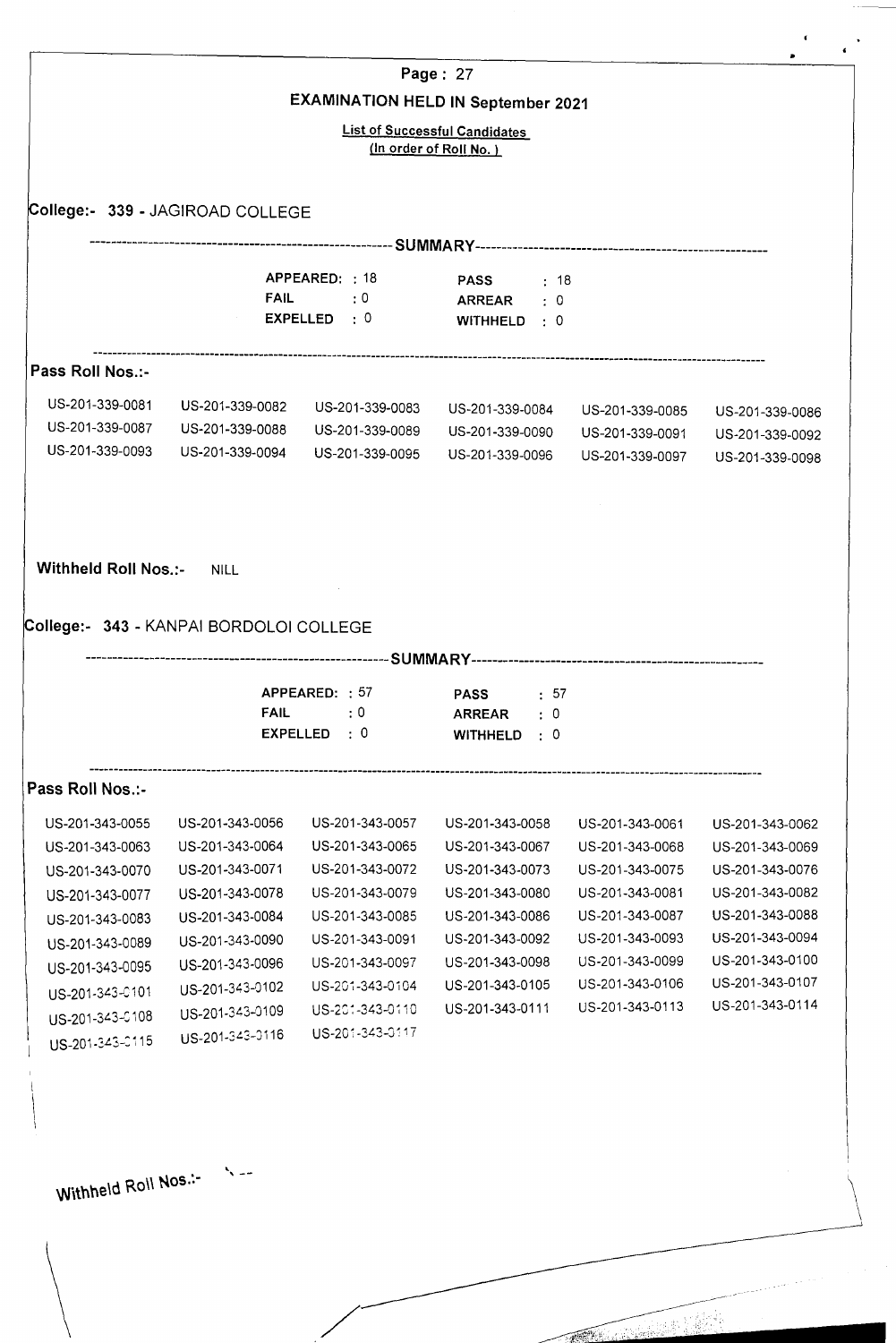|                                                                                   |                                                                                              |                                    | Page: 27                                   |                                    |                                    |  |  |  |
|-----------------------------------------------------------------------------------|----------------------------------------------------------------------------------------------|------------------------------------|--------------------------------------------|------------------------------------|------------------------------------|--|--|--|
| <b>EXAMINATION HELD IN September 2021</b><br><b>List of Successful Candidates</b> |                                                                                              |                                    |                                            |                                    |                                    |  |  |  |
|                                                                                   |                                                                                              |                                    | (In order of Roll No.)                     |                                    |                                    |  |  |  |
|                                                                                   |                                                                                              |                                    |                                            |                                    |                                    |  |  |  |
| College:- 339 - JAGIROAD COLLEGE                                                  |                                                                                              |                                    |                                            |                                    |                                    |  |  |  |
|                                                                                   |                                                                                              |                                    |                                            |                                    |                                    |  |  |  |
|                                                                                   | APPEARED: : 18<br><b>PASS</b><br>: 18<br><b>FAIL</b><br>$\mathbf{.0}$<br>ARREAR<br>$\cdot$ 0 |                                    |                                            |                                    |                                    |  |  |  |
| $EXPELLED$ : 0<br>WITHHELD : 0                                                    |                                                                                              |                                    |                                            |                                    |                                    |  |  |  |
| Pass Roll Nos.:-                                                                  |                                                                                              |                                    |                                            |                                    |                                    |  |  |  |
| US-201-339-0081                                                                   | US-201-339-0082                                                                              | US-201-339-0083                    | US-201-339-0084                            | US-201-339-0085                    | US-201-339-0086                    |  |  |  |
| US-201-339-0087                                                                   | US-201-339-0088                                                                              | US-201-339-0089                    | US-201-339-0090                            | US-201-339-0091                    | US-201-339-0092                    |  |  |  |
| US-201-339-0093                                                                   | US-201-339-0094                                                                              | US-201-339-0095                    | US-201-339-0096                            | US-201-339-0097                    | US-201-339-0098                    |  |  |  |
|                                                                                   |                                                                                              |                                    |                                            |                                    |                                    |  |  |  |
|                                                                                   |                                                                                              |                                    |                                            |                                    |                                    |  |  |  |
| <b>Withheld Roll Nos.:-</b>                                                       | <b>NILL</b>                                                                                  |                                    |                                            |                                    |                                    |  |  |  |
|                                                                                   | College:- 343 - KANPAI BORDOLOI COLLEGE                                                      |                                    |                                            |                                    |                                    |  |  |  |
|                                                                                   |                                                                                              |                                    |                                            |                                    |                                    |  |  |  |
|                                                                                   |                                                                                              | APPEARED: : 57                     | <b>PASS</b><br>$\div$ 57                   |                                    |                                    |  |  |  |
|                                                                                   | <b>FAIL</b>                                                                                  | $\mathbf{.0}$<br>$EXPELLED$ : 0    | <b>ARREAR</b><br>$\cdot$ 0<br>WITHHELD : 0 |                                    |                                    |  |  |  |
|                                                                                   |                                                                                              |                                    |                                            |                                    |                                    |  |  |  |
| Pass Roll Nos.:-                                                                  |                                                                                              |                                    |                                            |                                    |                                    |  |  |  |
| US-201-343-0055                                                                   | US-201-343-0056                                                                              | US-201-343-0057                    | US-201-343-0058                            | US-201-343-0061                    | US-201-343-0062                    |  |  |  |
| US-201-343-0063                                                                   | US-201-343-0064                                                                              | US-201-343-0065                    | US-201-343-0067                            | US-201-343-0068                    | US-201-343-0069                    |  |  |  |
| US-201-343-0070                                                                   | US-201-343-0071                                                                              | US-201-343-0072                    | US-201-343-0073                            | US-201-343-0075                    | US-201-343-0076                    |  |  |  |
| US-201-343-0077                                                                   | US-201-343-0078<br>US-201-343-0084                                                           | US-201-343-0079<br>US-201-343-0085 | US-201-343-0080<br>US-201-343-0086         | US-201-343-0081<br>US-201-343-0087 | US-201-343-0082<br>US-201-343-0088 |  |  |  |
|                                                                                   |                                                                                              | US-201-343-0091                    | US-201-343-0092                            | US-201-343-0093                    | US-201-343-0094                    |  |  |  |
| US-201-343-0083                                                                   |                                                                                              |                                    |                                            |                                    | US-201-343-0100                    |  |  |  |
| US-201-343-0089                                                                   | US-201-343-0090                                                                              |                                    |                                            |                                    |                                    |  |  |  |
| US-201-343-0095                                                                   | US-201-343-0096                                                                              | US-201-343-0097                    | US-201-343-0098                            | US-201-343-0099                    |                                    |  |  |  |
| US-201-343-0101                                                                   | US-201-343-0102                                                                              | US-201-343-0104                    | US-201-343-0105                            | US-201-343-0106                    | US-201-343-0107<br>US-201-343-0114 |  |  |  |
| US-201-343-0108                                                                   | US-201-343-0109                                                                              | US-201-343-0110                    | US-201-343-0111                            | US-201-343-0113                    |                                    |  |  |  |
| US-201-343-0115                                                                   | US-201-343-0116                                                                              | US-201-343-0117                    |                                            |                                    |                                    |  |  |  |
|                                                                                   |                                                                                              |                                    |                                            |                                    |                                    |  |  |  |
|                                                                                   |                                                                                              |                                    |                                            |                                    |                                    |  |  |  |
|                                                                                   | N --                                                                                         |                                    |                                            |                                    |                                    |  |  |  |
| Withheld Roll Nos.:-                                                              |                                                                                              |                                    |                                            |                                    |                                    |  |  |  |

THE THE

 $\sqrt{2}$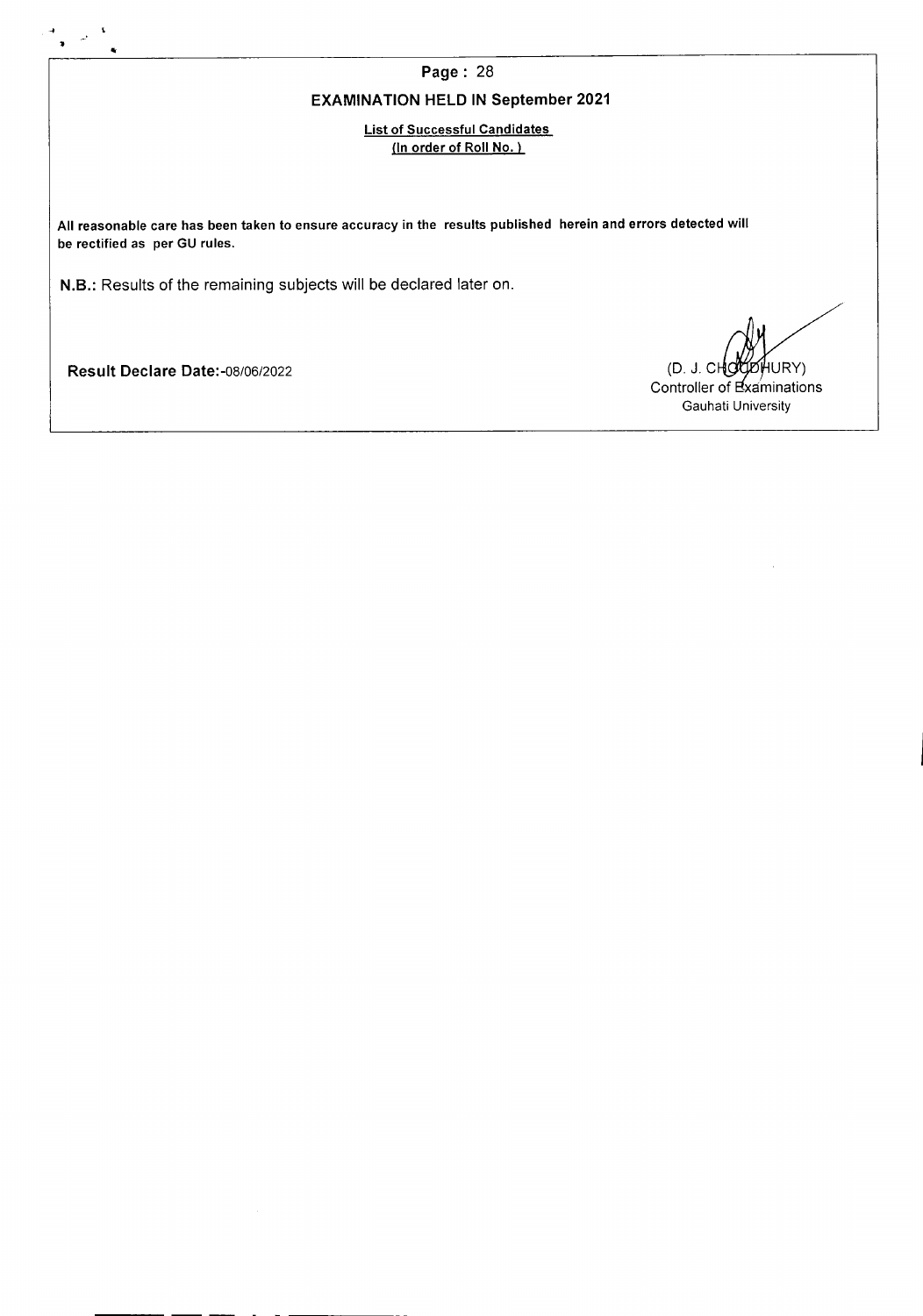# **EXAMINATION HELD IN September 2021**

List of Successful Candidates (In order of Roll No.)

All reasonable care has been taken to ensure accuracy in the results published herein and errors detected will be rectified as per GU rules.

**N.B.:** Results of the remaining subjects will be declared later on.

**Result Declare Date:**-08/0612022

 $\bullet$ 

 $\omega^{-3}$ 

**AA**  (D. J. CHOLOHURY) Controller of Examinations

Gauhati University